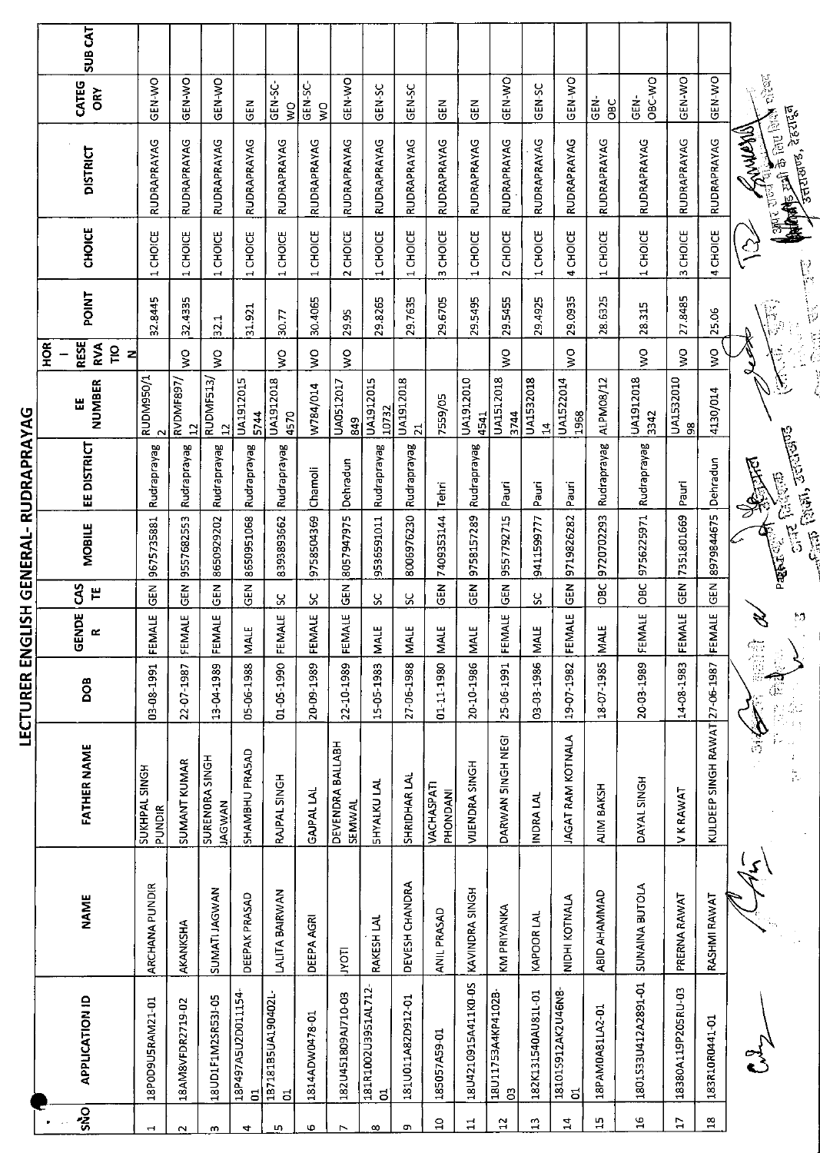| $rac{\alpha}{2}$<br>GENERAL-RUDRAPRAYAG | <b>SUB CAT</b><br>CATEG<br>ORY<br><b>DISTRICT</b><br><b>CHOICE</b><br>POINT<br><b>RESE</b><br>RVA<br>$\overline{10}$<br>z<br>NUMBER<br>Ш<br><b>EE DISTRICT</b><br><b>MOBILE</b> | GEN-WO<br>RUDRAPRAYAG<br>CHOICE<br>$\mathbf -$<br>32.8445<br>RUDM950/1<br>Rudraprayag<br>9675735881 | <b>OK-N-20</b><br>RUDRAPRAYAG<br><b>CHOICE</b><br>$\overline{\phantom{0}}$<br>32.4335<br>$\frac{8}{5}$<br>RVDMF897/<br>$\overline{12}$<br>Rudraprayag<br>9557682553 | GEN-WO<br>RUDRAPRAYAG<br>CHOICE<br>$\overline{\phantom{0}}$<br>32.1<br>ş<br>RUDMF513<br>$\mathbf{a}$<br>Rudraprayag<br>8650929202 | GEN<br>RUDRAPRAYAG<br>CHOICE<br>$\mathbf -$<br>31.921<br>UA1912015<br>5744<br>Rudraprayag<br>8650951068 | GEN-SC-<br>$\frac{1}{2}$<br>RUDRAPRAYAG<br>CHOICE<br>30.77<br>Š<br>UA1912018<br>4570<br>Rudraprayag<br>8393893662 | GEN-SC-<br>$\frac{1}{2}$<br><b>RUDRAPRAYAG</b><br><b>CHOICE</b><br>$\overline{\phantom{0}}$<br>30.4065<br>$\frac{1}{2}$<br>W784/014<br>Chamoli<br>9758504369 | <b>GEN-WO</b><br>RUDRAPRAYAG<br>CHOICE<br>$\mathbf{\tilde{c}}$<br>29.95<br>$\frac{8}{5}$<br>UA0512017<br>849<br>Dehradun<br>8057947975 | GEN-SC<br>RUDRAPRAYAG<br><b>CHOICE</b><br>$\overline{ }$<br>29.8265<br><b>UA1912015</b><br>10732<br>Rudraprayag<br>9536591011 | GEN-SC<br><b>RUDRAPRAYAG</b><br>CHOICE<br>$\overline{\phantom{0}}$<br>29.7635<br>UA1912018<br>$\overline{21}$<br>Rudraprayag<br>8006976230 | <b>GEN</b><br>RUDRAPRAYAG<br><b>CHOICE</b><br>$\mathsf{m}$<br>29.6705<br>7559/05<br>Tehri<br>7409353144 | EN<br>5<br>RUDRAPRAYAG<br>CHOICE<br>$\blacksquare$<br>29.5495<br>UA1912010<br>4541<br>Rudraprayag<br>9758157289 | GEN-WO<br><b>RUDRAPRAYAG</b><br>CHOICE<br>$\mathbf{\tilde{c}}$<br>29.5455<br>Š<br><b>UA1512018</b><br>3744<br>Pauri<br>9557792715 | GEN-SC<br><b>RUDRAPRAYAG</b><br><b>CHOICE</b><br>$\mathbf{H}$<br>29.4925<br>UA1532018<br>$\mathbf{z}$<br>Pauri<br>9411599777 | GEN-WO<br><b>RUDRAPRAYAG</b><br>CHOICE<br>$\blacktriangledown$<br>29.0935<br>Š<br>UA1522014<br>1968<br>Pauri<br>9719826282 | GEN-<br><b>OBC</b><br>RUDRAPRAYAG<br>CHOICE<br>$\rightarrow$<br>28.6325<br>ALPM08/12<br>Rudraprayag<br>9720702293 | OBC-WO<br>GEN-<br>RUDRAPRAYAG<br><b>CHOICE</b><br>$\overline{\phantom{0}}$<br>28.315<br>Š<br>UA1912018<br>3342<br>Rudraprayag<br>9756225971 | GEN-WO<br>RUDRAPRAYAG<br>CHOICE<br>m<br>27.8485<br>š<br>UA1532010<br>8<br>Pauri<br>7351801669 | GEN-WO<br>RUDRAPRAYAG<br>4 CHOICE<br>25.06<br>ş<br>4130/014<br>Dehradun<br>8979844675 | <b>COMMAND</b>            |
|-----------------------------------------|---------------------------------------------------------------------------------------------------------------------------------------------------------------------------------|-----------------------------------------------------------------------------------------------------|---------------------------------------------------------------------------------------------------------------------------------------------------------------------|-----------------------------------------------------------------------------------------------------------------------------------|---------------------------------------------------------------------------------------------------------|-------------------------------------------------------------------------------------------------------------------|--------------------------------------------------------------------------------------------------------------------------------------------------------------|----------------------------------------------------------------------------------------------------------------------------------------|-------------------------------------------------------------------------------------------------------------------------------|--------------------------------------------------------------------------------------------------------------------------------------------|---------------------------------------------------------------------------------------------------------|-----------------------------------------------------------------------------------------------------------------|-----------------------------------------------------------------------------------------------------------------------------------|------------------------------------------------------------------------------------------------------------------------------|----------------------------------------------------------------------------------------------------------------------------|-------------------------------------------------------------------------------------------------------------------|---------------------------------------------------------------------------------------------------------------------------------------------|-----------------------------------------------------------------------------------------------|---------------------------------------------------------------------------------------|---------------------------|
|                                         |                                                                                                                                                                                 |                                                                                                     |                                                                                                                                                                     |                                                                                                                                   |                                                                                                         |                                                                                                                   |                                                                                                                                                              |                                                                                                                                        |                                                                                                                               |                                                                                                                                            |                                                                                                         |                                                                                                                 |                                                                                                                                   |                                                                                                                              |                                                                                                                            |                                                                                                                   |                                                                                                                                             |                                                                                               |                                                                                       |                           |
|                                         |                                                                                                                                                                                 |                                                                                                     |                                                                                                                                                                     |                                                                                                                                   |                                                                                                         |                                                                                                                   |                                                                                                                                                              |                                                                                                                                        |                                                                                                                               |                                                                                                                                            |                                                                                                         |                                                                                                                 |                                                                                                                                   |                                                                                                                              |                                                                                                                            |                                                                                                                   |                                                                                                                                             |                                                                                               |                                                                                       | $\hat{\mathcal{C}}$       |
|                                         |                                                                                                                                                                                 |                                                                                                     |                                                                                                                                                                     |                                                                                                                                   |                                                                                                         |                                                                                                                   |                                                                                                                                                              |                                                                                                                                        |                                                                                                                               |                                                                                                                                            |                                                                                                         |                                                                                                                 |                                                                                                                                   |                                                                                                                              |                                                                                                                            |                                                                                                                   |                                                                                                                                             |                                                                                               |                                                                                       |                           |
|                                         |                                                                                                                                                                                 |                                                                                                     |                                                                                                                                                                     |                                                                                                                                   |                                                                                                         |                                                                                                                   |                                                                                                                                                              |                                                                                                                                        |                                                                                                                               |                                                                                                                                            |                                                                                                         |                                                                                                                 |                                                                                                                                   |                                                                                                                              |                                                                                                                            |                                                                                                                   |                                                                                                                                             |                                                                                               |                                                                                       |                           |
|                                         |                                                                                                                                                                                 |                                                                                                     |                                                                                                                                                                     |                                                                                                                                   |                                                                                                         |                                                                                                                   |                                                                                                                                                              |                                                                                                                                        |                                                                                                                               |                                                                                                                                            |                                                                                                         |                                                                                                                 |                                                                                                                                   |                                                                                                                              |                                                                                                                            |                                                                                                                   |                                                                                                                                             |                                                                                               |                                                                                       |                           |
|                                         |                                                                                                                                                                                 |                                                                                                     |                                                                                                                                                                     |                                                                                                                                   |                                                                                                         |                                                                                                                   |                                                                                                                                                              |                                                                                                                                        |                                                                                                                               |                                                                                                                                            |                                                                                                         |                                                                                                                 |                                                                                                                                   |                                                                                                                              |                                                                                                                            |                                                                                                                   |                                                                                                                                             |                                                                                               |                                                                                       | <b>September</b>          |
|                                         |                                                                                                                                                                                 |                                                                                                     |                                                                                                                                                                     |                                                                                                                                   |                                                                                                         |                                                                                                                   |                                                                                                                                                              |                                                                                                                                        |                                                                                                                               |                                                                                                                                            |                                                                                                         |                                                                                                                 |                                                                                                                                   |                                                                                                                              |                                                                                                                            |                                                                                                                   |                                                                                                                                             |                                                                                               |                                                                                       | <b>Contract of Action</b> |
| HSLI                                    | 3<br>巴                                                                                                                                                                          | <b>GEN</b>                                                                                          | <b>GEN</b>                                                                                                                                                          | 집5                                                                                                                                | <b>GEN</b>                                                                                              | ပ္တ                                                                                                               | ပ္တ                                                                                                                                                          | $\tilde{e}$                                                                                                                            | ပ္တ                                                                                                                           | ပ္တ                                                                                                                                        | <b>GEN</b>                                                                                              | $rac{1}{6}$                                                                                                     | $\tilde{\mathbb{E}}$                                                                                                              | SC                                                                                                                           | $rac{2}{3}$                                                                                                                | OBC                                                                                                               | OBC                                                                                                                                         | <b>GEN</b>                                                                                    | GEN                                                                                   |                           |
|                                         | GENDE<br>$\propto$                                                                                                                                                              | FEMALE                                                                                              | FEMALE                                                                                                                                                              | FEMALE                                                                                                                            | <b>MALE</b>                                                                                             | FEMALE                                                                                                            | <b>FEMALE</b>                                                                                                                                                | <b>FEMALE</b>                                                                                                                          | <b>MALE</b>                                                                                                                   | <b>MALE</b>                                                                                                                                | <b>MALE</b>                                                                                             | <b>MALE</b>                                                                                                     | FEMALE                                                                                                                            | <b>MALE</b>                                                                                                                  | FEMALE                                                                                                                     | <b>MALE</b>                                                                                                       | FEMALE                                                                                                                                      | FEMALE                                                                                        | FEMALE                                                                                | 乡                         |
|                                         | DOB                                                                                                                                                                             | 03-08-1991                                                                                          | 22-07-1987                                                                                                                                                          | 13-04-1989                                                                                                                        | 05-06-1988                                                                                              | 01-05-1990                                                                                                        | 20-09-1989                                                                                                                                                   | 22-10-1989                                                                                                                             | 15-05-1983                                                                                                                    | 27-06-1988                                                                                                                                 | 01-11-1980                                                                                              | 20-10-1986                                                                                                      | 25-06-1991                                                                                                                        | 03-03-1986                                                                                                                   | 19-07-1982                                                                                                                 | 18-07-1985                                                                                                        | 20-03-1989                                                                                                                                  | 14-08-1983                                                                                    |                                                                                       | 领海                        |
| LECTURER ENG                            | <b>FATHER NAME</b>                                                                                                                                                              | SUKHPAL SINGH<br>PUNDIR                                                                             | SUMANT KUMAR                                                                                                                                                        | <b>SURENORA SINGH</b><br><b>JAGWAN</b>                                                                                            | SHAMBHU PRASAD                                                                                          | RAJPAL SINGH                                                                                                      | <b>GAJPAL LAI</b>                                                                                                                                            | DEVENDRA BALLABH<br><b>SEMWAL</b>                                                                                                      | <b>SHYALKU LAL</b>                                                                                                            | SHRIDHAR LAL                                                                                                                               | <b>VACHASPATI</b><br>PHONDANI                                                                           | VUENDRA SINGH                                                                                                   | DARWAN SINGH NEGI                                                                                                                 | INDRA LAL                                                                                                                    | <b>JAGAT RAM KOTNALA</b>                                                                                                   | AIM BAKSH                                                                                                         | DAYAL SINGH                                                                                                                                 | VKRAWAT                                                                                       | KULDEEP SINGH RAWAT 27-06-1987                                                        | $\frac{N}{n}$             |
|                                         | <b>NAME</b>                                                                                                                                                                     | ARCHANA PUNDIR                                                                                      | AKANKSHA                                                                                                                                                            | <b>SUMATIJAGWAN</b>                                                                                                               | <b>DEEPAK PRASAD</b>                                                                                    | LALITA BAIRWAN                                                                                                    | DEEPA AGRI                                                                                                                                                   | <b>Lour</b>                                                                                                                            | RAKESH LAL                                                                                                                    | DEVESH CHANDRA                                                                                                                             | ANIL PRASAD                                                                                             | KAVINDRA SINGH                                                                                                  | KM PRIYANKA                                                                                                                       | KAPOOR LAL                                                                                                                   | NIDHI KOTNALA                                                                                                              | <b>ABID AHAMMAD</b>                                                                                               | <b>SUNAINA BUTOLA</b>                                                                                                                       | PRERNA RAWAT                                                                                  | RASHMI RAWAT                                                                          |                           |
|                                         | <b>APPLICATION ID</b>                                                                                                                                                           | 18P0D9U5RAM21-01                                                                                    | 18AM8VFDR2719-02                                                                                                                                                    | 18UD1F1M2SR53J-05                                                                                                                 | 18P497A5U2D011154<br>FO                                                                                 | 18718185UA190402L<br>ಕ                                                                                            | 1814ADW0478-01                                                                                                                                               | 182U451809AJ710-03                                                                                                                     | 181R1002U3951AL712<br>01                                                                                                      | 181U011A82D912-01                                                                                                                          | 185057A59-01                                                                                            | 18U4210915A411K0-0S                                                                                             | 18U11753A4KP4102B<br>C <sub>3</sub>                                                                                               | 182K131540AU81L-01                                                                                                           | 181015912AK2U46N8<br>ಕ                                                                                                     | 18PAM0A81LA2-01                                                                                                   | 1801533U412A2891-01                                                                                                                         | 18380A119P205RU-03                                                                            | 183R10R0441-01                                                                        |                           |
|                                         | <b>Sko</b>                                                                                                                                                                      | $\overline{\phantom{0}}$                                                                            | $\sim$                                                                                                                                                              | m                                                                                                                                 | 4                                                                                                       | LŊ.                                                                                                               | Ф                                                                                                                                                            | $\triangleright$                                                                                                                       | $\infty$                                                                                                                      | o,                                                                                                                                         | g                                                                                                       | $\mathbf{1}$                                                                                                    | $\overline{a}$                                                                                                                    | $\mathfrak{D}$                                                                                                               | 4                                                                                                                          | <b>ي</b> ا                                                                                                        | 16                                                                                                                                          | $17$                                                                                          | $\frac{8}{18}$                                                                        |                           |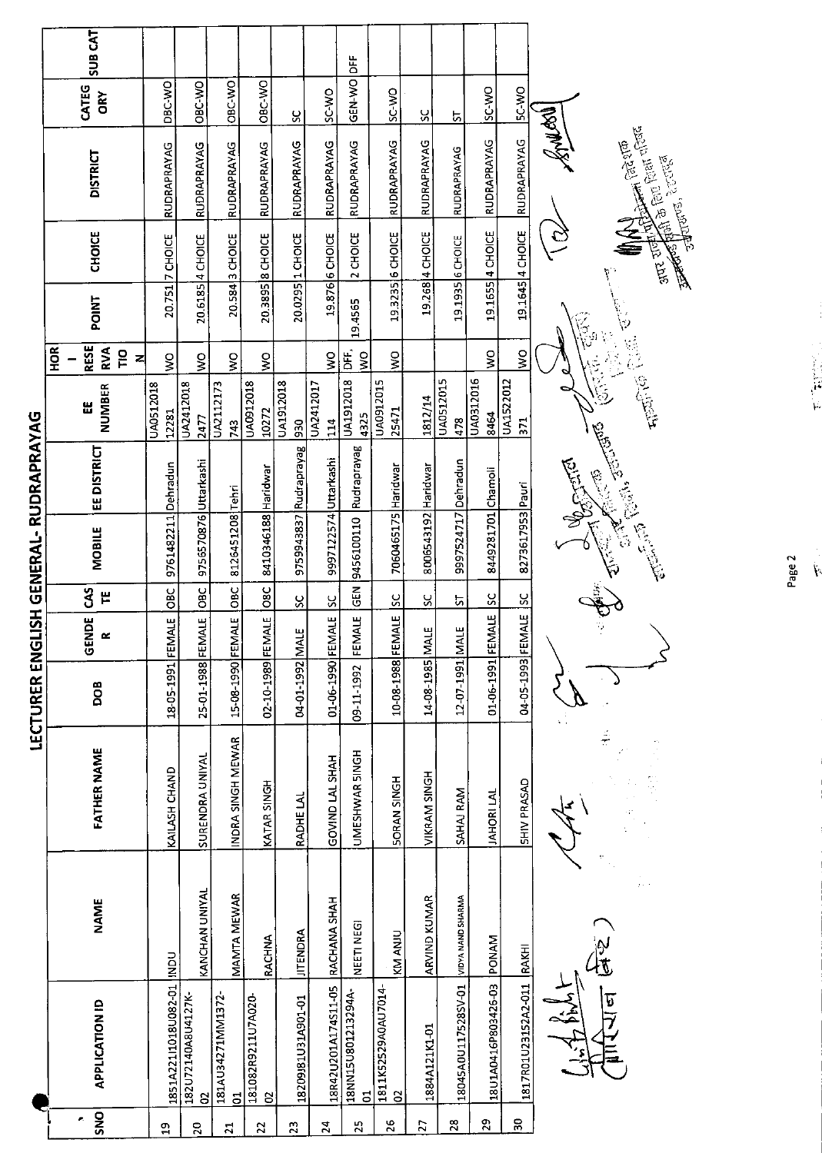|                          |     | SUB <sub>CAT</sub>            |                           |                                    |                                     |                            |                        |                       |                         |                          |                     |                                       |                           |                             |                                                                                                                                                                                                                                                                                                                                                                   |
|--------------------------|-----|-------------------------------|---------------------------|------------------------------------|-------------------------------------|----------------------------|------------------------|-----------------------|-------------------------|--------------------------|---------------------|---------------------------------------|---------------------------|-----------------------------|-------------------------------------------------------------------------------------------------------------------------------------------------------------------------------------------------------------------------------------------------------------------------------------------------------------------------------------------------------------------|
|                          |     | CATEG<br>ORY                  | DBC-WO                    | OBC WO                             | OBC-WO                              | OBC-WO                     | X                      | SC-WO                 | GEN-WO DFF              | SC-WO                    | ႘                   | 5                                     | SC-WO                     | 5C-WO                       |                                                                                                                                                                                                                                                                                                                                                                   |
|                          |     | <b>DISTRICT</b>               | RUDRAPRAYAG               | RUDRAPRAYAG                        | RUDRAPRAYAG                         | RUDRAPRAYAG                | RUDRAPRAYAG            | <b>RUDRAPRAYAG</b>    | RUDRAPRAYAG             | RUDRAPRAYAG              | <b>RUDRAPRAYAG</b>  | <b>RUDRAPRAYAG</b>                    | RUDRAPRAYAG               | RUDRAPRAYAG                 | <b>I ream Myself</b><br><b>Formal Report of Print</b> Count of Days<br>医尾尾<br>strenges, Errefel                                                                                                                                                                                                                                                                   |
|                          |     | <b>CHOICE</b>                 | 20.751 7 CHOICE           | 20.6185 4 CHOICE                   | 3 CHOICE                            | 20.3895 8 CHOICE           | 20.0295 1 CHOICE       | 19.876 6 CHOICE       | 2 CHOICE                | 19.3235 6 CHOICE         | 19.268 4 CHOICE     | 19.1935 6 CHOICE                      | 4 CHOICE                  | 19.1645 4 CHOICE            | <b>THE READER</b>                                                                                                                                                                                                                                                                                                                                                 |
|                          |     | POINT                         |                           |                                    | 20.584                              |                            |                        |                       | 19.4565                 |                          |                     |                                       | 19.1655                   |                             | $\widetilde{\mathbb{G}}$<br>$\heartsuit$                                                                                                                                                                                                                                                                                                                          |
|                          | HOR | <b>RESE</b><br>RVA<br>Γp<br>z | $\frac{1}{3}$             | $\frac{1}{3}$                      | Ş                                   | $\frac{1}{2}$              |                        | $\frac{8}{5}$         | bF.<br>$\frac{8}{5}$    | $\sum_{i=1}^{n}$         |                     |                                       | Ş                         | ş                           |                                                                                                                                                                                                                                                                                                                                                                   |
|                          |     | <b>NUMBER</b><br>Ш            | UA0512018<br>12281        | UA2412018<br>2477                  | UA2112173<br>743                    | UA0912018<br>10272         | UA1912018<br>930       | UA2412017<br>114      | UA1912018<br>4325       | UA0912015<br>25471       | 1812/14             | UA0512015<br>478                      | UA0312016<br>8464         | UA1522012<br>$\overline{5}$ | $\frac{1}{\sqrt{2}}\sum_{i=1}^{n} \sum_{j=1}^{n} \frac{1}{j} \sum_{j=1}^{n} \frac{1}{j} \sum_{j=1}^{n} \frac{1}{j} \sum_{j=1}^{n} \frac{1}{j} \sum_{j=1}^{n} \frac{1}{j} \sum_{j=1}^{n} \frac{1}{j} \sum_{j=1}^{n} \frac{1}{j} \sum_{j=1}^{n} \frac{1}{j} \sum_{j=1}^{n} \frac{1}{j} \sum_{j=1}^{n} \frac{1}{j} \sum_{j=1}^{n} \frac{1}{j} \sum_{j=1}^{n} \frac{$ |
| LISH GENERAL-RUDRAPRAYAG |     | EE DISTRICT                   |                           |                                    |                                     |                            | 9759943837 Rudraprayag |                       | Rudrapravag             |                          |                     |                                       |                           |                             | Children County Rendered<br>Control Reports                                                                                                                                                                                                                                                                                                                       |
|                          |     | <b>MOBILE</b>                 | 9761482211 Dehradun       | 9756570876 Uttarkashi              | 8126451208 Tehri                    | 8410346188 Haridwar        |                        | 9997122574 Uttarkashi | 9456100110              | 7060465175 Haridwar      | 8006543192 Haridwar | 9997524717 Dehradun                   | 8449281701 Chamoli        | 8273617953 Pauri            | <b>BURGERY</b>                                                                                                                                                                                                                                                                                                                                                    |
|                          |     | 3<br>٣                        | OBC                       | <b>OBC</b>                         | OBC                                 | <b>OSC</b>                 | ပ္တ                    | $rac{c}{s}$           | GEN                     | $\overline{S}$           | ჯ                   | ᡃ෬                                    | $\overline{\text{sc}}$    | <u>ss</u>                   |                                                                                                                                                                                                                                                                                                                                                                   |
|                          |     | <b>GENDE</b><br>$\propto$     |                           |                                    |                                     |                            |                        |                       | FEMALE                  |                          |                     |                                       |                           |                             |                                                                                                                                                                                                                                                                                                                                                                   |
| LECTURER ENG             |     | DOB                           | 18-05-1991 FEMALE         | 25-01-1988 FEMALE                  | 15-08-1990 FEMALE                   | 02-10-1989 FEMALE          | 04-01-1992 MALE        | 01-06-1990 FEMALE     | 09-11-1992              | 10-08-1988 FEMALE        | 14-08-1985 MALE     | 12-07-1991 MALE                       | 01-06-1991 FEMALE         | 04-05-1993 FEMALE           |                                                                                                                                                                                                                                                                                                                                                                   |
|                          |     | <b>FATHER NAME</b>            | KAILASH CHAND             | SURENDRA UNIYAL                    | INDRA SINGH MEWAR                   | KATAR SINGH                | RADHE LAL              | GOVIND LAL SHAH       | UMESHWAR SINGH          | <b>SORAN SINGH</b>       | VIKRAM SINGH        | SAHAJ RAM                             | JAHORI LAL                | <b>SHIV PRASAD</b>          | $\frac{1}{T}$                                                                                                                                                                                                                                                                                                                                                     |
|                          |     | <b>NAME</b>                   |                           | <b>KANCHAN UNIYAL</b>              | MAMTA MEWAR                         | <b>RACHNA</b>              | <b>JITENDRA</b>        | RACHANA SHAH          | NEETI NEGI              | KM ANJU                  | ARVIND KUMAR        |                                       |                           |                             |                                                                                                                                                                                                                                                                                                                                                                   |
|                          |     | <b>APPLICATION ID</b>         | 1851A22111018U082-01 INDU | 182U72140A8U4127K-<br>$\mathbf{S}$ | 181AU34271MM1372-<br>$\overline{5}$ | 181082R9211U7A020<br>$\Xi$ | 18209181U31A901-01     | 18R42U201A174S11-05   | 18NN15U801213294A-<br>5 | 1811K52529A0AU7014-<br>8 | 1884A121K1-01       | 18045A0U117528SV-01 VIDYA NAND SHARMA | 18U1A0416P803426-03 PONAM | 1817R01U23152A2-011 RAKHI   | the top                                                                                                                                                                                                                                                                                                                                                           |
|                          |     | <b>DNS</b><br>e,              | $\overline{a}$            | 20                                 | $\overline{21}$                     | $\overline{2}$             | 23                     | $\overline{24}$       | $\mathbb{Z}^2$          | 26                       | $\overline{C}$      | $28$                                  | $\mathbf{z}$              | 50                          |                                                                                                                                                                                                                                                                                                                                                                   |

Page 2

**大陆的 人名**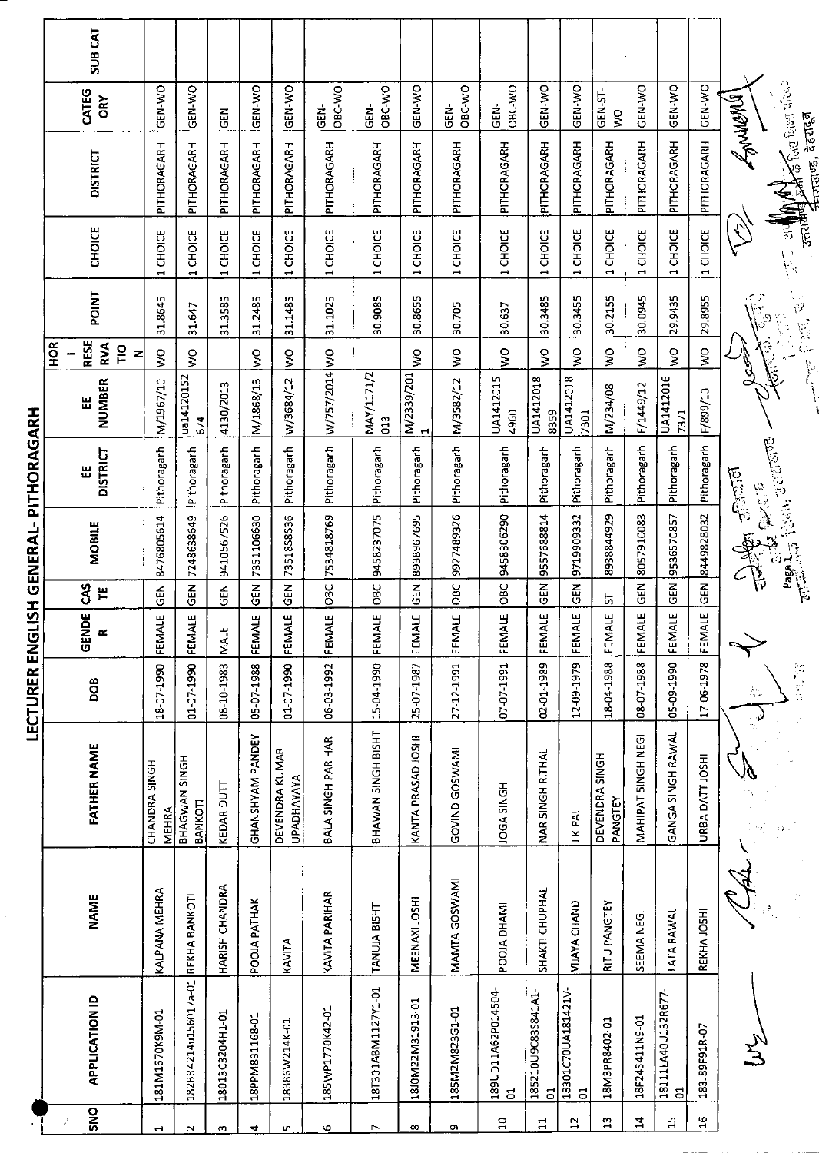| SNO<br>- 2    | <b>APPLICATION ID</b>                | <b>NAME</b>          | <b>FATHER NAME</b>                  | DOB        | GENDE<br>$\propto$ | š<br>Ë          | <b>MOBILE</b>                                                                                                                                                                                                                                                                                                                                                                         | <b>DISTRICT</b><br>Ш | <b>NUMBER</b><br>닚             | <b>RESE</b><br>$\frac{8}{2}$<br>RVA<br>$\overline{10}$<br>Z | POINT                                 | <b>CHOICE</b>                   | <b>DISTRICT</b>                                                 | CATEG<br>ORY          | <b>SUB CAT</b> |
|---------------|--------------------------------------|----------------------|-------------------------------------|------------|--------------------|-----------------|---------------------------------------------------------------------------------------------------------------------------------------------------------------------------------------------------------------------------------------------------------------------------------------------------------------------------------------------------------------------------------------|----------------------|--------------------------------|-------------------------------------------------------------|---------------------------------------|---------------------------------|-----------------------------------------------------------------|-----------------------|----------------|
| H             | 181M1670K9M-01                       | <b>KALPANA MEHRA</b> | CHANDRA SINGH<br>MEHRA              | 18-07-1990 | FEMALE             | $\frac{2}{5}$   | 8476805614                                                                                                                                                                                                                                                                                                                                                                            | Pithoragarh          | M/1967/10                      | $\frac{1}{2}$                                               | 31.8645                               | CHOICE<br>$\blacksquare$        | PITHORAGARH                                                     | GEN-WO                |                |
| N             | 1828R4214u156017a-01 REKHA BANKOTI   |                      | BHAGWAN SINGH<br>BANKOTI            | 01-07-1990 | <b>ALE</b><br>EEM  | 준<br>연          | 7248638649                                                                                                                                                                                                                                                                                                                                                                            | Pithoragarh          | ua14120152<br>674              | Š                                                           | 31.647                                | CHOICE<br>$\blacksquare$        | PITHORAGARH                                                     | GEN-WO                |                |
| m             | 18013C3204H1-01                      | HARISH CHANDRA       | KEDAR DUTT                          | 08 10 1983 | <b>MALE</b>        | $\tilde{e}$     | 9410567526                                                                                                                                                                                                                                                                                                                                                                            | Pithoragarh          | 4130/2013                      |                                                             | 31.3585                               | 1 CHOICE                        | PITHORAGARH                                                     | 딙                     |                |
| 4             | 18PPM831168-01                       | POOJA PATHAK         | GHANSHYAM PANDEY                    | 05-07-1988 | FEMALE             | <b>GEN</b>      | 7351106630                                                                                                                                                                                                                                                                                                                                                                            | Pithoragarh          | M/1868/13                      | Š                                                           | 31.2485                               | 1 CHOICE                        | PITHORAGARH                                                     | GEN-WO                |                |
| uη            | 18386W214K-01                        | KAVITA               | DEVENDRA KUMAR<br><b>UPADHAYAYA</b> | 01-70-1990 | FEMALE             | 6EN             | 7351858536                                                                                                                                                                                                                                                                                                                                                                            | Pithoragarh          | W/3684/12                      | š                                                           | 31.1485                               | 1 CHOICE                        | PITHORAGARH                                                     | GEN-WO                |                |
| G             | 185WP1770K42-01                      | KAVITA PARIHAR       | BALA SINGH PARIHAR                  | 06-03-1992 | FEMALE             | <b>DBC</b>      | 7534818769                                                                                                                                                                                                                                                                                                                                                                            | Pithoragarh          | W/757/2014 WO                  |                                                             | 31.1025                               | 1 CHOICE                        | PITHORAGARH                                                     | OBC-WO<br><b>GEN-</b> |                |
| Ņ             | 18T301ABM1127Y1-01                   | TANUJA BISHT         | BHAWAN SINGH BISHT                  | 15-04-1990 | FEMALE             | OBC             | 9458237075                                                                                                                                                                                                                                                                                                                                                                            | Pithoragarh          | MAY/1171/2<br>$\overline{013}$ |                                                             | 30.9085                               | 1 CHOICE                        | PITHORAGARH                                                     | OBC-WO<br><b>GEN-</b> |                |
| $\infty$      | 18J0M22M31913-01                     | MEENAXI JOSHI        | KANTA PRASAD JOSHI                  | 25-07-1987 | FEMALE             | 집<br>GEN        | 8938967695                                                                                                                                                                                                                                                                                                                                                                            | Pithoragarh          | M/2339/201                     | Š                                                           | 30.8655                               | CHOICE<br>H                     | PITHORAGARH                                                     | GEN-WO                |                |
| ō             | 185M2M823G1-01                       | MAMTA GOSWAMI        | GOVIND GOSWAMI                      | 27-12-1991 | FEMALE             | <b>OBC</b>      | 9927489326                                                                                                                                                                                                                                                                                                                                                                            | Pithoragarh          | M/3582/12                      | š                                                           | 30.705                                | 1 CHOICE                        | PITHORAGARH                                                     | OBC-WO<br>GEN-        |                |
| $\Xi$         | 189UD11A62P014504-<br>$\overline{5}$ | POOJA DHAMI          | JOGA SINGH                          | 07-07-1991 | FEMALE             | <b>SC</b>       | 9458306290                                                                                                                                                                                                                                                                                                                                                                            | Pithoragarh          | UA1412015<br>4960              | $\mathsf{S}^{\mathsf{O}}$                                   | 30.637                                | CHOICE<br>$\blacksquare$        | PITHORAGARH                                                     | OBC-WO<br><b>GEN-</b> |                |
| $\mathbf{H}$  | 185210U9C83S841A1<br>$\mathbf{5}$    | SHAKTI CHUPHAL       | NAR SINGH RITHAL                    | 02-01-1989 | FEMALE             | <b>A</b><br>GEN | 9557688814                                                                                                                                                                                                                                                                                                                                                                            | Pithoragarh          | UA1412018<br>8359              | $\mathsf{S}^{\mathsf{O}}$                                   | 30.3485                               | 1 CHOICE                        | PITHORAGARH                                                     | GEN-WO                |                |
| ₿             | 18301C70UA181421V-<br>S              | VIJAYA CHAND         | <b>JKPAL</b>                        | 12-09-1979 | FEMALE             | $\tilde{E}$     | 9719909332                                                                                                                                                                                                                                                                                                                                                                            | Pithoragarh          | UA1412018<br>7301              | Š                                                           | 30.3455                               | CHOICE<br>H                     | PITHORAGARH                                                     | GEN-WO                |                |
| $\frac{1}{2}$ | 18M3PR8402-01                        | RITU PANGTEY         | DEVENDRA SINGH<br>PANGTEY           | 18 04 1988 | FEMALE             | ᇅ               | 8938844929                                                                                                                                                                                                                                                                                                                                                                            | Pithoragarh          | M/234/08                       | $\frac{1}{2}$                                               | 30.2155                               | CHOICE<br>$\blacksquare$        | PITHORAGARH                                                     | GEN-ST-<br>š          |                |
| $\mathbf{z}$  | 18F24S411N9-01                       | SEEMA NEGI           | MAHIPAT SINGH NEGI                  | 08-07-1988 | FEMALE             | <b>GEN</b>      | 8057910083                                                                                                                                                                                                                                                                                                                                                                            | Pithoragarh          | F/1449/12                      | δV                                                          | 30.0945                               | <b>CHOICE</b><br>$\blacksquare$ | PITHORAGARH                                                     | <b>OK-N-NO</b>        |                |
| $\Xi$         | 18111LA40U132R677-<br>$\overline{5}$ | LATA RAWAL           | GANGA SINGH RAWAL                   | 05-09-1990 | FEMALE             | 6H              | 9536570857                                                                                                                                                                                                                                                                                                                                                                            | Pithoragarh          | UA1412016<br>7371              | š                                                           | 29.9435                               | 1 CHOICE                        | PITHORAGARH                                                     | <b>ON-N-DO</b>        |                |
| 26            | 183J89F91R-07                        | REKHA JOSHI          | URBA DATT JOSHI                     | 17-06-1978 | FEMALE             | 6<br>G          | 8449828032                                                                                                                                                                                                                                                                                                                                                                            | Pithoragarh          | F/899/13                       | Š                                                           | 29.8955                               | 1 CHOICE                        | PITHORAGARH                                                     | GEN-VO                |                |
|               |                                      |                      | 샾                                   | 的方式        |                    |                 | $\frac{1}{\sqrt{2}}\sum_{i=1}^{n} \sum_{j=1}^{n} \sum_{j=1}^{n} \sum_{j=1}^{n} \sum_{j=1}^{n} \sum_{j=1}^{n} \sum_{j=1}^{n} \sum_{j=1}^{n} \sum_{j=1}^{n} \sum_{j=1}^{n} \sum_{j=1}^{n} \sum_{j=1}^{n} \sum_{j=1}^{n} \sum_{j=1}^{n} \sum_{j=1}^{n} \sum_{j=1}^{n} \sum_{j=1}^{n} \sum_{j=1}^{n} \sum_{j=1}^{n} \sum_{j=1}^{n} \sum_{j=1}^{n}$<br><b>Call State</b><br>Bagger C<br>一集 | elaid                | i<br>G                         |                                                             | $\frac{1}{2}$<br>$\frac{1}{\sqrt{2}}$ | $\sqrt{2}$                      | an 11 Mart for Rear view<br><b>Agnueres</b><br>लाखाउँ, देहरादून |                       |                |
|               |                                      |                      |                                     |            |                    |                 |                                                                                                                                                                                                                                                                                                                                                                                       |                      |                                |                                                             |                                       |                                 |                                                                 |                       |                |

LECTURER ENGLISH GENERAL- PITHORAGARH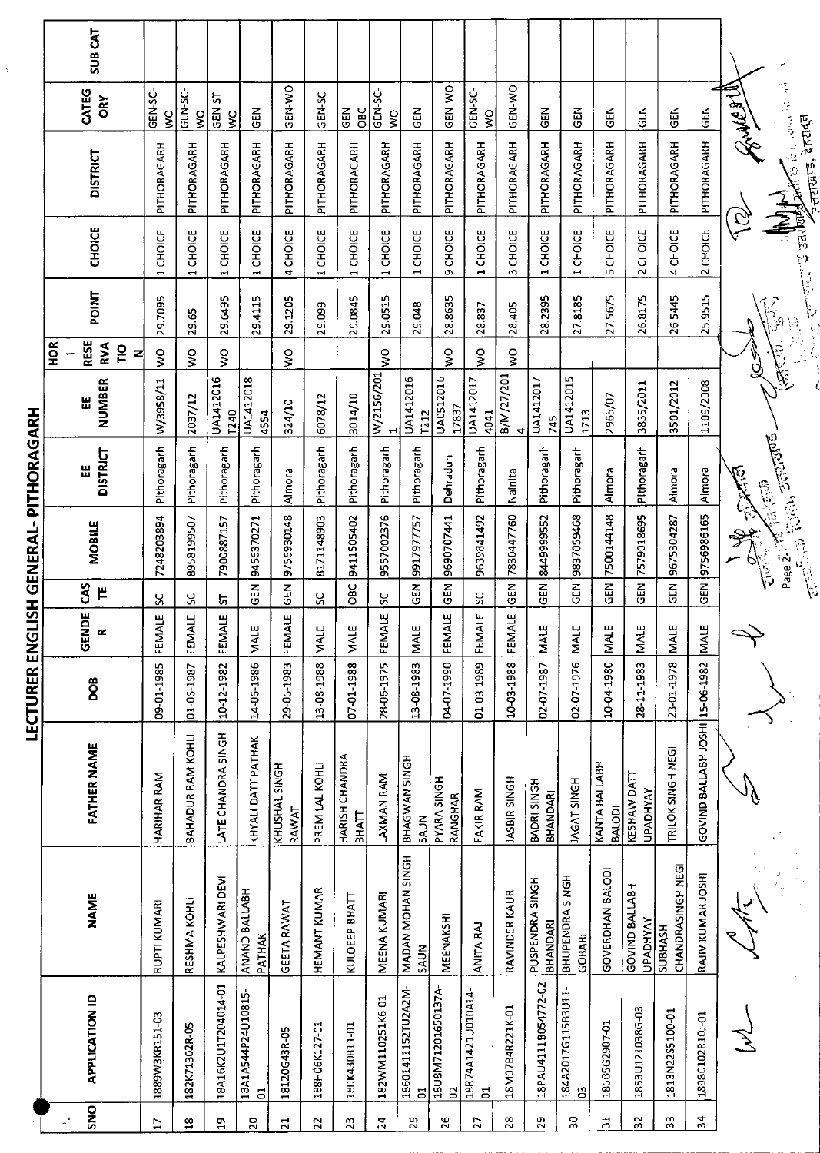|                                       | SUB CAT                                                       |                        |                                    |                        |                                      |                        |                     |                                |                               |                                     |                         |                                     |                     |                                |                           |                                |                                   |                                     |                                 |            |                                              |
|---------------------------------------|---------------------------------------------------------------|------------------------|------------------------------------|------------------------|--------------------------------------|------------------------|---------------------|--------------------------------|-------------------------------|-------------------------------------|-------------------------|-------------------------------------|---------------------|--------------------------------|---------------------------|--------------------------------|-----------------------------------|-------------------------------------|---------------------------------|------------|----------------------------------------------|
|                                       | CATEG<br>ÖRY                                                  | GEN-SC-<br>ş           | GEN-SC-<br>ş                       | GEN-ST-<br>Ş           | EN<br>GEN                            | GEN-WO                 | GEN-SC              | GEN-<br><b>OBC</b>             | GEN-SC-<br>Š                  | <b>GEN</b>                          | GEN-WO                  | <b>GEN-SC-</b><br>š                 | GEN-WO              | $rac{2}{3}$                    | GEN                       | $\frac{2}{5}$                  | EN<br>양                           | <b>GEN</b>                          | <b>NED</b>                      | THE SURVEY |                                              |
|                                       | <b>DISTRICT</b>                                               | PITHORAGARH            | PITHORAGARH                        | PITHORAGARH            | PITHORAGARH                          | PITHORAGARH            | PITHORAGARH         | PITHORAGARH                    | PITHORAGARH                   | PITHORAGARH                         | PITHORAGARH             | PITHORAGARH                         | PITHORAGARH         | PITHORAGARH                    | PITHORAGARH               | PITHORAGARH                    | PITHORAGARH                       | PITHORAGARH                         | PITHORAGARH                     |            | of the leading of<br>न्तराखाण्ड, देहरादून    |
|                                       | CHOICE                                                        | CHOICE<br>$\mathbf{r}$ | CHOICE<br>$\overline{\phantom{0}}$ | CHOICE<br>$\mathbf{H}$ | <b>CHOICE</b><br>÷,                  | 4 CHOICE               | 1 CHOICE            | 1 CHOICE                       | <b>CHOICE</b><br>$\mathbf{r}$ | 1 CHOICE                            | CHOICE<br>c             | 1 CHOICE                            | CHOICE<br>S.        | CHOICE<br>$\blacksquare$       | CHOICE<br>$\mathbf{H}$    | <b>5 CHOICE</b>                | 2 CHOICE                          | 4 CHOICE                            | 2 CHOICE                        | Q          | $\sum_{i=1}^{n}$<br><b>Contract Strategy</b> |
|                                       | <b>POINT</b>                                                  | 29.7095                | 29.65                              | 29.6495                | 29.4115                              | 29.1205                | 29.099              | 29.0845                        | 29.0515                       | 29.048                              | 28.8635                 | 28.837                              | 28.405              | 28.2395                        | 27.8185                   | 27.5675                        | 26.8175                           | 26.5445                             | 25.9515                         |            | $\widehat{\mathbb{F}}_p$                     |
|                                       | <b>RESE</b><br><b>SOH</b><br><b>RVA</b><br>$\frac{1}{2}$<br>즤 | $\mathsf{S}$           | $\frac{1}{2}$                      | $\frac{8}{5}$          |                                      | ş                      |                     |                                | ş                             |                                     | ş                       | ş                                   | ş                   |                                |                           |                                |                                   |                                     |                                 |            |                                              |
|                                       | <b>NUMBER</b><br>쁪                                            | W/3958/11              | 2037/12                            | UA1412016<br>T240      | UA1412018<br>4554                    | 324/10                 | 6078/12             | 3014/10                        | W/2156/201                    | UA1412016<br><b>7212</b>            | UA0512016<br>17837      | UA1412017<br>4041                   | B/M/27/201<br>4     | UA1412017<br>745               | UA1412015<br>1713         | 2965/07                        | 3835/2011                         | 3501/2012                           | 1109/2008                       | ଧୂ         |                                              |
|                                       | <b>DISTRICT</b><br>쁪                                          | Pithoragarh            | Pithoragarh                        | Pithoragarh            | Pithoragarh                          | Almora                 | Pithoragarh         | Pithoragarh                    | Pithoragarh                   | Pithoragarh                         | Dehradun                | Pithoragarh                         | Nainital            | Pithoragarh                    | Pithoragarh               | Almora                         | Pithoragarh                       | Almora                              | Almora                          | ्राज्याति  | <b>BELGION</b>                               |
| LECTURER ENGLISH GENERAL- PITHORAGARH | <b>MOBILE</b>                                                 | 7248203894             | 8958199507                         | 7900887157             | 9456370271                           | 9756930148             | 8171148903          | 9411505402                     | 9557002376                    | 9917977757                          | 9690707441              | 9639841492                          | 7830447760          | 8449999552                     | 9837059468                | 7500144148                     | 7579018695                        | 9675304287                          | 9756986165                      | 稣          |                                              |
|                                       | S<br>٣                                                        | ပ္တ                    | ჯ                                  | 5                      | <b>GEN</b>                           | GEN                    | ပ္တ                 | OBC                            | ွှ                            | តូ<br>ច                             | GEN                     | ႘                                   | <b>GEN</b>          | GEN                            | <b>GEN</b>                | $\overline{6}$                 | 6EN                               | $\frac{5}{9}$                       | <b>GEN</b>                      |            |                                              |
|                                       | GENDE<br>$\alpha$                                             | FEMALE                 | FEMALE                             | FEMALE                 | <b>MALE</b>                          | FEMALE                 | <b>MALE</b>         | <b>MALE</b>                    | FEMALE                        | <b>MALE</b>                         | FEMALE                  | FEMALE                              | FEMALE              | MAIF                           | <b>MALE</b>               | <b>NALE</b>                    | <b>MALE</b>                       | <b>MALE</b>                         | MALE                            |            |                                              |
|                                       | <b>BOG</b>                                                    | 09-01-1985             | 01-06-1987                         | 10-12-1982             | 14-06-1986                           | 29-06-1983             | 13-08-1988          | 07-01-1988                     | 28-06-1975                    | 13-08-1983                          | 04-07-1990              | 01-03-1989                          | 10-03-1988          | 02-07-1987                     | 02-07-1976                | 10041980                       | 28-11-1983                        | 23-01-1978                          |                                 |            |                                              |
|                                       | <b>FATHER NAME</b>                                            | HARIHAR RAM            | BAHADUR RAM KOHLI                  | LATE CHANDRA SINGH     | KHYALI DATT PATHAK                   | KHUSHAL SINGH<br>RAWAT | PREM LAL KOHLI      | HARISH CHANDRA<br><b>BHATT</b> | LAXMAN RAM                    | <b>BHAGWAN SINGH</b><br><b>SAUN</b> | PYARA SINGH<br>RANGHAR  | FAKIR RAM                           | <b>JASBIR SINGH</b> | BADRI SINGH<br><b>BHANDARI</b> | <b>JAGAT SINGH</b>        | KANTA BALLABH<br><b>BALODI</b> | KESHAW DATT<br><b>UPADHYAY</b>    | TRILOK SINGH NEGI                   | GOVIND BALLABH JOSHI 15-06-1982 |            |                                              |
|                                       | <b>NAME</b>                                                   | RUPTI KUMARI           | RESHMA KOHLI                       | KALPESHWARI DEVI       | ANAND BALLABH<br>PATHAK              | <b>GEETA RAWAT</b>     | <b>HEMANT KUMAR</b> | KULOEEP BHATT                  | MEENA KUMARI                  | <b>MADAN MOHAN SINGH</b><br>SAUN    | <b>MEENAKSHI</b>        | <b>ANITA RAJ</b>                    | RAVINDER KAUR       | PUSPENDRA SINGH<br>BHANDARI    | BHUPENDRA SINGH<br>GOBARI | GOVERDHAN BALODI               | GOVIND BALLABH<br><b>UPADHYAY</b> | CHANDRASINGH NEGI<br><b>SUBHASH</b> | RAJIV KUMAR JOSHI               |            |                                              |
|                                       | <b>APPLICATION ID</b>                                         | 1889W3KR151-03         | 182K71302R-05                      | 18A16K2U1T204014-01    | 18A1A544P24U10815-<br>$\overline{5}$ | 18120G43R-05           | 188H06K127-01       | 180K430B11-01                  | 182WM110251K6-01              | 18601411152TU2A2M-<br>ă             | 18U8M71201650137A-<br>3 | 18R74A1421U010A14<br>$\overline{5}$ | 18M07B4R221K01      | 18PAU4111B054772-02            | 184A2017G115B3U11<br>S,   | 186B5G2907-01                  | 1853U121038G-03                   | 1813N22S5100-01                     | 18980102R10J-01                 |            |                                              |
|                                       | SNO                                                           | <b>C</b>               | $\mathbf{a}$                       | $\Xi$                  | $\overline{20}$                      | $\overline{21}$        | $\overline{2}$      | $\mathbf{r}_2$                 | 24                            | 25                                  | 26                      | 27                                  | $\frac{8}{2}$       | 29                             | SO,                       | $\overline{\mathfrak{n}}$      | 55                                | 53                                  | 34                              |            |                                              |

LECTURER ENGLISH GENERAL- PITHORAGARH

 $\hat{\mathcal{X}}$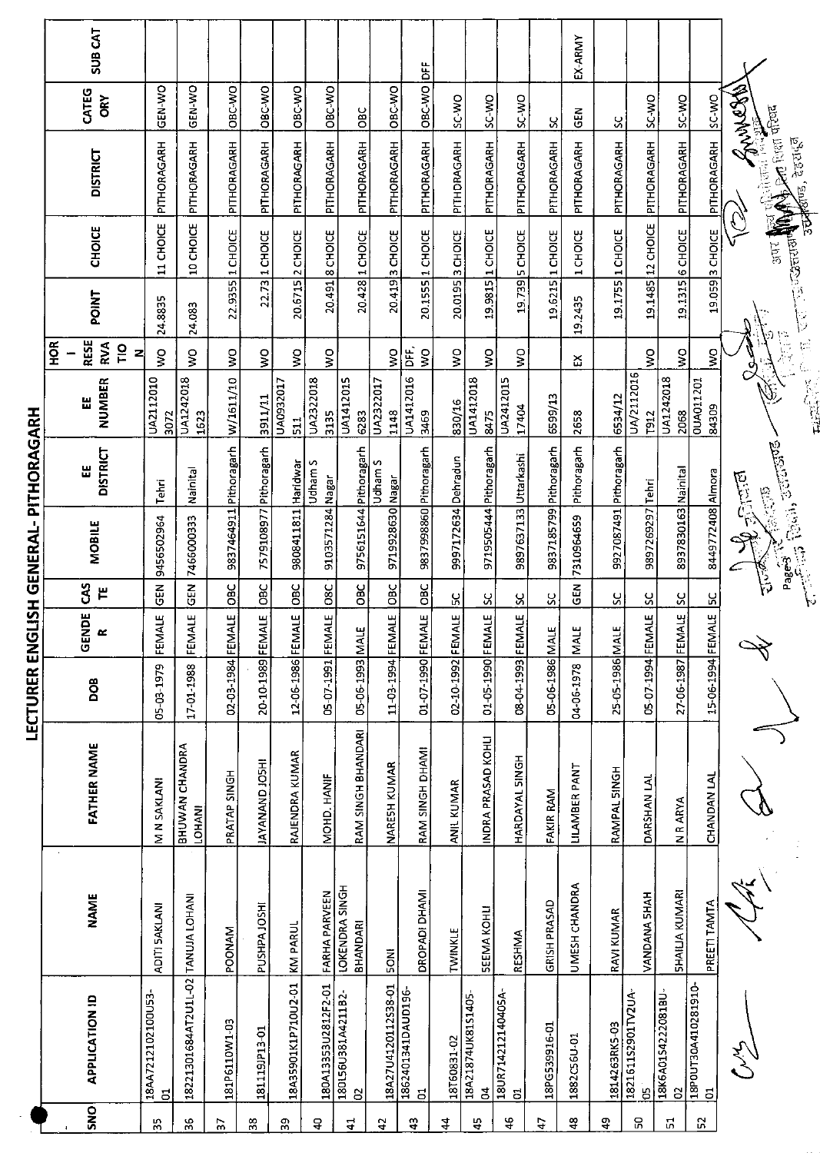|                                       | SUB <sub>CAT</sub>                            |                         |                                    |                        |                        |                             |                          |                                    |                     |                                      |                           |                                   |                                              |                        | EX-ARMY         |                        |                          |                         |                           |                                                                            |
|---------------------------------------|-----------------------------------------------|-------------------------|------------------------------------|------------------------|------------------------|-----------------------------|--------------------------|------------------------------------|---------------------|--------------------------------------|---------------------------|-----------------------------------|----------------------------------------------|------------------------|-----------------|------------------------|--------------------------|-------------------------|---------------------------|----------------------------------------------------------------------------|
|                                       | CATEG<br><b>ORY</b>                           | <b>ON-N3D</b>           | GEN-WO                             | OBC-WO                 | OBC-WO                 | <b>OBC-WO</b>               | OBC-WO                   | <b>DBC</b>                         | OBC-WO              | OBC-WO DFF                           | SC-WO                     | <b>OW-2S</b>                      | OW-3S                                        |                        | <b>GEN</b>      |                        | <b>OW-CS</b>             | OW-2S                   | SC-WO                     |                                                                            |
|                                       | <b>DISTRICT</b>                               | PITHORAGARH             | PITHORAGARH                        | PITHORAGARH            | PITHORAGARH            | PITHORAGARH                 | PITHORAGARH              | PITHORAGARH                        | PITHORAGARH         | PITHORAGARH                          | PITHDRAGARH               | PITHORAGARH                       | PITHORAGARH                                  | Χ<br>PITHORAGARH       | PITHORAGARH     | ပ္ပ<br>PITHORAGARH     | PITHORAGARH              | PITHORAGARH             | PITHORAGARH               | Whom Why<br><b>Det</b> form them<br>देहरा <mark>इ</mark> त्र<br>$\sqrt{2}$ |
|                                       | <b>CHOICE</b>                                 | 11 CHOICE               | 10 CHOICE                          | 1 CHOICE               | 1 CHOICE               | 20.6715 2 CHOICE            | 20.491 8 CHOICE          | 20.428 1 CHOICE                    | 3 CHOICE            | 1 CHOICE                             | 3 CHOICE                  | 1 CHOICE                          | <b>5 CHOICE</b>                              | 1 CHOICE               | 1 CHOICE        | 1 CHOICE               | 12 CHOICE                | 6 CHOICE                | 3 CHOICE                  | <b>Cardinal</b><br><b>Slnts</b>                                            |
|                                       | <b>POINT</b>                                  | 24.8835                 | 24.083                             | 22.9355                | 22.73                  |                             |                          |                                    | 20.419              | 20.1555                              | 20.0195                   | 19.9815                           | 19.739                                       | 19.6215                | 19.2435         | 19.1755                | 19.1485                  | 19.1315                 | 19.059                    | ÿ<br>Þ                                                                     |
|                                       | <b>RESE</b><br>$\frac{8}{2}$<br>RVA<br>Ξ<br>z | ş                       | Ş                                  | $\frac{1}{2}$          | $\frac{1}{2}$          | š                           | ş                        |                                    | ş                   | DFF,<br>$\frac{1}{2}$                | $\mathsf{S}^{\mathsf{O}}$ | $\frac{1}{2}$                     | Ş                                            |                        | Ω               |                        | Ş                        | ş                       | ş                         | e.<br>Po<br>σ                                                              |
|                                       | NUMBER<br>Ш                                   | UA2112010<br>3072       | UA1242018<br>1623                  | W/1611/10              | 3911/11                | UA0932017<br>$\frac{1}{51}$ | UA2322018<br>3135        | UA1412015<br>6283                  | UA2322017<br>1148   | UA1412016<br>3469                    | 830/16                    | UA1412018<br>8475                 | UA2412015<br>17404                           | 6599/13                | 2658            | 6534/12                | UA/2112016<br>T912       | UA1242018<br>2068       | <b>OUA011201</b><br>84309 | Y,<br>्<br>प्रदेश                                                          |
|                                       | <b>DISTRICT</b><br>出                          | Tehri                   | Nainital                           |                        |                        |                             | Udham S                  |                                    | Udham S             |                                      |                           | Pithoragarh                       | Uttarkashi                                   |                        | Pithoragarh     |                        |                          | Nainital                |                           | <b>Racin, accurate-</b><br>المنكالن أن                                     |
|                                       | MOBILE                                        | 9456502964              | 7466000333                         | 9837464911 Pithoragarh | 7579108977 Pithoragarh | 9808411811 Haridwar         | 9103571284 Nagar         | 9756151644 Pithoragarh             | 9719928630 Nagar    | 9837998860 Pithoragarh               | 9997172634 Dehradun       | 9719505444                        | 9897637133                                   | 9837185799 Pithoragarh | 7310964659      | 9927087491 Pithoragarh | 9897269297 Tehri         | 8937830163              | 8449772408 Almora         | 6. 1975<br>Page 3                                                          |
|                                       | ຽ<br>屵                                        | $\tilde{5}$             | 즚<br><sup>01</sup>                 | OBC                    | OBC                    | OBC                         | <b>O8C</b>               | <b>DEC</b>                         | <b>DBC</b>          | OBC                                  | ပ္ပ                       | Χ                                 | ႘                                            | X                      | GEN             | ပ္တ                    | ပ္တ                      | $\overline{\mathbf{S}}$ | <u>یں</u>                 | می مرکز<br>مخا                                                             |
|                                       | GENDE<br>$\propto$                            | FEMALE                  | FEMALE                             |                        |                        |                             |                          |                                    |                     |                                      |                           |                                   |                                              |                        |                 |                        | FEMALE                   |                         |                           |                                                                            |
| LECTURER ENGLISH GENERAL- PITHORAGARH | DOB                                           | 05-03-1979              | 17-01-1988                         | 02-03-1984 FEMALE      | 20-10-1989 FEMALE      | 12-06-1986 FEMALE           | 05-07-1991 FEMALE        | 05-06-1993 MALE                    | 11-03-1994 FEMALE   | 01-07-1990 FEMALE                    | 02-10-1992 FEMALE         | 01-05-1990 FEMALE                 | 08-04-1993 FEMALE                            | 05-06-1986 MALE        | 04-06-1978 MALE | 25-05-1986 MALE        | $05 - 07 - 1994$         | 27-06-1987 FEMALE       | 15-06-1994 FEMALE         |                                                                            |
|                                       | <b>FATHER NAME</b>                            | M N SAKLANI             | <b>BHUWAN CHANDRA</b><br>LOHANI    | PRATAP SINGH           | <b>IHZOL ONANAYAL</b>  | RAJENDRA KUMAR              | MOHD. HANIF              | RAM SINGH BHANDARI                 | NARESH KUMAR        | RAM SINGH DHAMI                      | ANIL KUMAR                | INDRA PRASAD KOHLI                | HARDAYAL SINGH                               | FAKIR RAM              | LILAMBER PANT   | RAMPAL SINGH           | DARSHAN LAL              | N R ARYA                | CHANDAN LAL               |                                                                            |
|                                       | <b>NAME</b>                                   | ADITI SAKLANI           |                                    | POONAM                 | PUSHPA JOSHI           | KM PARUL                    | FARHA PARVEEN            | <b>LOKENDRA SINGH</b><br>BHANDARI  | <b>INDS</b>         | DROPADI DHAMI                        | TWINKLE                   | <b>SEEMA KOHLI</b>                | RESHMA                                       | GRISH PRASAD           | UMESH CHANDRA   | RAVI KUMAR             | VANDANA 5HAH             | <b>SHAILIA KUMARI</b>   | PREETI TAMTA              |                                                                            |
|                                       | <b>APPLICATION ID</b>                         | 18AA7212102100U53-<br>đ | 18221301684AT2U1L-02 TANUJA LOHANI | 181P6110W1-03          | 181119JP13-01          | 18A35901K1P710U2-01         | 180A13353U2812F2-01      | 180156U381A4211B2-<br>$\mathsf{S}$ | 18A27U4120112S38-01 | 1862401341DAUD196-<br>$\overline{5}$ | 18T60831-02               | 18A21874UK81S1405<br>$\mathbf{z}$ | 18UR714212140405A<br>$\overline{\mathbf{c}}$ | 18PG539916-01          | 1882C56U-01     | 1814263RK5-03          | 1821611S2901TV2UA<br>မ္မ | 18K6A01S4222081BU-<br>S | 18P0UT30A410281910-<br>01 |                                                                            |
|                                       | SNO                                           | 35                      | 36                                 | 57                     | 38                     | $\mathbf{5}^{\mathbf{6}}$   | $\hbox{\large \frak{P}}$ | $\mathbf{1}$                       | $\overline{a}$      | $\frac{1}{2}$                        | 4                         | 45                                | $\frac{6}{7}$                                | 47                     | ₽               | \$                     | င္ဟ                      | $\overline{\omega}$     | 52                        |                                                                            |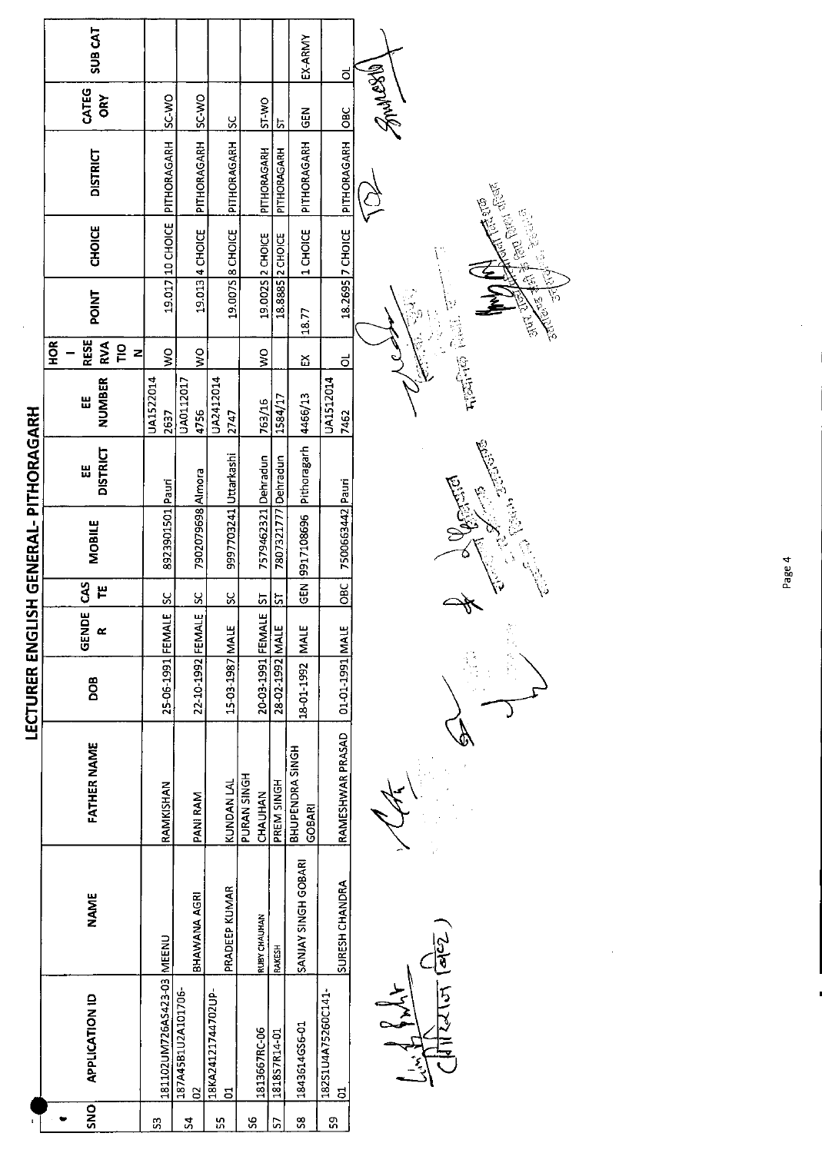|                                       | SUB <sub>CAT</sub>                                   |                              |                                      |                                |                        |                     | EX-ARMY                    | ಠ                              |                |
|---------------------------------------|------------------------------------------------------|------------------------------|--------------------------------------|--------------------------------|------------------------|---------------------|----------------------------|--------------------------------|----------------|
|                                       | CATEG<br>ORY                                         | DAN-JS                       | <b>OW-2S</b>                         | <u>ს</u>                       | ST-WO                  | r,                  | <b>ABD</b>                 | <b>OBC</b>                     | <b>CREAMYS</b> |
|                                       | <b>DISTRICT</b>                                      | 19.017 10 CHOICE PITHORAGARH | PITHORAGARH                          | PITHORAGARH                    | PITHORAGARH            | PITHORAGARH         | PITHORAGARH                | PITHORAGARH                    |                |
|                                       | <b>CHOICE</b>                                        |                              | 19.013 4 CHOICE                      | 19.007S 8 CHOICE               | 19.002S 2 CHOICE       | 18.8885 2 CHOICE    | 1 CHOICE                   | 18.2695 7 CHOICE               |                |
|                                       | <b>POINT</b>                                         |                              |                                      |                                |                        |                     | 13.77                      |                                |                |
|                                       | <b>RESE</b><br>H <sub>OR</sub><br>RVA<br>은<br>도<br>z | Ş                            | $\frac{1}{2}$                        |                                | $\frac{1}{2}$          |                     | ద                          | ಠ                              |                |
|                                       | <b>NUMBER</b><br>٣                                   | UA1522014<br><b>2637</b>     | UA0112017<br>4756                    | UA2412014<br>2747              | 763/16                 | 1584/17             | 4466/13                    | UA1512014<br>7462              |                |
|                                       | <b>DISTRICT</b><br>Ш                                 |                              |                                      |                                |                        |                     |                            |                                |                |
| LECTURER ENGLISH GENERAL- PITHORAGARH | <b>MOBILE</b>                                        | 8923901501 Pauri             | 7902079698 Almora                    | 9997703241 Uttarkashi          | 7579462321 Dehradun    | 7807321777 Dehradun | GEN 9917108696 Pithoragarh | 7500663442 Pauri               |                |
|                                       | S<br>٣                                               | $\frac{8}{5}$                | ပ္တ                                  | ပ္တ                            | 55                     | ದ                   |                            | OBC                            |                |
|                                       | GENDE                                                |                              |                                      |                                |                        |                     |                            |                                |                |
|                                       | DOB                                                  | 25-06-1991 FEMALE            | 22-10-1992 FEMALE                    | 15-03-1987 MALE                | 20-03-1991 FEMALE      | 31AM 2651-20-82     | 18-01-1992 MALE            | 01-01-1991 MALE                |                |
|                                       | FATHER NAME                                          | RAMKISHAN                    | PANI RAM                             | <b>KUNDAN LAL</b>              | PURAN SINGH<br>CHAUHAN | PREM SINGH          | BHUPENDRA SINGH<br>GOBARI  | RAMESHWAR PRASAD               |                |
|                                       | <b>NAME</b>                                          |                              | BHAWANA AGRI                         | PRADEEP KUMAR                  | <b>RUBY CHAUHAN</b>    | RAKESH              | SANJAY SINGH GOBARI        | SURESH CHANDRA                 |                |
|                                       | <b>APPLICATION ID</b>                                | 181102UM726AS423-03 MEENU    | 187A45B1U2A101706-<br>$\overline{a}$ | 18KA24121744702UP-<br><u>៩</u> | 1813667RC-06           | 181857R14-01        | 1843614GS6-01              | 18251U4A75260C141-<br><u>ដ</u> |                |
|                                       | <b>ONS</b>                                           | S                            | $\overline{\mathbf{5}}$              | ហ្គ                            | S6                     | S                   | S8                         | თ<br>თ                         |                |

 $\prod_{i=1}^{n} \prod_{i=1}^{n} \frac{1}{(a_1^i c_2^n)}$ 



J

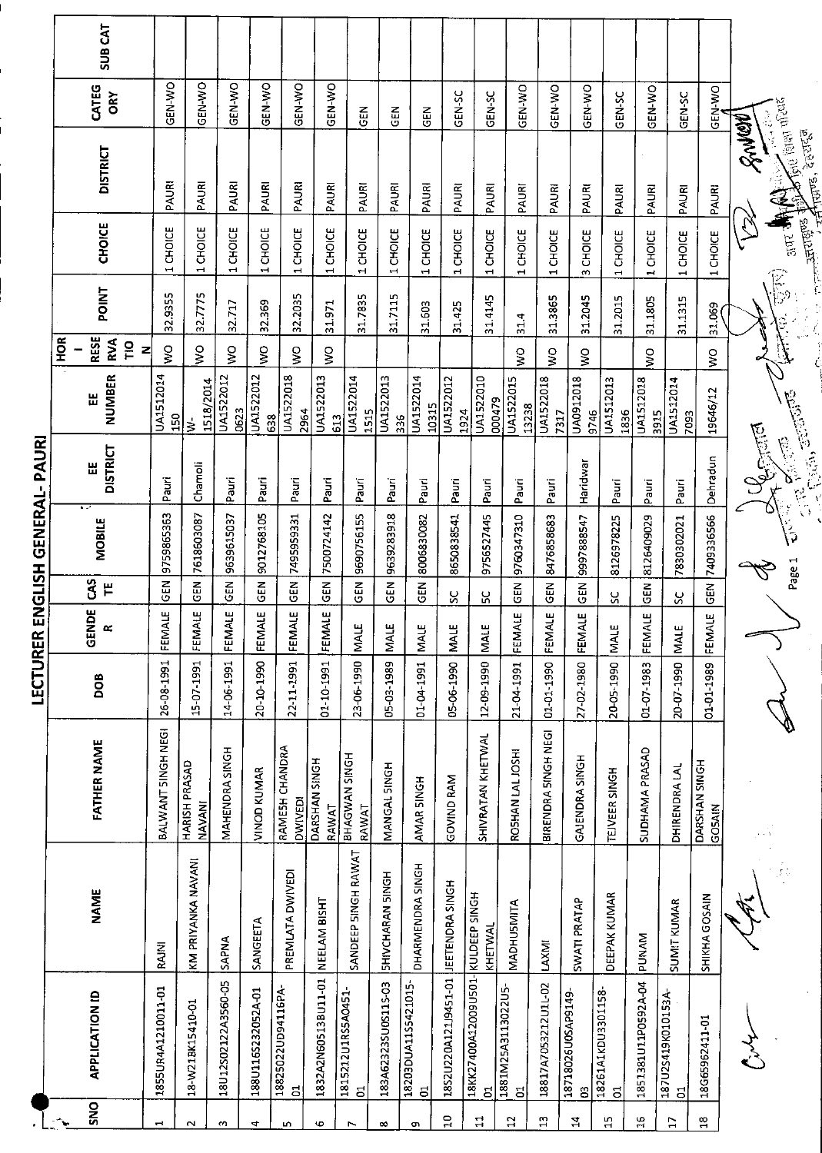|                 |                                      |                          |                                  |            |                    |                           | LECTURER ENGLISH GENERAL- PAURI |                                                                                                                                                                                                                                                                                                                                                                                       |                            |                                       |              |                                               |                                                                                                                                                                                                                                                                                                                                                                                                       |               |                |
|-----------------|--------------------------------------|--------------------------|----------------------------------|------------|--------------------|---------------------------|---------------------------------|---------------------------------------------------------------------------------------------------------------------------------------------------------------------------------------------------------------------------------------------------------------------------------------------------------------------------------------------------------------------------------------|----------------------------|---------------------------------------|--------------|-----------------------------------------------|-------------------------------------------------------------------------------------------------------------------------------------------------------------------------------------------------------------------------------------------------------------------------------------------------------------------------------------------------------------------------------------------------------|---------------|----------------|
|                 |                                      |                          |                                  |            |                    |                           |                                 |                                                                                                                                                                                                                                                                                                                                                                                       |                            | HOR                                   |              |                                               |                                                                                                                                                                                                                                                                                                                                                                                                       |               |                |
| <b>SNO</b>      | <b>APPLICATION ID</b>                | <b>NAME</b>              | <b>FATHER NAME</b>               | DOB        | GENDE<br>$\alpha$  | <b>GS</b><br>$\mathbf{F}$ | <b>MOBILE</b>                   | <b>DISTRICT</b><br>膃                                                                                                                                                                                                                                                                                                                                                                  | <b>NUMBER</b><br>쁪         | <b>RESE</b><br><b>RVA</b><br>TΙO<br>Z | <b>POINT</b> | <b>CHOICE</b>                                 | <b>DISTRICT</b>                                                                                                                                                                                                                                                                                                                                                                                       | CATEG<br>ÖRY  | <b>SUB CAT</b> |
| $\vec{ }$       | 1855UR4A1210011-01                   | RAJNI                    | BALWANT SINGH NEGI               | 26-08-1991 | FEMALE             | <b>GEN</b>                | 9759865363                      | Pauri                                                                                                                                                                                                                                                                                                                                                                                 | UA1512014<br>150           | Ş                                     | 32.9355      | CHOICE<br>$\overline{\phantom{a}}$            | PAURI                                                                                                                                                                                                                                                                                                                                                                                                 | <b>OKI-NS</b> |                |
| $\sim$          | 18-W21BK15410-01                     | KM PRIYANKA NAVANI       | HARISH PRASAD<br><b>NAVANI</b>   | 15-07-1991 | FEMALE             | មិ<br>ច                   | 7618603087                      | Chamoli                                                                                                                                                                                                                                                                                                                                                                               | 1518/2014<br>Š             | $\frac{0}{5}$                         | 32.7775      | 1 CHOICE                                      | PAURI                                                                                                                                                                                                                                                                                                                                                                                                 | GEN-WO        |                |
| $\sim$          | 18U12S02122A3560-05                  | <b>SAPNA</b>             | MAHENDRA SINGH                   | 14-06-1991 | FEMALE             | 준<br>영                    | 9639615037                      | Pauri                                                                                                                                                                                                                                                                                                                                                                                 | UA1522012<br>0623          | Ş                                     | 32.717       | 1 CHOICE                                      | PAURI                                                                                                                                                                                                                                                                                                                                                                                                 | GEN-WO        |                |
| 4               | 188U116S232052A-01                   | SANGEETA                 | VINOD KUMAR                      | 20-10-1990 | FEMALE             | <b>GEN</b>                | 9012768105                      | Paun                                                                                                                                                                                                                                                                                                                                                                                  | UA1522012<br>638           | Ş                                     | 32.369       | 1 CHOICE                                      | PAURI                                                                                                                                                                                                                                                                                                                                                                                                 | GEN-WO        |                |
| LO.             | 18825022UD94116PA-<br>$\overline{a}$ | PREMLATA DWIVEDI         | RAMESH CHANDRA<br><b>DWIVED!</b> | 22-11-1991 | FEMALE             | <b>EN</b>                 | 7495959331                      | Pauri                                                                                                                                                                                                                                                                                                                                                                                 | <b>UA1522018</b><br>2964   | $\frac{1}{2}$                         | 32.2035      | CHOICE<br>$\blacksquare$                      | PAURI                                                                                                                                                                                                                                                                                                                                                                                                 | GEN-WO        |                |
| G               | 1832A2N60513BU11-01                  | NEELAM BISHT             | DARSHAN SINGH<br>RAWAT           | 01-10-1991 | FEMALE             | $rac{5}{2}$               | 7500724142                      | Pauri                                                                                                                                                                                                                                                                                                                                                                                 | UA1522013<br>613           | $\frac{1}{2}$                         | 31.971       | 1 CHOICE                                      | PAURI                                                                                                                                                                                                                                                                                                                                                                                                 | GEN-WO        |                |
| $\overline{ }$  | 1815212U1RS5A0451-<br>$\overline{5}$ | SANDEEP SINGH RAWAT      | BHAGWAN SINGH<br>RAWAT           | 23-06-1990 | <b>MALE</b>        | <b>GEN</b>                | 9690756155                      | Pauri                                                                                                                                                                                                                                                                                                                                                                                 | UA1522014<br>1515          |                                       | 31.7835      | 1 CHOICE                                      | PAURI                                                                                                                                                                                                                                                                                                                                                                                                 | <b>GEN</b>    |                |
| $\infty$        | 183A62323SU0S115-03                  | <b>SHIVCHARAN SINGH</b>  | MANGAL SINGH                     | 05-03-1989 | MALE               | <b>GEN</b>                | 9639283918                      | Pauri                                                                                                                                                                                                                                                                                                                                                                                 | UA1522013<br>336           |                                       | 31.7115      | <b>CHOICE</b><br>$\overline{\phantom{0}}$     | PAURI                                                                                                                                                                                                                                                                                                                                                                                                 | 군<br>연        |                |
| c               | 18203DUA11S5421015-<br>S,            | DHARMENDRA SINGH         | AMAR SINGH                       | 1-04-1991  | <b>MALE</b>        | <b>GEN</b>                | 8006830082                      | Pauri                                                                                                                                                                                                                                                                                                                                                                                 | UA1522014<br>10315         |                                       | 31.603       | CHOICE<br>$\overline{\phantom{0}}$            | PAURI                                                                                                                                                                                                                                                                                                                                                                                                 | 군<br>5        |                |
| $\overline{10}$ | 18S2U220A121J9451-01                 | JEETENDRA SINGH          | <b>GOVIND RAM</b>                | 05-06-1990 | <b>MALE</b>        | ပ္တ                       | 8650838541                      | Pauri                                                                                                                                                                                                                                                                                                                                                                                 | UA1522012<br>1924          |                                       | 31.425       | 1 CHOICE                                      | PAURI                                                                                                                                                                                                                                                                                                                                                                                                 | GEN-SC        |                |
| $\mathbf{r}$    | 18KK27400A12009U501-<br>5            | KULDEEP SINGH<br>KHETWAL | SHIVRATAN KHETWAL                | 12-09-1990 | <b>MALE</b>        | ပ္က                       | 9756527445                      | Pauri                                                                                                                                                                                                                                                                                                                                                                                 | <b>UA1522010</b><br>000479 |                                       | 31.4145      | 1 CHOICE                                      | PAURI                                                                                                                                                                                                                                                                                                                                                                                                 | <b>CEN-SC</b> |                |
| 12              | 1881M25A3113022U5-<br>đ              | MADHUSMITA               | ROSHAN LAL JOSHI                 | 21-04-1991 | FEMALE             | $rac{5}{65}$              | 9760347310                      | Pauri                                                                                                                                                                                                                                                                                                                                                                                 | <b>UA1522015</b><br>13238  | $\gtrapprox$                          | 31.4         | 1 CHOICE                                      | PAURI                                                                                                                                                                                                                                                                                                                                                                                                 | GEN-WO        |                |
| $\mathbf{r}$    | 18817A7053212U1L-02                  | LAXMI                    | BIRENDRA SINGH NEGI              | 01-01-1990 | FEMALE             | <b>GEN</b>                | 8476858683                      | Pauri                                                                                                                                                                                                                                                                                                                                                                                 | <b>UA1522018</b><br>7317   | Ş                                     | 31.3865      | 1 CHOICE                                      | PAURI                                                                                                                                                                                                                                                                                                                                                                                                 | GEN-WO        |                |
| $\mathbf{z}$    | 18718026U0SAP9149-<br>ප              | SWATI PRATAP             | GAJENDRA SINGH                   | 27-02-1980 | FEMALE             | <b>GEN</b>                | 9997888547                      | Haridwar                                                                                                                                                                                                                                                                                                                                                                              | UA0912018<br>9746          | Ş                                     | 31.2045      | 3 CHOICE                                      | PAURI                                                                                                                                                                                                                                                                                                                                                                                                 | GEN-WO        |                |
| $\overline{15}$ | 18261A1KDU3301158<br>$\overline{a}$  | DEEPAK KUMAR             | TEJVEER SINGH                    | 20-05-1990 | Щ<br>⋚             | ပ္ပ                       | 8126978225                      | Pauri                                                                                                                                                                                                                                                                                                                                                                                 | UA1512013<br>1836          |                                       | 31.2015      | 1 CHOICE                                      | PAURI                                                                                                                                                                                                                                                                                                                                                                                                 | GEN-SC        |                |
| 유               | 1851381U11P0592A-04                  | <b>MANU</b>              | SUDHAMA PRASAD                   | 01-07-1983 | <b>IALE</b><br>FEM | <b>IGEN</b>               | 8126409029                      | Pauri                                                                                                                                                                                                                                                                                                                                                                                 | UA1512018<br>3915          | Ş                                     | 31.1805      | 1 CHOICE                                      | PAURI                                                                                                                                                                                                                                                                                                                                                                                                 | GEN-WO        |                |
| E               | 187U2S419K010153A-<br>ដ              | SUMIT KUMAR              | DHIRENDRA LAL                    | 20-07-1990 | щ<br>ΝŃ            | X                         | 7830302021                      | Pauri                                                                                                                                                                                                                                                                                                                                                                                 | UA1512014<br>7093          |                                       | 31.1315      | 1 CHOICE                                      | PAURI                                                                                                                                                                                                                                                                                                                                                                                                 | GEN-SC        |                |
| $\frac{8}{11}$  | 18G65962411-01                       | SHIKHA GOSAIN            | DARSHAN SINGH<br><b>COSAIN</b>   | 01-01-1989 | FEMALE             | <b>GEN</b>                | 7409336566                      | Dehradun                                                                                                                                                                                                                                                                                                                                                                              | 19646/12                   | ş                                     | 31.069       | CHOICE<br>1                                   | PAURI                                                                                                                                                                                                                                                                                                                                                                                                 | GEN-WO        |                |
|                 |                                      |                          |                                  |            |                    |                           |                                 | <b>Definition</b>                                                                                                                                                                                                                                                                                                                                                                     |                            |                                       |              |                                               | $\frac{3}{2} \frac{1}{2} \frac{1}{2} \frac{1}{2} \frac{1}{2} \frac{1}{2} \frac{1}{2} \frac{1}{2} \frac{1}{2} \frac{1}{2} \frac{1}{2} \frac{1}{2} \frac{1}{2} \frac{1}{2} \frac{1}{2} \frac{1}{2} \frac{1}{2} \frac{1}{2} \frac{1}{2} \frac{1}{2} \frac{1}{2} \frac{1}{2} \frac{1}{2} \frac{1}{2} \frac{1}{2} \frac{1}{2} \frac{1}{2} \frac{1}{2} \frac{1}{2} \frac{1}{2} \frac{1}{2} \frac{$<br>RANGE |               |                |
|                 |                                      |                          |                                  |            |                    | Page 1                    | $\sqrt{\frac{2}{3}}$            | $\frac{1}{\sqrt{2}}\sum_{i=1}^n\frac{1}{\sqrt{2}}\sum_{i=1}^n\frac{1}{\sqrt{2}}\sum_{i=1}^n\frac{1}{\sqrt{2}}\sum_{i=1}^n\frac{1}{\sqrt{2}}\sum_{i=1}^n\frac{1}{\sqrt{2}}\sum_{i=1}^n\frac{1}{\sqrt{2}}\sum_{i=1}^n\frac{1}{\sqrt{2}}\sum_{i=1}^n\frac{1}{\sqrt{2}}\sum_{i=1}^n\frac{1}{\sqrt{2}}\sum_{i=1}^n\frac{1}{\sqrt{2}}\sum_{i=1}^n\frac{1}{\sqrt{2}}\$<br><b>City Assets</b> |                            |                                       |              | $\frac{1}{2197}$ and<br><b>Bullet Million</b> | The least of coc.<br>न्त्रण्ड, देहरादुने                                                                                                                                                                                                                                                                                                                                                              |               |                |
|                 |                                      |                          |                                  |            |                    |                           |                                 |                                                                                                                                                                                                                                                                                                                                                                                       |                            |                                       |              |                                               |                                                                                                                                                                                                                                                                                                                                                                                                       |               |                |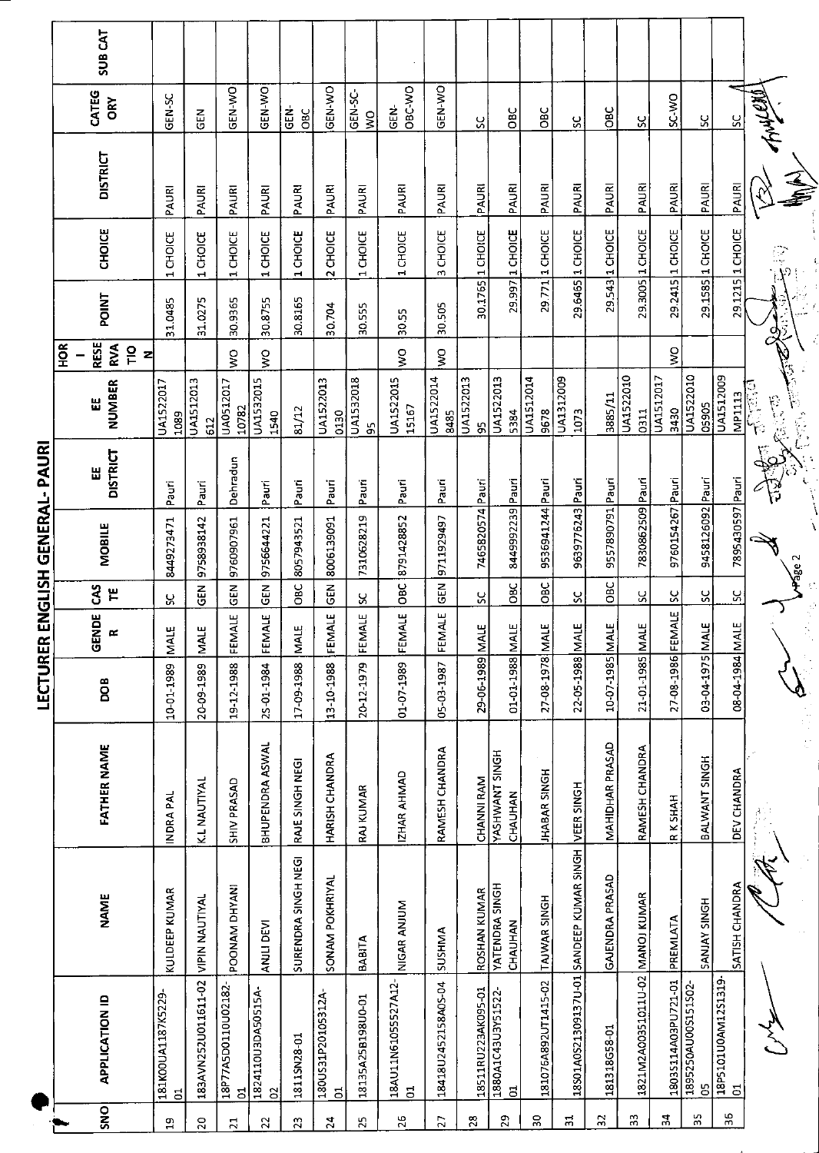|                        | SUB <sub>CAT</sub>                                        |                                      |                       |                          |                         |                     |                        |                          |                                       |                     |                 |                                                            |                     |                                          |                 |                                 |                           |                           |                          |                     |
|------------------------|-----------------------------------------------------------|--------------------------------------|-----------------------|--------------------------|-------------------------|---------------------|------------------------|--------------------------|---------------------------------------|---------------------|-----------------|------------------------------------------------------------|---------------------|------------------------------------------|-----------------|---------------------------------|---------------------------|---------------------------|--------------------------|---------------------|
|                        | CATEG<br><b>ORY</b>                                       | GEN-SC                               | <b>GEN</b>            | GEN-WO                   | GEN-WO                  | <b>GEN-</b><br>OBC  | GEN-WO                 | GEN-SC-<br>δŃ            | OBC-WO<br>GEN-                        | GEN-WO              | X               | <b>DBC</b>                                                 | OBC                 | ပ္တ                                      | OBC             | X                               | SC-WO                     | ပ္ပ                       | ပ္ပ                      | ano                 |
|                        | <b>DISTRICT</b>                                           | PAURI                                | PAURI                 | PAURI                    | PAURI                   | PAURI               | PAURI                  | PAURI                    | PAURI                                 | PAURI               | PAURI           | PAURI                                                      | PAURI               | PAURI                                    | PAURI           | PAURI                           | PAURI                     | PAURI                     | PAURI                    |                     |
|                        | CHOICE                                                    | 1 CHOICE                             | 1 CHOICE              | 1 CHOICE                 | 1 CHOICE                | 1 CHOICE            | 2 CHOICE               | 1 CHOICE                 | 1 CHOICE                              | <b>CHOICE</b><br>w  | 1 CHOICE        | 1 CHOICE                                                   | 29.771 1 CHOICE     | 1 CHOICE                                 | 1 CHOICE        | 29.3005 1 CHOICE                | 29.2415 1 CHOICE          | 29.1585 1 CHOICE          | 29.1215 1 CHOICE         | Ŗ                   |
|                        | <b>POINT</b>                                              | 31.0485                              | 31.0275               | 30.9365                  | 30.8755                 | 30.8165             | 30.704                 | 30.555                   | 30.55                                 | 30.505              | 30.1765         | 29.997                                                     |                     | 29.6465                                  | 29.543          |                                 |                           |                           |                          |                     |
|                        | <b>RESE</b><br>$\frac{8}{2}$<br>RVA<br>$\frac{1}{2}$<br>z |                                      |                       | ş                        | Ş                       |                     |                        |                          | $\frac{1}{2}$                         | $\mathsf{S}$        |                 |                                                            |                     |                                          |                 |                                 | $\mathsf{S}^{\mathsf{O}}$ |                           |                          |                     |
|                        | NUMBER<br>Ш                                               | UA1522017<br>1089                    | UA1512013<br>612      | UA0512017<br>10782       | UA1532015<br>1540       | 81/12               | UA1522013<br>0130      | UA1532018<br>95          | UA1522015<br>15167                    | UA1522014<br>8485   | UA1522013<br>S  | UA1522013<br>5384                                          | UA1512014<br>9678   | UA1312009<br>1073                        | 3885/11         | UA1522010<br>0311               | UA1512017<br>3430         | UA1522010<br>05905        | UA1512009                | <b>MP1113</b><br>不是 |
| ENGLISH GENERAL- PAURI | <b>DISTRICT</b><br>出                                      | Pauri                                | Pauri                 | Dehradun                 | Pauri                   | Pauri               | Pauri                  | Pauri                    | Pauri                                 | Pauri               | Pauri           |                                                            |                     | Pauri                                    | Pauri           | Pauri                           |                           |                           |                          |                     |
|                        | <b>MOBILE</b>                                             | 8449273471                           | 9758938142            | 9760907961               | 9756644221              | 8057943521          | 8006139091             | 7310628219               | 8791428852                            | 9711929497          | 7465820574      | 8449992239 Pauri                                           | 9536941244 Pauri    | 9639776243                               | 9557890791      | 7830862509                      | 9760154267 Pauri          | 9458126092 Pauri          | 7895430597 Pauri         | <b>Hage 2</b>       |
|                        | <b>SVD</b><br>۳                                           | ς                                    | 김<br>영                | ΞD                       | <b>GEN</b>              | OBC                 | GEN                    | Χ                        | OBC                                   | <b>GEN</b>          | ۶C              | <b>DBC</b>                                                 | OBC                 | ပ္တ                                      | OBC             | ပ္တ                             | $\frac{8}{5}$             | X                         | ပ္တ                      |                     |
|                        | GENDE<br>œ                                                | щ<br>Σ                               | <b>MALE</b>           | <b>ALE</b><br>뎙          | FEMALE                  | Ш<br>š              | FEMALE                 | <b>ALE</b><br><b>EEM</b> | FEMALE                                | FEMALE              |                 |                                                            |                     |                                          |                 |                                 |                           |                           |                          |                     |
| LECTURER               | DOB                                                       | 10-01-1989                           | 20-09-1989            | 19-12-1988               | 25-01-1984              | 17 09 1988          | 13-10-1988             | 20-12-1979               | 01-07-1989                            | 05-03-1987          | 29-06-1989 MALE | 01-01-1988 MALE                                            | 27-08-1978 MALE     | 22-05-1988 MALE                          | 10-07-1985 MALE | 21-01-1985 MALE                 | 27-08-1986 FEMALE         | 03-04-1975 MALE           | 08-04-1984 MALE          |                     |
|                        | <b>FATHER NAME</b>                                        | INDRA PAL                            | K.L NAUTIYAL          | SHIV PRASAD              | BHUPENDRA ASWAL         | RAJE SINGH NEGI     | HARISH CHANDRA         | <b>RAJ KUMAR</b>         | IZHAR AHMAD                           | RAMESH CHANDRA      | CHANNI RAM      | YASHWANT SINGH<br>CHAUHAN                                  | <b>JHABAR SINGH</b> | VEER SINGH                               | MAHIDHAR PRASAD | RAMESH CHANDRA                  | R K SHAH                  | BALWANT SINGH             | DEV CHANDRA              |                     |
|                        | <b>NAME</b>                                               | KULDEEP KUMAR                        | <b>VIPIN NAUTIYAL</b> | POONAM DHYANI            | ANJLI DEVI              | SURENDRA SINGH NEGI | SONAM POKHRIYAL        | <b>BABITA</b>            | NIGAR ANJUM                           | SUSHMA              | ROSHAN KUMAR    | YATENDRA SINGH<br>CHAUHAN                                  | TAJWAR SINGH        | 18S01A0S21309137U-01 SANDEEP KUMAR SINGH | GAJENDRA PRASAD |                                 | PREMIATA                  | SANJAY SINGH              | SATISH CHANDRA           |                     |
|                        | <b>APPLICATION ID</b>                                     | 181K00UA1187K5229-<br>$\overline{5}$ | 183AVN252U011611-02   | 18P77A5D0110U02182-<br>ದ | 1824110U3DA50515A-<br>S | 1811SN28-01         | 180US31P20105312A<br>5 | 18135A25B198U0-01        | 18AU11N61055527A12-<br>$\overline{5}$ | 18418U2452158A05-04 |                 | 18511RU223AK095-01<br>1880A1C43U3Y51522-<br>$\overline{5}$ | 181076A892UT1415-02 |                                          | 181318G58-01    | 1821M2A00351011U-02 MANOJ KUMAR | 18035114A03PU721-01       | 1895250AU00S151S02-<br>පි | 18P5101U0AM12S1319<br>01 |                     |
|                        | SNO                                                       | $\Xi$                                | $\overline{c}$        | $\overline{z}$           | $\overline{2}$          | $\mathbf{z}$        | 24                     | $\mathbf{z}$             | 26                                    | 27                  | 28              | 29                                                         | 50                  | $\Xi$                                    | 32              | 33                              | 34                        | 35                        | 96                       |                     |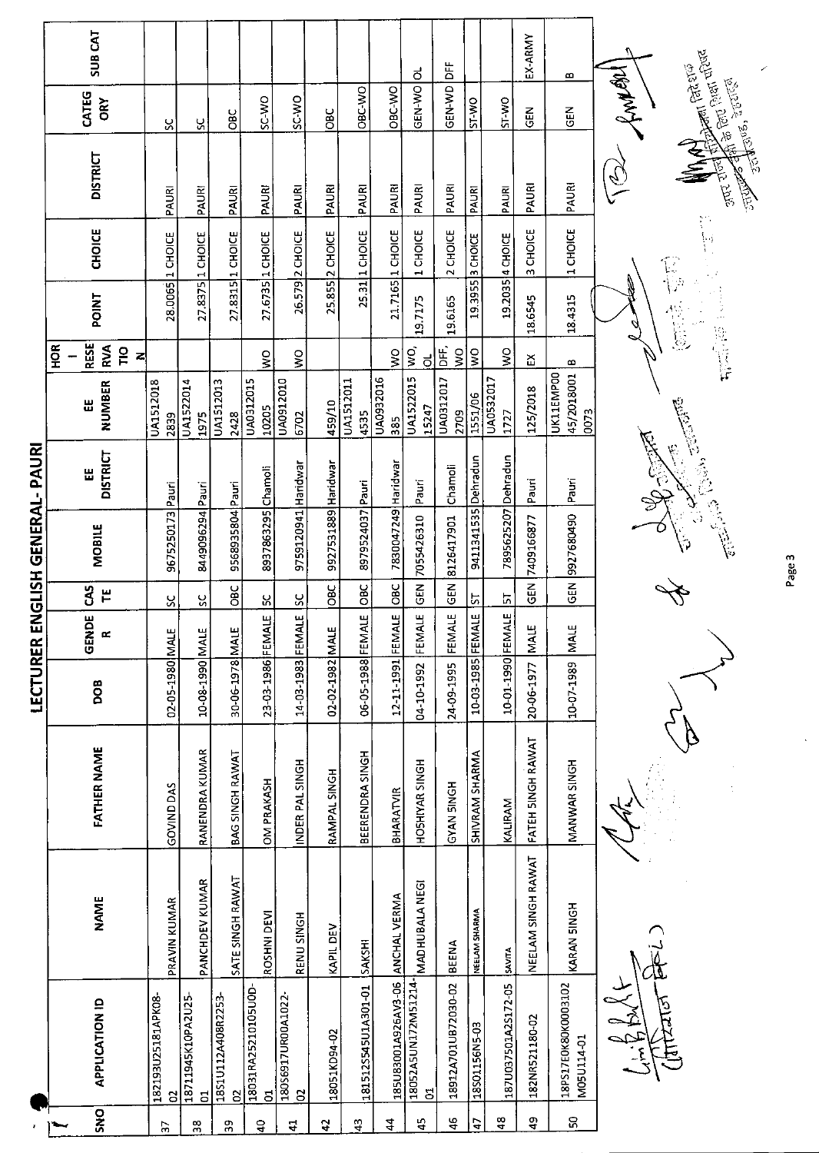|                       |     | SUB CAT                                  |                          |                         |                        |                                       |                                   |                            |                     |                                  | ಕ                         | 齿                    |                           |                     | EX-ARMY            | B                                 |                                                                                                                                                                                                                                  |
|-----------------------|-----|------------------------------------------|--------------------------|-------------------------|------------------------|---------------------------------------|-----------------------------------|----------------------------|---------------------|----------------------------------|---------------------------|----------------------|---------------------------|---------------------|--------------------|-----------------------------------|----------------------------------------------------------------------------------------------------------------------------------------------------------------------------------------------------------------------------------|
|                       |     | CATEG<br>ÕŘ                              | ႘                        | ပ္တ                     | <b>GBC</b>             | SC-WO                                 | <b>SC-WO</b>                      | <b>OBC</b>                 | OBC-WO              | OBC-WO                           | GEN-WO                    | GEN-WD               | ST-WO                     | ST-WO               | 군<br>9             | 군<br>5                            | <b>Altra Grou Part diene</b><br><b>STARE PORCE</b><br>function<br><b>SENT REPORTS</b>                                                                                                                                            |
|                       |     | <b>DISTRICT</b>                          | PAURI                    | PAURI                   | PAURI                  | PAURI                                 | PAURI                             | PAURI                      | PAURI               | PAURI                            | PAURI                     | PAURI                | PAURI                     | PAURI               | PAURI              | PAURI                             | <b>Reminded</b><br>ज़ार राज                                                                                                                                                                                                      |
|                       |     | <b>CHOICE</b>                            | 28.0065 1 CHOICE         | 27.8375 1 CHOICE        | 27.8315 1 CHOICE       | 27.6735 1 CHOICE                      | 26.579 2 CHOICE                   | 25.855 2 CHOICE            | 25.31 1 CHOICE      | 21.7165 1 CHOICE                 | 1 CHOICE                  | 2 CHOICE             | 19.3955 3 CHOICE          | 19.2035 4 CHOICE    | 3 CHOICE           | 1 CHOICE                          | $\mathbb{G}$                                                                                                                                                                                                                     |
|                       |     | <b>POINT</b>                             |                          |                         |                        |                                       |                                   |                            |                     |                                  | 19.7175                   | 19.6165              |                           |                     | 18,6545            | 18.4315                           | 1. 第1章                                                                                                                                                                                                                           |
|                       | HOR | <b>RESE</b><br>RVA<br>$\frac{1}{2}$<br>z |                          |                         |                        | $\frac{1}{2}$                         | $\frac{1}{2}$                     |                            |                     | Ş                                | $\tilde{g}$<br>ಕ          | DE,<br>$\frac{1}{2}$ | $\mathsf{S}^{\mathsf{O}}$ | Ş                   | റ്റ്               | ∞                                 |                                                                                                                                                                                                                                  |
|                       |     | NUMBER<br>Ш                              | <b>UA1512018</b><br>2839 | UA1522014<br>1975       | UA1512013<br>2428      | UA0312015<br>10205                    | UA0912010<br>6702                 | 459/10                     | UA1512011<br>4535   | 0102860AU<br>385                 | <b>UA1522015</b><br>15247 | UA0312017<br>2709    | 1551/06                   | UA0532017<br>1727   | 125/2018           | 45/2018001<br>UK11EMP00<br>0073   |                                                                                                                                                                                                                                  |
|                       |     | <b>DISTRICT</b><br>띪                     |                          |                         |                        |                                       |                                   |                            |                     |                                  | Pauri                     | Chamoli              |                           |                     | Pauri              | Pauri                             | ها است است به ان المال المالي المالي المالي المالي المالي المالي المالي المالي المالي المالي المالي المالي الم<br>المالي المالي المالي المالي المالي المالي المالي المالي المالي المالي المالي المالي المالي المالي المالي المال |
| ENGLISH GENERAL-PAURI |     | MOBILE                                   | 9675250173 Pauri         | 8449096294 Pauri        | 9568935804 Pauri       | 8937863295 Chamoli                    | 9759120941 Haridwar               | 9927531889 Haridwar        | 8979524037 Pauri    | 7830047249 Haridwar              | 7055426310                | 8126417901           | 9411341535 Dehradun       | 7895625207 Dehradun | 7409166877         | 9927680490                        |                                                                                                                                                                                                                                  |
|                       |     | 3<br>٣                                   | S                        | š                       | OBC                    | ပ္ပ                                   | SC                                | OBC                        | <b>OBC</b>          |                                  | $\frac{2}{5}$             | GEN                  | <u>p</u>                  | 5                   | $\tilde{5}$        | $rac{1}{3}$                       |                                                                                                                                                                                                                                  |
|                       |     | GENDE                                    | щ                        |                         |                        |                                       |                                   |                            | $\frac{1}{2}$       |                                  | $\frac{1}{2}$<br>FEM.     | <b>ALE</b><br>FEM    | <b>LE</b>                 | <b>IALE</b>         | <b>NALE</b>        | <b>MALE</b>                       |                                                                                                                                                                                                                                  |
| LECTURER              |     | <b>BOO</b>                               | 02-05-1980 MAL           | 10-08-1990 MALE         | 30-06-1978 MALE        | 23-03-1986 FEMALE                     | 14-03-1983 FEMALE                 | 02-02-1982 MALE            | 06-05-1988 FEM      | 12-11-1991 FEMALE OBC            | 04-10-1992                | 24-09-1995           | 10-03-1985 FEM            | 10-01-1990 FEM      | 20-06-1977         | 10-07-1989                        |                                                                                                                                                                                                                                  |
|                       |     | <b>FATHER NAME</b>                       | GOVIND DAS               | RANENDRA KUMAR          | BAG SINGH RAWAT        | OM PRAKASH                            | INDER PAL SINGH                   | RAMPAL SINGH               | BEERENDRA SINGH     | BHARATVIR                        | HOSHIYAR SINGH            | HONIS NAYO           | SHIVRAM SHARMA            | KALIRAM             | FATEH SINGH RAWAT  | MANWAR SINGH                      |                                                                                                                                                                                                                                  |
|                       |     | <b>NAME</b>                              | PRAVIN KUMAR             | PANCHDEV KUMAR          | SATE SINGH RAWAT       | ROSHNI DEVI                           | RENU SINGH                        | KAPIL DEV                  | SAKSHI              |                                  | MADHUBALA NEGI            | <b>BEENA</b>         | NEELAM SHARMA             | SAVITA              | NEELAM SINGH RAWAT | KARAN SINGH                       |                                                                                                                                                                                                                                  |
|                       |     | <b>APPLICATION ID</b>                    | 182193U25181APK08-<br>g  | 18711945K10PA2U25-<br>đ | 18S1U112A408R2253<br>S | 18031RA25210105U0D-<br>$\overline{5}$ | 18056917UR00A1022<br>$\mathbf{S}$ | 18051KD94-02               | 181512S545U1A301-01 | 185U83001A926AV3-06 ANCHAL VERMA | 18052A5UN172M51214-<br>ă  | 18912A701UB72030-02  | 18501156N5-03             | 187U037501A2S172-05 | 182NR521180-02     | 18PS17EOK80K0003102<br>M05U114-01 |                                                                                                                                                                                                                                  |
|                       |     | <b>ONS</b>                               | $\frac{1}{2}$            | 38                      | 39                     | $\frac{1}{2}$                         | $\mathbf{r}$                      | $\boldsymbol{\mathcal{L}}$ | $\frac{3}{4}$       | $\frac{4}{4}$                    | $\frac{45}{5}$            | $\frac{6}{4}$        | $\overline{4}$            | $\frac{8}{4}$       | $\frac{9}{4}$      | ន                                 |                                                                                                                                                                                                                                  |

Page 3

 $\frac{1}{2}$ 

 $\overline{a}$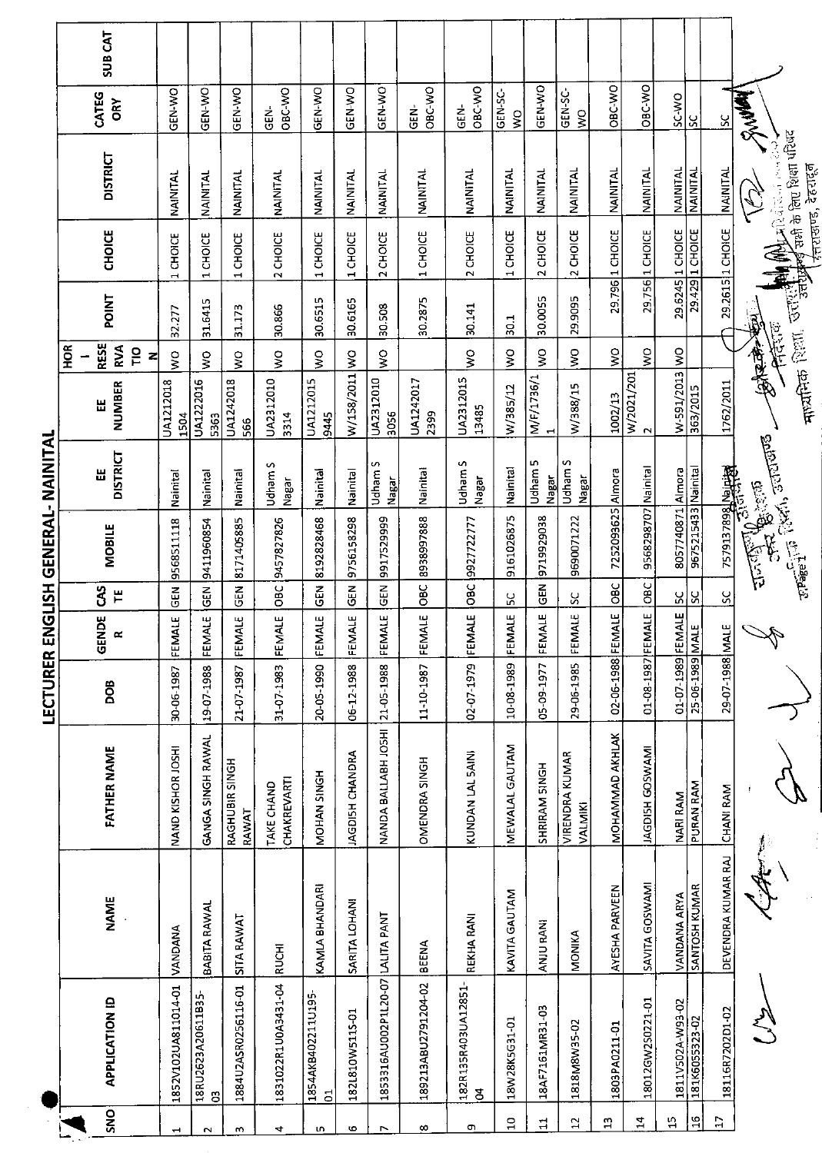|                          |                                      |                                      |                                  |                                      |                          |                 | LECTURER ENGLISH GENERAL- NAINITAL                                                                           |                         |                          |                          |              |                                 |                                                |                          |                |
|--------------------------|--------------------------------------|--------------------------------------|----------------------------------|--------------------------------------|--------------------------|-----------------|--------------------------------------------------------------------------------------------------------------|-------------------------|--------------------------|--------------------------|--------------|---------------------------------|------------------------------------------------|--------------------------|----------------|
|                          |                                      |                                      |                                  |                                      |                          |                 |                                                                                                              |                         |                          | HOR                      |              |                                 |                                                |                          |                |
| SNO                      | <b>APPLICATION ID</b>                | <b>NAME</b>                          | FATHER NAME                      | <b>BOG</b>                           | ă<br>S<br>$\propto$<br>Ū | <b>GAS</b><br>쁱 | <b>MOBILE</b>                                                                                                | <b>DISTRICT</b><br>Ш    | NUMBER<br>뜺              | <b>RESE</b><br>RVA<br>ΓD | <b>POINT</b> | <b>CHOICE</b>                   | <b>DISTRICT</b>                                | CATEG<br>ORY             | <b>SUB CAT</b> |
| $\overline{\phantom{0}}$ | 1852V102UA811014-01                  | VANDANA                              | NAND KISHOR JOSHI                | 30-06-1987                           | <b>ALE</b><br>EEM        | <b>GEN</b>      | 9568511118                                                                                                   | Nainital                | UA1212018<br>1504        | $\frac{1}{2}$<br>z       | 32.277       | 1 CHOICE                        | NAINIKI                                        | <b>GEN-WO</b>            |                |
| Z                        | 18RU2623A20611B35<br>ප               | <b>BABITA RAWAL</b>                  | GANGA SINGH RAWAL                | 19-07-1988                           | FEMALE                   | GEN             | 9411960854                                                                                                   | Nainital                | UA1222016<br>5363        | $\frac{1}{2}$            | 31.6415      | 1 CHOICE                        | <b>NAINITAL</b>                                | ON-Y-N-O                 |                |
| m                        | 1884U2ASR0256116-01                  | SITA RAWAT                           | RAGHUBIR SINGH<br>RAWAT          | 21-07-1987                           | FEMALE                   | 乙<br>55         | 8171405885                                                                                                   | Nainital                | UA1242018<br>566         | ş                        | 31.173       | 1 CHOICE                        | NAINITAL                                       | GEN-WO                   |                |
| 4                        | 1831022R1U0A3431-04                  | <b>RUCHI</b>                         | <b>CHAKREVARTI</b><br>TAKE CHAND | 31-07-1983                           | <b>ALE</b><br>뎙          | OBC             | 9457827826                                                                                                   | Udham S<br>Nagar        | UA2312010<br>3314        | Ş                        | 30.866       | 2 CHOICE                        | <b>NAINITAL</b>                                | OBC-WO<br>GEN-           |                |
| w                        | 1854AKB402211U195-<br>G <sub>1</sub> | KAMLA BHANDARI                       | MOHAN SINGH                      | 20-05-1990                           | FEMALE                   | GEN             | 8192828468                                                                                                   | Nainital                | <b>UA1212015</b><br>9445 | $\frac{0}{2}$            | 30.6515      | 1 CHOICE                        | NAINITAL                                       | GEN-WO                   |                |
| 6                        | 182L810W5115-01                      | SARITA LOHANI                        | JAGDISH CHANDRA                  | 06-12-1988                           | FEMALE                   | ნ<br>წ          | 9756158298                                                                                                   | Nainital                | W/158/2011               | ş                        | 30.6165      | 1 CHOICE                        | NAINITAL                                       | GEN-WO                   |                |
| $\overline{\phantom{1}}$ | 1853316AU002P1L20-07                 | LALITA PANT                          | NANDA BALLABH JOSHI              | 21-05-1988                           | FEMALE                   | $\frac{2}{9}$   | 9917529999                                                                                                   | Udham S<br>Nagar        | UA2312010<br>3056        | $\frac{1}{2}$            | 30.508       | 2 CHOICE                        | NAINITAL                                       | GEN-WO                   |                |
| $\infty$                 | 189213ABU2791204-02                  | <b>BEENA</b>                         | OMENDRA SINGH                    | 11-10-1987                           | FEMALE                   | OBC             | 8938997888                                                                                                   | Nainital                | UA1242017<br>2399        |                          | 30.2875      | 1 CHOICE                        | <b>NAINITAL</b>                                | OBC-WO<br>.<br>영         |                |
| o,                       | 182R135R403UA12851<br>$\mathbf{a}$   | REKHA RANI                           | KUNDAN LAL 5AINI                 | 02-07-1979                           | FEMALE                   | pac             | 9927722777                                                                                                   | Udham S<br><b>IPBPN</b> | UA2312015<br>13485       | ş                        | 30.141       | 2 CHOICE                        | NAINITAL                                       | OBC-WO<br>GEN-           |                |
| $\overline{a}$           | 18W28K5G31-01                        | KAVITA GAUTAM                        | MEWALAL GAUTAM                   | 10-08-1989                           | FEMALE                   | ပ္က             | 9161026875                                                                                                   | Nainital                | W/385/12                 | $\frac{1}{2}$            | 501          | <b>CHOICE</b><br>$\blacksquare$ | NAINITAL                                       | GEN-SC-<br>$\frac{1}{2}$ |                |
| $\sharp$                 | 18AF7161MR31-03                      | ANJU RANI                            | SHRIRAM SINGH                    | 05-09-1977                           | FEMALE                   | <b>ISEN</b>     | 9719929038                                                                                                   | Udham 5<br>Nagar        | M/F/1736/1               | ş                        | 30.0055      | 2 CHOICE                        | NAINITAL                                       | GEN-WO                   |                |
| $\mathbf{L}$             | 1818M8W35-02                         | <b>MONIKA</b>                        | <b>VIRENDRA KUMAR</b><br>VALMIKI | 29-06-1985                           | FEMALE                   | ပ္တ             | 9690071222                                                                                                   | Udham S<br>Nagar        | W/388/15                 | $\frac{1}{2}$            | 29.9095      | 2 CHOICE                        | NAINITAL                                       | GEN-SC-<br>$\frac{1}{2}$ |                |
| $\Omega$                 | 1803PA0211-01                        | AYESHA PARVEEN                       | MOHAMMAD AKHLAK                  | 02-06-1988                           | FEMALE                   | <b>OBC</b>      | 7252093625 Almora                                                                                            |                         | 1002/13                  | Ş                        | 29.796       | 1 CHOICE                        | NAINITAL                                       | OBC-WO                   |                |
| 24                       | 18012GW2S0221-01                     | SAVITA GOSWAMI                       | IAGDISH GOSWAMI                  | 01-08-1987 FEMALE                    |                          | OBC             | 9568298707 Nainital                                                                                          |                         | W/2021/201<br>$\sim$     | $\frac{1}{2}$            |              | 29.756 1 CHOICE                 | NAINITAL                                       | OBC-WO                   |                |
| $\mathfrak{u}$           | 1811V502A-W93-02                     |                                      | <b>NARI RAM</b>                  |                                      |                          | ပ္ကု            | 8057740871 Almora                                                                                            |                         | W-591/2013               | $\overline{\mathsf{S}}$  |              | 29.6245 1 CHOICE                | NAINITAL                                       | <b>DAN-3S</b>            |                |
| $\frac{6}{1}$            | 181K6055323-02                       | <b>VANDANA ARYA</b><br>SANTOSH KUMAR | PURAN RAM                        | 01-07-1989 FEMALE<br>25-06-1989 MALE |                          | š               | 9675215433 Nainital                                                                                          |                         | 363/2015                 |                          |              | 29.429 1 CHOICE                 | NAINITAL                                       | ပ္တ                      |                |
| $\mathbf{r}$             | 18116R7202D1-02                      | DEVENDRA KUMAR RAJ                   | <b>CHANI RAM</b>                 | 29-07-1988 MALE                      |                          | ပ္တ             |                                                                                                              |                         | 1762/2011                |                          |              | 29.2615 1 CHOICE                | NAINITAL                                       | S                        |                |
|                          |                                      |                                      | $\int_{\mathbb{R}^3}$            |                                      |                          |                 | <b>C_LESSERGERERE</b>                                                                                        |                         |                          |                          | 医体系          |                                 |                                                | <b>RAWR</b>              |                |
|                          |                                      |                                      |                                  |                                      |                          |                 | $\frac{1}{\sqrt[3]{\text{length}}} \cdot \frac{1}{\sqrt[3]{\text{width}}}, \frac{1}{\sqrt[3]{\text{width}}}$ |                         | कद्यमिक                  |                          |              | <b>CALLED BEEN MANAGER</b>      | राओ के लिए शिक्षा परिषद<br>र्नराखण्ड, देहरादून |                          |                |

 $\frac{1}{2}$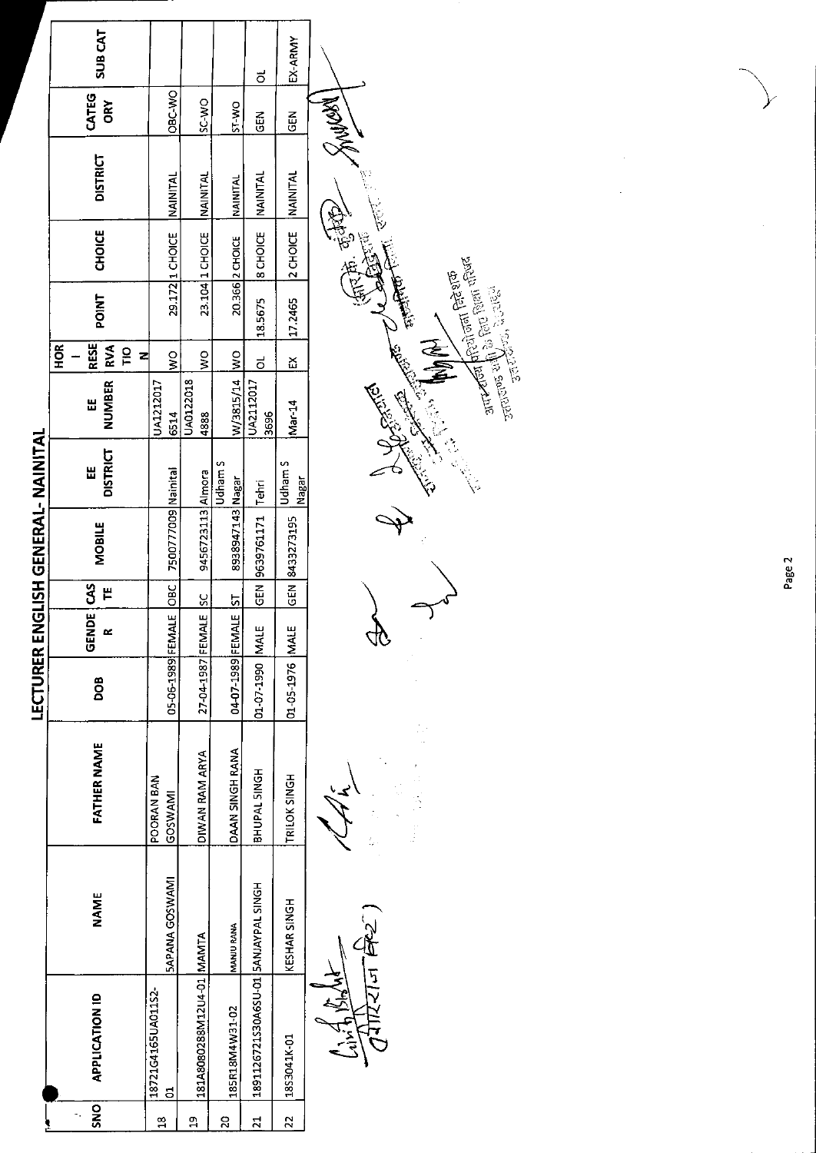|                    |                                      |                       |                               |                   |                          |                   |                     | LECTURER ENGLISH GENERAL- NAINITAL |                                                                                                                                                                                                                                                                                                                                                                                                                                                                                    |                                                        |                   |                 |                 |              |                |
|--------------------|--------------------------------------|-----------------------|-------------------------------|-------------------|--------------------------|-------------------|---------------------|------------------------------------|------------------------------------------------------------------------------------------------------------------------------------------------------------------------------------------------------------------------------------------------------------------------------------------------------------------------------------------------------------------------------------------------------------------------------------------------------------------------------------|--------------------------------------------------------|-------------------|-----------------|-----------------|--------------|----------------|
| SNO                | <b>APPLICATION ID</b>                | <b>NAME</b>           | <b>FATHER NAME</b>            | DOB               | <b>GENDE</b><br>$\alpha$ | S<br>$\mathbf{H}$ | <b>MOBILE</b>       | <b>DISTRICT</b><br>Ш               | <b>NUMBER</b><br>Ш                                                                                                                                                                                                                                                                                                                                                                                                                                                                 | <b>RESE</b><br>HOR<br><b>RVA</b><br>$\frac{1}{2}$<br>킥 | <b>POINT</b>      | <b>CHOICE</b>   | <b>DISTRICT</b> | CATEG<br>ORY | <b>SUB CAT</b> |
| $\frac{\infty}{2}$ | 18721G4165UA011S2-<br>$\overline{5}$ | <b>SAPANA GOSWAMI</b> | POORAN BAN<br>GOSWAMI         | 05-06-1989 FEMALE |                          | OBC               | 7500777009 Nainital |                                    | UA1212017<br>6514                                                                                                                                                                                                                                                                                                                                                                                                                                                                  | $\frac{0}{5}$                                          |                   | 29.172 1 CHOICE | NAINITAL        | OBC WO       |                |
| <u>ញ</u>           | 181A8080288M12U4-01 MAMTA            |                       | DIWAN RAM ARYA                | 27-04-1987 FEMALE |                          | SC                | 9456723113 Almora   |                                    | UA0122018<br>4888                                                                                                                                                                                                                                                                                                                                                                                                                                                                  | $\frac{1}{2}$                                          |                   | 23.104 1 CHOICE | NAINITAL        | SC-WO        |                |
| $\overline{a}$     | 185R18M4W31-02                       | MANJU RANA            | DAAN SINGH RANA               | 04-07-1989 FEMALE |                          | <u>ს</u>          | 8938947143 Nagar    | Udham S                            | W/3815/14                                                                                                                                                                                                                                                                                                                                                                                                                                                                          | $\frac{8}{15}$                                         |                   | 20.366 2 CHOICE | <b>NAINITAL</b> | ST-WO        |                |
| $\overline{21}$    | 1891126721330A6SU-01 SANJAYPAL SINGH |                       | BHUPAL SINGH                  | 01-07-1990 MALE   |                          | <b>GEN</b>        | 9639761171          | Tehri                              | UA2112017<br>3696                                                                                                                                                                                                                                                                                                                                                                                                                                                                  | $\overline{5}$                                         | 18.5675           | 8 CHOICE        | NAINITAL        | 65           | $\vec{o}$      |
| 22                 | 18S3041K-01                          | KESHAR SINGH          | TRILOK SINGH                  | 01-05-1976 MALE   |                          | GEN               | 8433273195          | Udham S<br><b>Nagar</b>            | Mar-14                                                                                                                                                                                                                                                                                                                                                                                                                                                                             | $\boldsymbol{\tilde{\omega}}$                          | 17 24 65          | 2 CHOICE        | NAINITAL        | GEN          | EX-ARMY        |
|                    | たけい                                  | $\sqrt{1-1}$          | $\frac{1}{2}$ , $\frac{1}{2}$ |                   | λ                        |                   |                     |                                    | $\frac{1}{2} \frac{1}{2} \left( \frac{1}{2} \right)^{\frac{1}{2}} \left( \frac{1}{2} \right)^{\frac{1}{2}} \left( \frac{1}{2} \right)^{\frac{1}{2}} \left( \frac{1}{2} \right)^{\frac{1}{2}} \left( \frac{1}{2} \right)^{\frac{1}{2}} \left( \frac{1}{2} \right)^{\frac{1}{2}} \left( \frac{1}{2} \right)^{\frac{1}{2}} \left( \frac{1}{2} \right)^{\frac{1}{2}} \left( \frac{1}{2} \right)^{\frac{1}{2}} \left( \frac{1}{2} \right)^{\frac{1}{2}} \left( \frac{$<br><b>ED FOR</b> | 医鼻                                                     | <b>City</b><br>∾, | Ř               | たい              | MORN         |                |
|                    |                                      |                       |                               |                   |                          |                   |                     |                                    |                                                                                                                                                                                                                                                                                                                                                                                                                                                                                    |                                                        |                   |                 |                 |              |                |

Page 2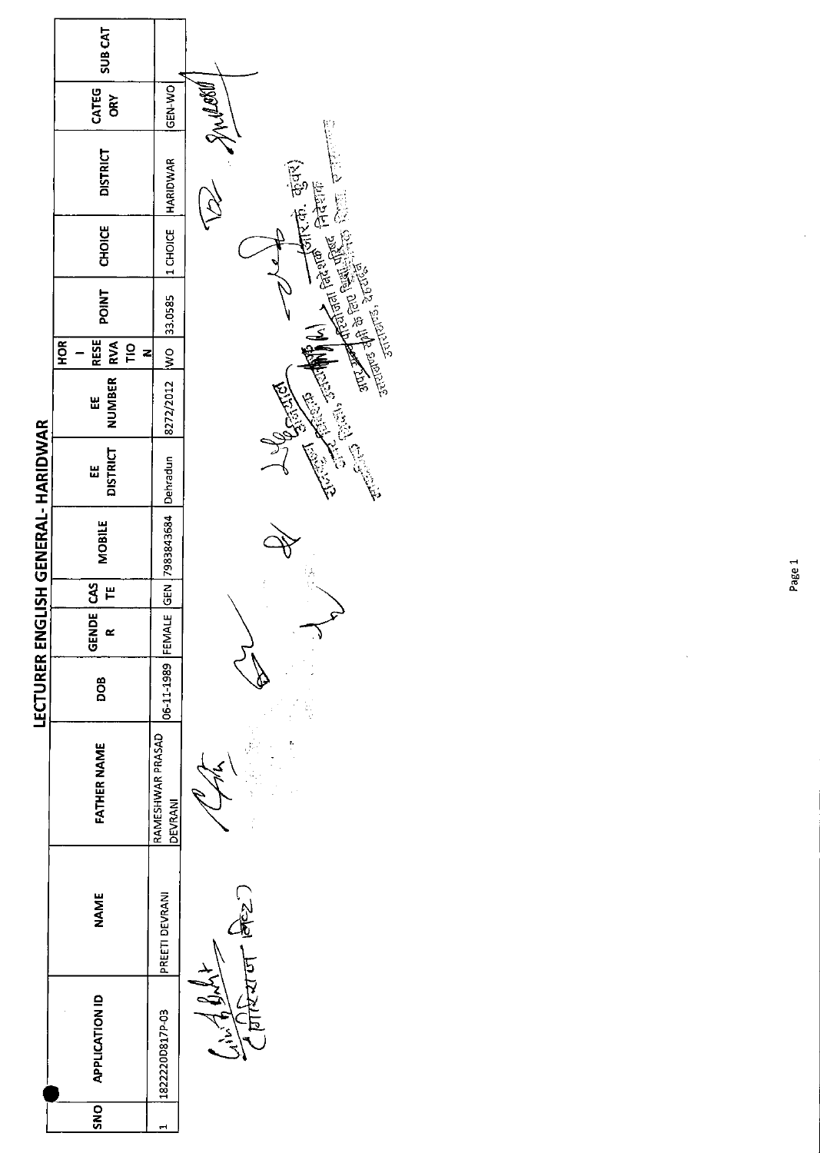|                                    | SUB <sub>CAT</sub>                                    |                             |                                  |
|------------------------------------|-------------------------------------------------------|-----------------------------|----------------------------------|
|                                    | CATEG<br><b>ORY</b>                                   | <b>OK-N-NO</b>              |                                  |
|                                    | <b>DISTRICT</b>                                       | HARIDWAR                    | EREST AND A POST OF CERED (2017) |
|                                    | <b>CHOICE</b>                                         | 1 CHOICE                    |                                  |
|                                    | <b>TNIO4</b>                                          | 33.0585                     |                                  |
|                                    | <b>RESE</b><br>HOR <sub>I</sub><br>$\frac{1}{2}$<br>z |                             |                                  |
|                                    | NUMBER RVA<br>出                                       | 8272/2012  WO               | Children Children                |
|                                    | <b>DISTRICT</b><br>Ш                                  |                             |                                  |
| LECTURER ENGLISH GENERAL- HARIDWAR | <b>MOBILE</b>                                         | 7983843684 Dehradun         |                                  |
|                                    | F                                                     |                             |                                  |
|                                    | GENDE CAS                                             |                             |                                  |
|                                    | <b>BOD</b>                                            | 06-11-1989 FEMALE GEN       |                                  |
|                                    | <b>FATHER NAME</b>                                    | RAMESHWAR PRASAD<br>DEVRANI |                                  |
|                                    | <b>NAME</b>                                           | PREETI DEVRANI              | - 1942)                          |
|                                    | <b>APPLICATION ID</b>                                 | 1822220D817P-03             |                                  |
|                                    | SNO                                                   | Н                           |                                  |

 $\ddot{\phantom{0}}$ 

Ŷ,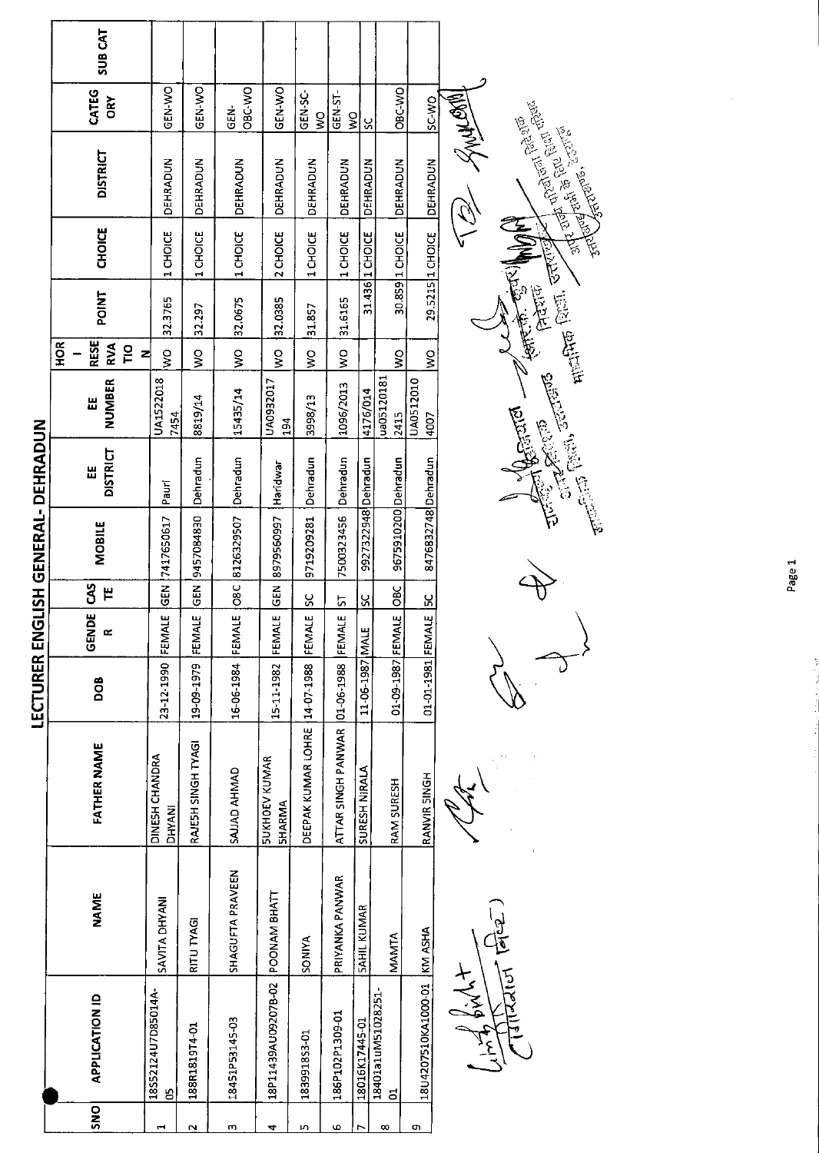|                         | <b>SUB CAT</b>                                         |                          |                    |                    |                                       |                               |                          |                     |                        |                             |                                                    |
|-------------------------|--------------------------------------------------------|--------------------------|--------------------|--------------------|---------------------------------------|-------------------------------|--------------------------|---------------------|------------------------|-----------------------------|----------------------------------------------------|
|                         | CATEG<br><b>ORY</b>                                    | GEN-WO                   | ON-Y-NO            | OBC-WO<br>GEN-     | GEN-WO                                | GEN-SC-<br>$\frac{1}{2}$      | GEN-ST-<br>$\frac{8}{3}$ | S                   | OBC-WO                 | <b>SC-WO</b>                | <b>TWO ANYST</b>                                   |
|                         | <b>DISTRICT</b>                                        | DEHRADUN                 | DEHRADUN           | DEHRADUN           | DEHRADUN                              | DEHRADUN                      | <b>DEHRADUN</b>          | DEHRADUN            | DEHRADUN               | <b>DEHRADUN</b>             | <b>Andrew School Control</b><br>$\tilde{Q}$        |
|                         | <b>CHOICE</b>                                          | 1 CHOICE                 | CHOICE<br>1        | 1 CHOICE           | 2 CHOICE                              | 1 CHOICE                      | 1 CHOICE                 | 31.436 1 CHOICE     | 30.859 1 CHOICE        | 29.5215 1 CHOICE            | RIVIN                                              |
|                         | <b>POINT</b>                                           | 32.3765                  | 32.297             | 32.0675            | 32.0385                               | 31.857                        | 31.6165                  |                     |                        |                             | <b>Highler</b> Court Care Control<br>金馬虎 的复数<br>医院 |
|                         | <b>RESE</b><br><b>HOR</b><br>RVA<br>$\frac{1}{2}$<br>즤 | ş                        | $\frac{1}{2}$      | $\frac{8}{5}$      | Ş                                     | ş                             | $\frac{8}{2}$            |                     | $\frac{1}{2}$          | ş                           |                                                    |
|                         | <b>NUMBER</b><br>出                                     | UA1522018<br>7454        | 8819/14            | 15435/14           | UA0932017<br>194                      | 3998/13                       | 1096/2013                | 4176/014            | ua05120181<br>2415     | UA0512010<br>4007           | The Court of Country of Countries Co.              |
|                         | <b>DISTRICT</b><br>出                                   | Pauri                    | Dehradun           | Dehradun           | Haridwar                              | Dehradun                      | Dehradun                 |                     |                        |                             | <b>Completed</b>                                   |
| GLISH GENERAL- DEHRADUN | MOBILE                                                 | 7417650617               | 9457084830         | O8C 8126329507     | 8979560997                            | 9719209281                    | 7500323456               | 9927322948 Dehradun | 9675910200 Dehradun    | 8476832748 Dehradun         |                                                    |
|                         | 3<br>٣                                                 | GEN ]                    | <b>SEN</b>         |                    | <b>GEN</b>                            | ပ္တ                           | 51                       | SC                  | OBC                    | $\frac{8}{5}$               |                                                    |
|                         | <b>DE</b><br><b>GEN</b>                                | FEMALE                   | FEMALE             | FEMALE             | FEMALE                                | FEMALE                        | FEMALE                   |                     |                        |                             |                                                    |
| LECTURER EN             | DOB                                                    | 23-12-1990               | 19-09-1979         | 16-06-1984         | 15-11-1982                            |                               | 01-06-1988               | 11-06-1987 MAL      | 01-09-1987 FEMALE      | 01-01-1981 FEMALE           |                                                    |
|                         | <b>FATHER NAME</b>                                     | DINESH CHANDRA<br>DHYANI | RAJESH SINGH TYAGI | <b>GAUAD AHMAD</b> | <b>SUKHOEV KUMAR</b><br><b>SHARMA</b> | DEEPAK KUMAR LOHRE 14-07-1988 | ATTAR SINGH PANWAR       | SURESH NIRALA       | RAM SURESH             | RANVIR SINGH                |                                                    |
|                         | <b>NAME</b>                                            | SAVITA DHYANI            | RITU TYAGI         | SHAGUFTA PRAVEEN   | POONAM BHATT                          | <b>SONIYA</b>                 | PRIYANKA PANWAR          | <b>SAHIL KUMAR</b>  | MAMTA                  |                             |                                                    |
|                         | <b>APPLICATION ID</b>                                  | 18552124U7D85014A-<br>5  | 188R1819T4-01      | 18451P53145-03     | 18P11439AU092078-02                   | 183991853-01                  | 186P102P1309-01          | 18016K17445-01      | 18401a1uM51028251<br>៩ | 18U4207510KA1000-01 KM ASHA | $\frac{1}{2}$<br>Ind bight                         |
|                         | SNO                                                    |                          |                    |                    |                                       |                               |                          |                     |                        |                             |                                                    |

**Contract Control Control Control Control**<br>Control Control Control Control Control Control Control Control Control Control Control Control Control Control Control Control Control Control Control Control Control Control Con  $\rightarrow$ 

Page 1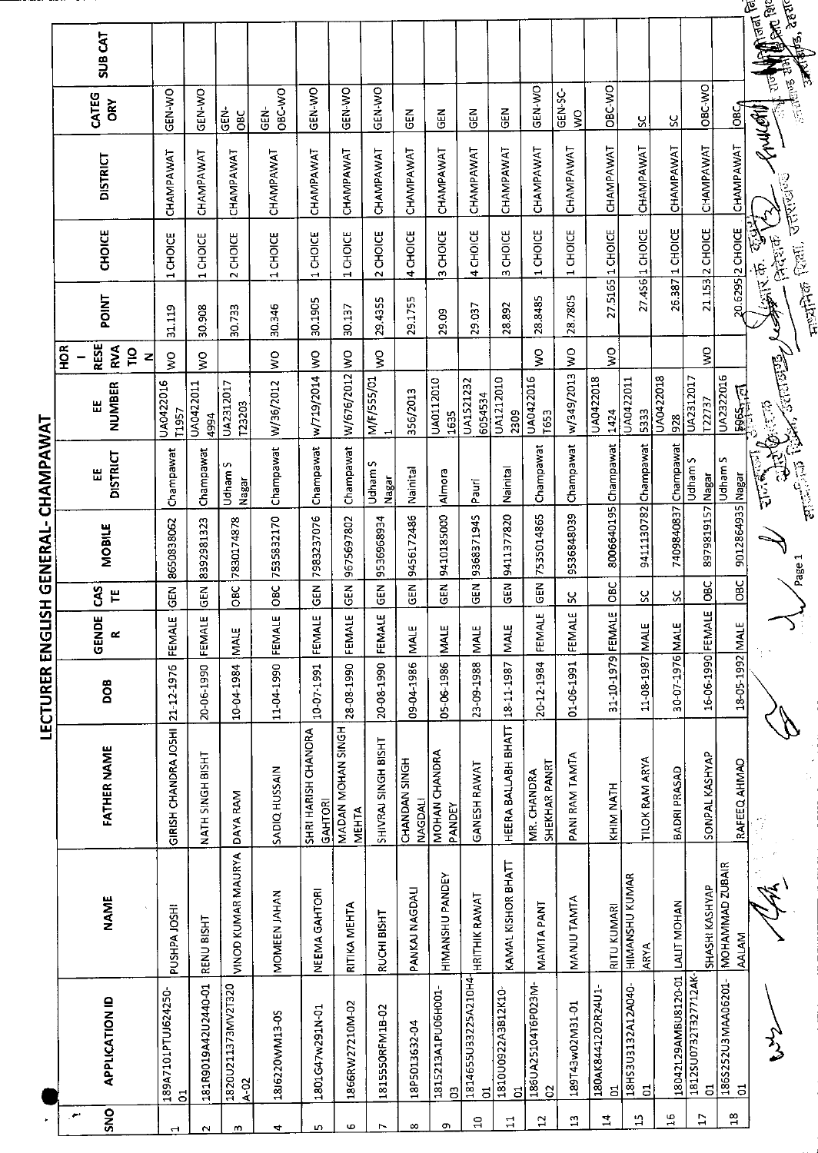| SUB <sub>CAT</sub>                                                  |                                 |                     |                                |                  |                                |                                   |                     |                                 |                         |                          |                         |                                |                                    |                         |                                      |                                  |                           |                                      | <b>Collage Discover</b><br><b>Alapter</b> , Statt<br>$\frac{1}{2}$ |                 |
|---------------------------------------------------------------------|---------------------------------|---------------------|--------------------------------|------------------|--------------------------------|-----------------------------------|---------------------|---------------------------------|-------------------------|--------------------------|-------------------------|--------------------------------|------------------------------------|-------------------------|--------------------------------------|----------------------------------|---------------------------|--------------------------------------|--------------------------------------------------------------------|-----------------|
| CATEG<br>ORY                                                        | GEN-WO                          | GEN-WO              | $\frac{1}{2}$<br>3go           | OBC-WO<br>GEN-   | GEN-WO                         | <b>GEN-WO</b>                     | GEN-WO              | 군<br>명                          | 준<br>연                  | មិ                       | 옵<br>U                  | GEN-WO                         | GEN-SC-<br>Š                       | <b>OBC-V/O</b>          | χ                                    | ပွ                               | OBC-VO                    | <b>DBC</b>                           | Frucatil                                                           | ्राण्ड र        |
| <b>DISTRICT</b>                                                     | CHAMPAWAT                       | CHAMPAWAT           | CHAMPAWAT                      | CHAMPAWAT        | CHAMPAWAT                      | CHAMPAWAT                         | CHAMPAWAT           | CHAMPAWAT                       | CHAMPAWAT               | CHAMPAWAT                | <b>CHAMPAWAT</b>        | CHAMPAWAT                      | CHAMPAWAT                          | CHAMPAWAT               | CHAMPAWAT                            | CHAMPAWAT                        | CHAMPAWAT                 | CHAMPAWAT                            | उत्तराखण्ड                                                         |                 |
| <b>CHOICE</b>                                                       | 1CHOICE                         | 1 CHOICE            | 2 CHOICE                       | 1 CHOICE         | 1 CHOICE                       | 1 CHOICE                          | 2 CHOICE            | 4 CHOICE                        | 3 CHOICE                | 4 CHOICE                 | 3 CHOICE                | <b>CHOICE</b><br>1             | CHOICE<br>$\overline{\phantom{0}}$ | 1 CHOICE                | 27.456 1 CHOICE                      | 1 CHOICE                         | 21.153 2 CHOICE           | 20.6295 2 CHOICE                     | 95550                                                              | restrict facts. |
| POINT                                                               | 31.119                          | 30.908              | 30.733                         | 30.346           | 30.1905                        | 30.137                            | 29.4355             | 29.1755                         | 29.09                   | 29.037                   | 28,892                  | 28.8485                        | 28.7805                            | 27.5165                 |                                      | 26.387                           |                           |                                      | 医心理学                                                               |                 |
| <b>RESE</b><br><b>HOR</b><br>$\sum_{k=1}^{n}$<br>$\frac{1}{2}$<br>z | š                               | š                   |                                | $\frac{8}{2}$    |                                |                                   | ş                   |                                 |                         |                          |                         | $\frac{1}{2}$                  | ş                                  | $\frac{1}{2}$           |                                      |                                  | $\frac{1}{2}$             |                                      |                                                                    |                 |
| <b>NUMBER</b><br>닚                                                  | UA0422016<br>T1957              | UA0422011<br>4994   | UA2312017<br>123203            | W/36/2012        | w/719/2014 WO                  | W/676/2012 WO                     | M/F/555/01          | 356/2013                        | UA0112010<br>1635       | UA1521232<br>6054534     | UA1212010<br>2309       | UA0422016<br>T <sub>653</sub>  | w/349/2013                         | UA0422018<br>1424       | UA0422011<br>5333                    | UA0422018<br>928                 | UA2312017<br>T22737       | UA2322016<br>$\frac{18965 + 71}{2}$  | G. (5-75                                                           |                 |
| <b>DISTRICT</b><br>쁪                                                | Champawat                       | Champawat           | Udham S<br>Nagar               | <b>Champawat</b> | Champawat                      | Champawat                         | Udham S<br>Nagar    | Nainital                        | Almora                  | Pauri                    | Nainital                | Champawat                      | Champawat                          | 8006640195 Champawat    | 9411130782 Champawat                 | Champawat                        | Udham S<br><b>Ieas</b>    | Udham S                              | annis Barrent Strauber<br><b>ASSES</b>                             |                 |
| MOBILE                                                              | 8650838062                      | 8392981323          | 7830174878                     | 7535832170       | 7983237076                     | 9675697802                        | 9536968934          | 9456172486                      | 9410185000              | 9368371945               | 9411377820              | 7535014865                     | 9536848039                         |                         |                                      | 7409840837                       | 8979819157                | 9012864935 Nagar                     |                                                                    |                 |
| 3<br>٣                                                              | កូ<br>ច                         | 65N                 | OBC                            | OBC              | <b>GEN</b>                     | $\frac{2}{5}$                     | <b>GEN</b>          | $\frac{2}{3}$                   | GEN <sub></sub>         | ัน<br>ซิ                 | $\overline{5}$          | ដូ<br>ច                        | ပ္တ                                | <b>OBC</b>              | ပ္တ                                  | ပ္ပ                              | $rac{1}{2}$               | OBC                                  |                                                                    |                 |
| GENDE<br>œ                                                          | FEMALE                          | FEMALE              | <b>MALE</b>                    | FEMALE           | FEMALE                         | FEMALE                            | FEMALE              | <b>MALE</b>                     | <b>NALE</b>             | <b>MALE</b>              | <b>MALE</b>             | FEMALE                         | FEMALE                             | ш                       |                                      |                                  | 피                         |                                      |                                                                    |                 |
| DOB                                                                 |                                 | 20-06-1990          | 10-04-1984                     | 11-04-1990       | 10-07-1991                     | 28-08-1990                        | 20-08-1990          | 09-04-1986                      | 05-06-1986              | 23-09-1988               | 18-11-1987              | 20-12-1984                     | 01-06-1991                         | 31-10-1979 FEMAL        | 11-08-1987 MALE                      | 30-07-1976 MALE                  | 16-06-1990 FEMAL          | 18-05-1992 MALE                      |                                                                    |                 |
| <b>FATHER NAME</b>                                                  | GIRISH CHANDRA JOSHI 21-12-1976 | NATH SINGH BISHT    | DAYA RAM                       | SADIQ HUSSAIN    | SHRI HARISH CHANORA<br>GAHTORI | MADAN MOHAN SINGH<br><b>MEHTA</b> | SHIVRAJ SINGH BISHT | CHANDAN SINGH<br><b>NAGDALI</b> | MOHAN CHANDRA<br>PANDEY | <b>GANESH RAWAT</b>      | HEERA BALLABH BHATT     | SHEKHAR PANRT<br>MR. CHANDRA   | PANI RAM TAMTA                     | KHIM NATH               | TILOK RAM ARYA                       | BADRI PRASAD                     | SONPAL KASHYAP            | RAFEEQ AHMAD                         |                                                                    |                 |
| NAME                                                                | PUSHPA JOSH!                    | RENU BISHT          | VINOD KUMAR MAURYA             | MOMEEN JAHAN     | NEEMA GAHTORI                  | RITIKA MEHTA                      | RUCHI BISHT         | PANKAJ NAGDALI                  | HIMANSHU PANDEY         | <b>HRITHIK RAWAT</b>     | KAMAL KISHOR BHATT      | MANTA PANT                     | MANJU TAMTA                        | <b>RITU KUMARI</b>      | <b>HIMANSHU KUMAR</b><br><b>ARYA</b> |                                  | SHASHI KASHYAP            | MOHAMMAD ZUBAIR<br><b>AALAM</b>      |                                                                    |                 |
| <b>APPLICATION ID</b>                                               | 189A7101PTUJ624250-             | 181R9019A42U2440-01 | 1820U211373MV2T320<br>$A_0$ 02 | 18J6220WM13-0S   | 1801G47w291N-01                | 1866RW27210M-02                   | 1815550RFM1B-02     | 18P5013632-04                   | 1815213A1PU06H001-<br>ප | 1814655U33225A210H4<br>ರ | 1810U0922A3B12K10-<br>ರ | 186UA25104T6P023M-<br>$\Omega$ | 189T43w02M31-01                    | 180AK8441202R24U1-<br>ដ | 18HS3U3132A12A040-<br>S.             | 18042129AMBU8120-01  LALIT MOHAN | 1812SU0732T327712AK-<br>5 | 186S252U3MAA06201-<br>$\overline{5}$ |                                                                    |                 |
| <b>SNO</b><br>$\sim$                                                | $\overline{5}$                  |                     |                                |                  |                                |                                   |                     |                                 |                         | å                        | 급                       | $\overline{c}$                 | $\Xi$                              | $\mathbf{z}$            | ្អ                                   | $\mathfrak{a}$                   | $\overline{1}$            | $^{22}$                              |                                                                    |                 |
|                                                                     | $\blacktriangleleft$            | $\sim$              | m                              | 4                | ю                              | Ф                                 | r                   | $\infty$                        | o                       |                          |                         |                                |                                    |                         |                                      |                                  |                           |                                      |                                                                    |                 |

I FCTIRER ENGISH GENERAI- CHAMPAWAT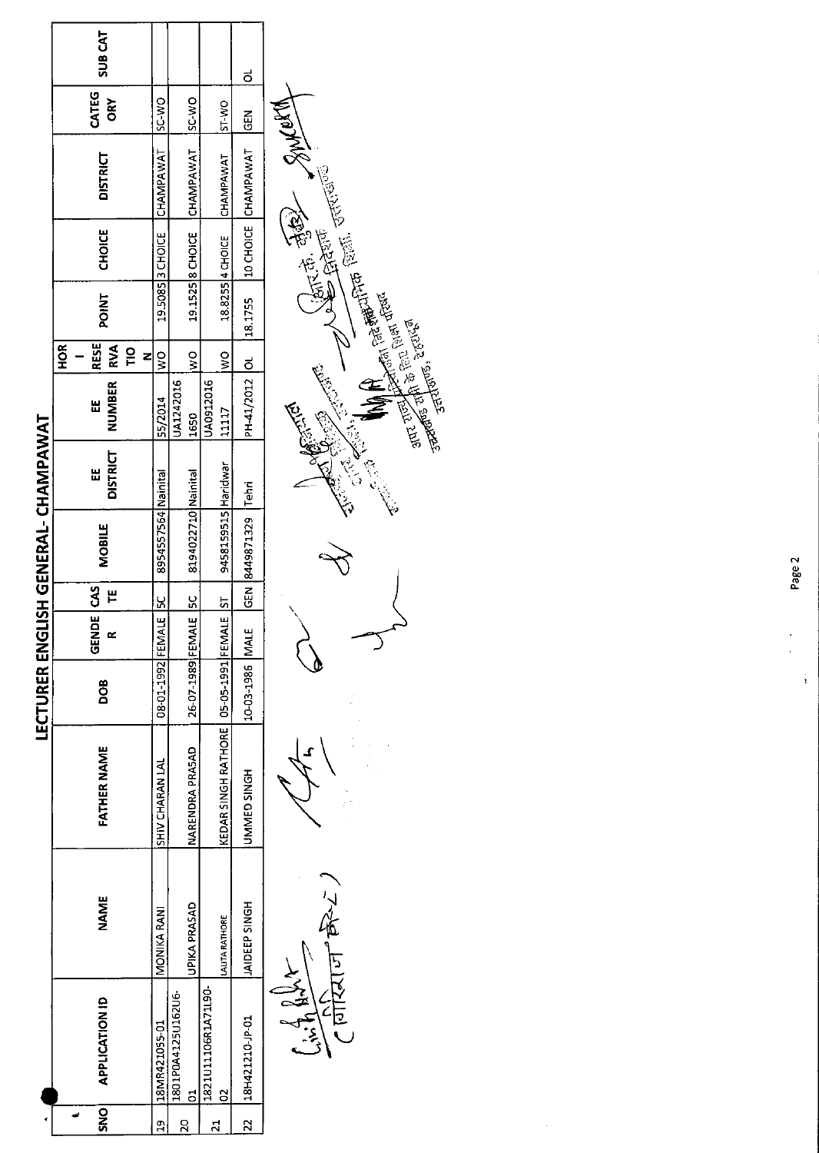|         |                       |                       |                                              |                      |                   |                 | LECTURER ENGLISH GENERAL- CHAMPAWAT |                      |                    |                                                                      |         |                  |                     |               |               |  |
|---------|-----------------------|-----------------------|----------------------------------------------|----------------------|-------------------|-----------------|-------------------------------------|----------------------|--------------------|----------------------------------------------------------------------|---------|------------------|---------------------|---------------|---------------|--|
| SNO     | <b>APPLICATION ID</b> | NAME                  | <b>FATHER NAME</b>                           | DOB                  | <b>GENDE</b><br>œ | <b>CAS</b><br>٣ | <b>MOBILE</b>                       | <b>DISTRICT</b><br>Ш | <b>NUMBER</b><br>Ш | <b>RESE</b><br>HOR <sub>I</sub><br><b>IRVA</b><br>$\frac{1}{2}$<br>z | POINT   | <b>CHOICE</b>    | <b>DISTRICT</b>     | CATEG<br>ORY  | <b>SUBCAT</b> |  |
| ິດ<br>ຕ | 18MR421055-01         | MONIKA RANI           | SHIV CHARAN LAL                              | 08-01-1992 FEMAL     | $rac{5}{4}$       |                 | 8954557564 Nainital                 |                      | 55/2014            | $\frac{8}{5}$                                                        |         | 19.5085 3 CHOICE | CHAMPAWAT           | <b>DAC-2S</b> |               |  |
| g       | 1801P0A4125U162U6-    |                       |                                              |                      |                   |                 |                                     |                      | UA1242016          |                                                                      |         |                  |                     |               |               |  |
|         | ದ                     | UPIKA PRASAD          | NARENDRA PRASAD                              | 26-07-1989 FEMALE 5C |                   |                 | 8194022710 Nainital                 |                      | 1650               | $\frac{8}{2}$                                                        |         | 19.1525 8 CHOICE | CHAMPAWAT           | <b>SC-WO</b>  |               |  |
|         | 1821U11106R1A71L90-   |                       |                                              |                      |                   |                 |                                     |                      | UA0912016          |                                                                      |         |                  |                     |               |               |  |
|         | 8                     | <b>LALITA RATHORE</b> | KEDAR SINGH RATHORE   05-05-1991 FEMALE   ST |                      |                   |                 | 9458159515 Haridwar                 |                      | 11117              | ş                                                                    |         | 18.8255 4 CHOICE | CHAMPAWAT           | ST-WO         |               |  |
| 2       | 18H421210 JP 01       | <b>JAIDEEP SINGH</b>  | UMMED SINGH                                  | 10-03-1986 MALE      |                   |                 | GEN 8449871329 Tehri                |                      | PH41/2012 OL       |                                                                      | 18.1755 |                  | 10 CHOICE CHAMPAWAT | $rac{5}{6}$   | ಠ             |  |
|         | Trip Hilber           |                       |                                              |                      |                   |                 |                                     |                      | Ý                  |                                                                      |         | ( 原志 高野          | <b>WAYNER</b>       |               |               |  |

 $\frac{2}{\sqrt{\frac{1}{2}}\left(\frac{1}{2}\right)}\left(\frac{1}{2}\right)^{2}}$ 

 $\ddot{\phantom{0}}$ 

 $\, \triangleleft$  $\mathbf{\hat{z}}$ 



 $\frac{1}{2}$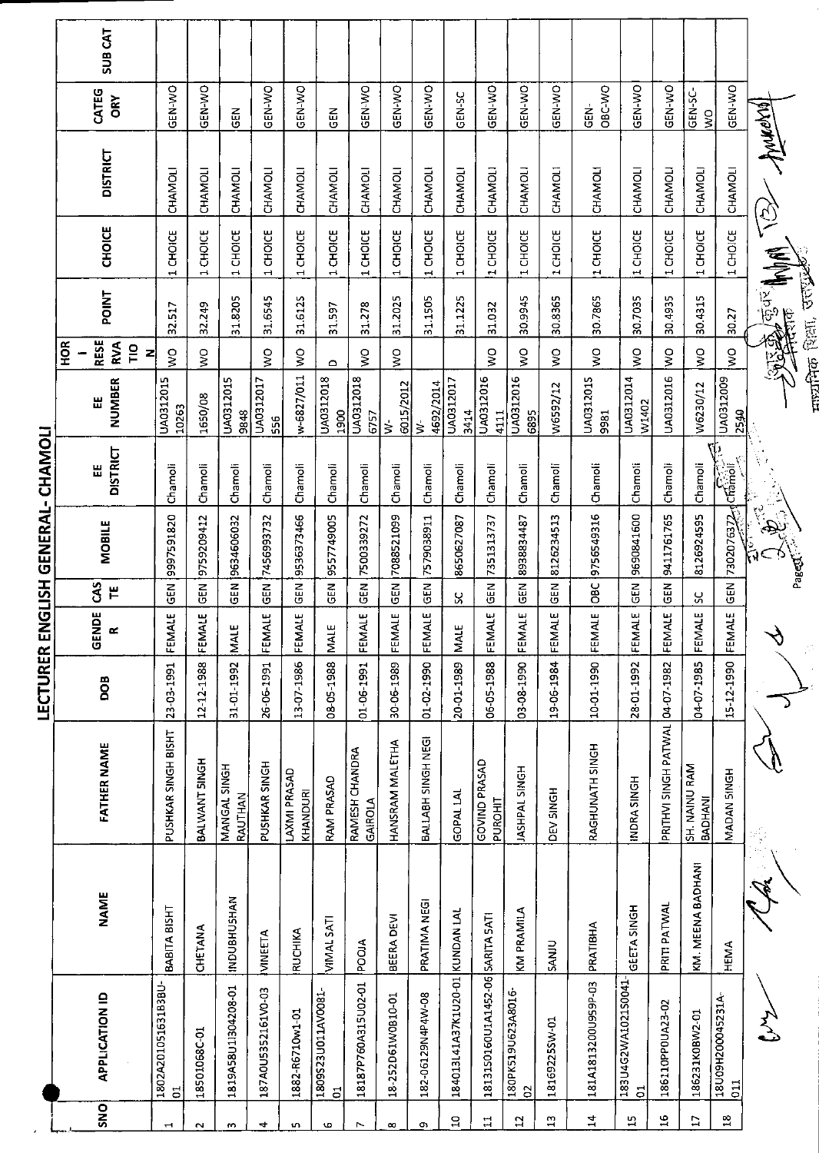|                                   | <b>SUB CAT</b>                          |                      |                                       |                        |                         |                          |                          |                                      |                                  |                            |                                 |                                 |                                  |                                |                                |                     |                                      |                                 |                          |                                    |                           |               |
|-----------------------------------|-----------------------------------------|----------------------|---------------------------------------|------------------------|-------------------------|--------------------------|--------------------------|--------------------------------------|----------------------------------|----------------------------|---------------------------------|---------------------------------|----------------------------------|--------------------------------|--------------------------------|---------------------|--------------------------------------|---------------------------------|--------------------------|------------------------------------|---------------------------|---------------|
|                                   | CATEG<br><b>ORY</b>                     |                      | GEN-WO                                | GEN-WO                 | $\overline{5}$          | GEN-WO                   | GEN-WO                   | $\frac{2}{5}$                        | GEN-WO                           | <b>GEN-WO</b>              | GEN-WO                          | GEN-SC                          | GEN-WO                           | GEN-WO                         | GEN-WO                         | OBC-WO<br>ĠB,       | GEN-WO                               | GEN-WO                          | GEN-SC-<br>$\frac{8}{5}$ | GEN-WO                             |                           |               |
|                                   | <b>DISTRICT</b>                         |                      | CHAMOLI                               | CHAMOLI                | CHAMOLI                 | CHAMOLI                  | CHAMOLI                  | CHAMOLI                              | CHAMOLI                          | CHAMOLI                    | CHAMOLI                         | <b>CHAMOLI</b>                  | <b>CHAMOLI</b>                   | <b>CHAMOLI</b>                 | <b>CHAMOLI</b>                 | CHAMOLI             | CHAMOLI                              | CHAMOLI                         | CHAMOLI                  | CHAMOLI                            | Annewal                   |               |
|                                   | <b>CHOICE</b>                           |                      | 1 CHOICE                              | 1 CHOICE               | 1 CHOICE                | 1 CHOICE                 | 1 CHOICE                 | 1 CHOICE                             | 1 CHOICE                         | 1 CHOICE                   | 1 CHOICE                        | 1 CHOICE                        | 1 CHOICE                         | 1 CHOICE                       | 1 CHOICE                       | 1 CHOICE            | 1 CHOICE                             | 1 CHOICE                        | 1 CHOICE                 | 1 CHOICE                           | $\widehat{\widetilde{Q}}$ |               |
|                                   | <b>POINT</b>                            |                      | 32.517                                | 32.249                 | 31.8205                 | 31.6545                  | 31.6125                  | 31.597                               | 31.278                           | 31.2025                    | 31.1505                         | 31.1225                         | 31.032                           | 30.9945                        | 30.8365                        | 30.7865             | 30.7035                              | 30.4935                         | 30.4315                  | 30.27                              | 经基金利用<br><b>A</b>         | <b>AUDIT</b>  |
|                                   | <b>RESE</b><br><b>AOK</b><br><b>RVA</b> | $\overline{10}$<br>즤 | š                                     | Š                      |                         | Š                        | $\frac{8}{2}$            | $\triangle$                          | ş                                | $\frac{1}{2}$              |                                 |                                 | ş                                | ş                              | š                              | ş                   | ş                                    | ş                               | ş                        | $\frac{8}{5}$                      |                           |               |
|                                   | NUMBER<br>出                             |                      | UA0312015<br>10263                    | 1650/08                | UA0312015<br>9848       | UA0312017<br>556         | w-6827/011               | UA0312018<br>1900                    | UA0312018<br>57                  | 6015/2012<br>$\frac{1}{2}$ | 4692/2014<br>$\dot{\mathbf{z}}$ | UA0312017<br>3414               | UA0312016<br>4111                | UA0312016<br>6895              | W6592/12                       | UA0312015<br>9981   | UA0312014<br>W1402                   | UA0312016                       | W6230/12                 | UA0312009<br>2540                  |                           | क्रामिक शिला. |
| LECTURER ENGLISH GENERAL- CHAMOLI | <b>DISTRICT</b><br>쁪                    |                      | Chamoli                               | Chamoli                | Chamoli                 | Chamoli                  | Chamoli                  | Chamoli                              | Chamoli                          | Chamoli                    | Chamoli                         | Chamoli                         | Chamoli                          | Chamoli                        | Chamoli                        | Chamoli             | Chamoli                              | Chamoli                         | Chamoli                  |                                    |                           |               |
|                                   | <b>MOBILE</b>                           |                      | 9997591820                            | 9759209412             | 9634606032              | 7456993732               | 9536373466               | 9557749005                           | 7500339272                       | 7088521099                 | 7579038911                      | 8650627087                      | 7351313737                       | 8938834487                     | 8126234513                     | 9756549316          | 9690841600                           | 9411761765                      | 8126924595               | Janean Police Line                 |                           | Pages         |
|                                   | <b>GS</b><br>$\mathbf{H}$               |                      | 군<br>5                                | 즚                      | $rac{1}{6}$             | ទី<br>ច                  | 즚                        | M3D                                  | GEN                              | ິຜົ                        | <b>GEN</b>                      | ႘                               | 군<br>영                           | មី                             | $\frac{2}{9}$                  | OBC <sup>1</sup>    | $\frac{2}{9}$                        | GEN                             | ႘                        | ទី<br>ច                            |                           |               |
|                                   | GENDE<br>$\alpha$                       |                      | ALE<br><b>EEM</b>                     | ALE<br><<br><b>EEM</b> | بى<br>MAL               | <b>ALE</b><br><b>EEM</b> | 4Ľ<br><b>EEM</b>         | ш<br><b>IAU</b>                      | <b>ALE</b><br><b>FEM</b>         | $\frac{1}{2}$<br>EEM       | <b>ALE</b><br>군<br>도            | بى<br>ΧŃ                        | <b>JUALE</b><br><b>FEM</b>       | <b>ALE</b><br>EEM              | $\overline{A}$ E<br><b>EEM</b> | 4E<br><b>INB3</b>   | <b>ALE</b><br><b>EEM</b>             | ALE<br><<br>EEM                 | 4Ľ<br>딣                  | <b>ALE</b><br><b>N33</b>           | ¥<br>♡                    |               |
|                                   | BOO                                     |                      | 23-03-1991                            | 12-12-1988             | 31-01-1992              | 26-06-1991               | 13-07-1986               | 08-05-1988                           | 1661-90-10                       | 30-06-1989                 | 01-02-1990                      | 20-01-1989                      | 06-05-1988                       | 03-08-1990                     | 19-06-1984                     | 10-01-1990          | 28-01-1992                           |                                 | 04-07-1985               | 15-12-1990                         |                           |               |
|                                   | <b>FATHER NAME</b>                      |                      | PUSHKAR SINGH BISHT                   | BALWANT SINGH          | MANGAL SINGH<br>RAUTHAN | PUSHKAR SINGH            | LAXMI PRASAD<br>KHANDURI | RAM PRASAD                           | RAMESH CHANDRA<br><b>GAIROLA</b> | HANSRAM MALETHA            | BALLABH SINGH NEGI              | GOPAL LAL                       | GOVIND PRASAD<br>PUROHIT         | <b>HEDNIS JASHIPAL SINGH</b>   | <b>HSNIS ABO</b>               | RAGHUNATH SINGH     | INDRA SINGH                          | PRITHVI SINGH PATWAL 04-07-1982 | SH. NAINU RAM<br>BADHANI | MADAN 5INGH                        |                           |               |
|                                   | <b>NAME</b>                             |                      | BABITA BISHT                          | CHETANA                | <b>INDUBHUSHAN</b>      | VINEETA                  | <b>RUCHIKA</b>           | VIMAL SATI                           | <b>POOIA</b>                     | BEERA DEVI                 | PRATIMA NEGI                    |                                 |                                  | KM PRAMILA                     | <b>SANJU</b>                   | PRATIBHA            | GEETA SINGH                          | PRITI PATWAL                    | KM. MEENA BADHANI        | <b>HEMA</b>                        |                           |               |
|                                   | <b>APPLICATION ID</b>                   |                      | 1802A201051631B3BU-<br>$\overline{5}$ | 18501068C-01           | 1819A58U11304208-01     | 187A0U5352161V0-03       | 1882-R6710w1-01          | 1809S23U011AV0081-<br>$\overline{5}$ | 18187P760A315U02-01              | 18-252D61W0B10-01          | 182-06129N4P4W-08               | 184013141A37K1U20-01 KUNDAN LAL | 1813150160U1A1452-06 SARITA SATI | 180PK519U623A8016-<br><u>ខ</u> | 18169225SW-01                  | 181A1813200U959P-03 | 183U4G2WA102150041<br>$\overline{5}$ | 186110PP0UA23-02                | 186231K0BW2-01           | 18U09H200045231A<br>$\overline{a}$ |                           |               |
|                                   | SNO                                     |                      | 1                                     | $\sim$                 | S                       | 4                        | L٢                       | G                                    | Z                                | $\infty$                   | Q)                              | $\mathfrak{c}$                  | $\Xi$                            | $\mathfrak{a}$                 | $\mathbf{13}$                  | 14                  | $\mathfrak{r}$                       | $\frac{6}{1}$                   | $\mathbb{H}$             | $18\,$                             |                           |               |
|                                   |                                         |                      |                                       |                        |                         |                          |                          |                                      |                                  |                            |                                 |                                 |                                  |                                |                                |                     |                                      |                                 |                          |                                    |                           |               |

 $\frac{1}{2}$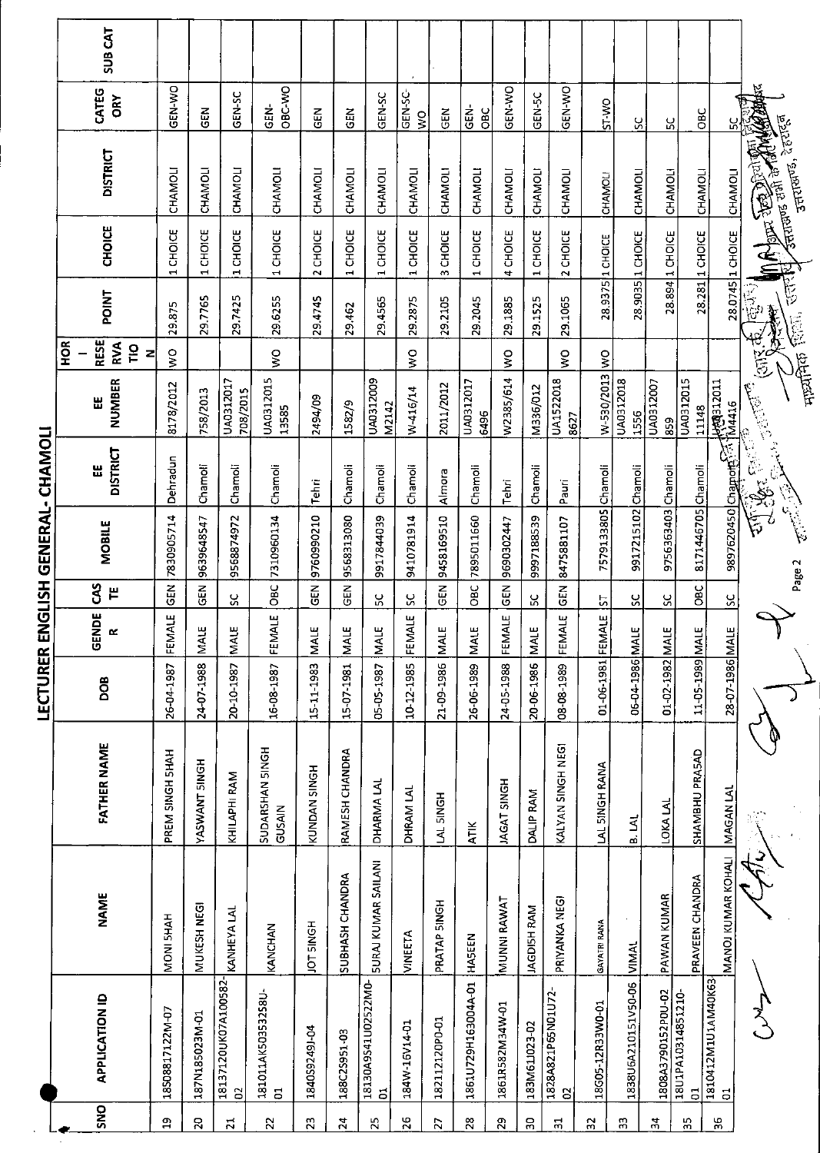|                 |                                       |                              |                                  |                   |                            |                 | LECTURER ENGLISH GENERAL- CHAMOLI |                      |                       |                                     |         |                          |                                                        |                                      |                    |
|-----------------|---------------------------------------|------------------------------|----------------------------------|-------------------|----------------------------|-----------------|-----------------------------------|----------------------|-----------------------|-------------------------------------|---------|--------------------------|--------------------------------------------------------|--------------------------------------|--------------------|
|                 | <b>APPLICATION ID</b><br>SNO          | <b>NAME</b>                  | <b>FATHER NAME</b>               | DOB               | <b>PE</b><br>$\simeq$<br>ଞ | 3<br>끝          | <b>MOBILE</b>                     | <b>DISTRICT</b><br>뿝 | NUMBER<br>빖           | <b>RESE</b><br>$\frac{8}{2}$<br>RVA | POINT   | <b>CHOICE</b>            | <b>DISTRICT</b>                                        | CATEG<br>ORY                         | SUB <sub>CAT</sub> |
|                 |                                       |                              |                                  |                   |                            |                 |                                   |                      |                       | $\frac{1}{2}$<br>Z                  |         |                          |                                                        |                                      |                    |
| $\mathbf{a}$    | 18508817122M-07                       | MONI 5HAH                    | PREM SINGH SHAH                  | 26-04-1987        | FEMALE                     | GEN             | 7830905714                        | Dehradun             | 8178/2012             | o<br>M                              | 29.875  | CHOICE<br>$\overline{ }$ | CHAMOLI                                                | GEN-WO                               |                    |
| 50              | 187N185023M-01                        | MUKESH NEGI                  | <b>HOMANT SINGH</b>              | 24-07-1988        | <b>MALE</b>                | $\overline{65}$ | 9639648547                        | Chamoli              | 758/2013              |                                     | 29.7765 | 1 CHOICE                 | CHAMOLI                                                | EN<br>GEN                            |                    |
| $\overline{a}$  | 18137120UK07A100582-<br>G             | KANHEYA LAL                  | KHILAPHI RAM                     | 20-10-1987        | <b>MALE</b>                | ပ္တ             | 9568874972                        | Chamoli              | UA0312017<br>708/2015 |                                     | 29.7425 | CHOICE<br>Ĩ.             | CHAMOLI                                                | GEN-SC                               |                    |
| $\overline{2}$  | 181011AK50353258U-<br>$\overline{5}$  | KANCHAN                      | SUDARSHAN 5INGH<br><b>GUSAIN</b> | 16-08-1987        | FEMALE                     | ÖВ              | 7310960134                        | Chamoli              | UA0312015<br>13585    | ş                                   | 29.6255 | 1 CHOICE                 | CHAMOLI                                                | <b>OBC-VVO</b><br>GEN-               |                    |
| 23              | 184059249J-04                         | JOT 5INGH                    | KUNDAN SINGH                     | 15-11-1983        | <b>MALE</b>                | $\tilde{a}$     | 9760990210                        | Tehri                | 2494/09               |                                     | 29.4745 | 2 CHOICE                 | CHAMOLI                                                | EM<br>9                              |                    |
| $\overline{24}$ | 188C25951-03                          | SUBHASH CHANDRA              | RAMESH CHANDRA                   | 15-07-1981        | MALE                       | ER<br>5         | 9568313080                        | Chamoli              | 1582/9                |                                     | 29.462  | 1 CHOICE                 | CHAMOLI                                                | <b>AIO</b>                           |                    |
| $\mathbf{z}$    | 18130A9S41U02522M0-<br>$\overline{5}$ | <b>SURAJ KUMAR SAILANI</b>   | DHARMA LAL                       | 05-05-1987        | <b>MALE</b>                | ပ္က             | 9917844039                        | Chamoli              | UA0312009<br>M2142    |                                     | 29.4565 | CHOICE<br>$\blacksquare$ | CHAMOLI                                                | GEN-SC                               |                    |
| 26              | 184W-16V14-01                         | <b>VINEETA</b>               | DHRAM LAL                        | 10-12-1985        | FEMALE                     | ပ္တ             | 9410781914                        | Chamoli              | W-416/14              | ş                                   | 29.2875 | 1 CHOICE                 | CHAMOLI                                                | GEN-SC-<br>$\mathsf{S}^{\mathsf{O}}$ |                    |
| 27              | 182112120P0-01                        | PRATAP 5INGH                 | LAL 5INGH                        | 21-09-1986        | <b>MALE</b>                | <b>GEN</b>      | 9458169510                        | Almora               | 2011/2012             |                                     | 29.2105 | 3 CHOICE                 | <b>CHAMOLI</b>                                         | $rac{1}{2}$                          |                    |
| $\overline{28}$ | 1861U729H163004A-01                   | <b>HASEEN</b>                | ATIK                             | 26-06-1989        | <b>MALE</b>                | OBC             | 7895011660                        | Chamoli              | UA0312017<br>6496     |                                     | 29.2045 | 1 CHOICE                 | CHAMOLI                                                | $rac{1}{5}$<br>OBC                   |                    |
| 29              | 1861R582M34W-01                       | MUNNI RAWAT                  | <b>JAGAT SINGH</b>               | 24-05-1988        | FEMALE                     | $\frac{2}{9}$   | 9690302447                        | Tehri                | W2385/614             | $\frac{1}{2}$                       | 29.1885 | 4 CHOICE                 | CHAMOLI                                                | GEN-WO                               |                    |
| $\overline{50}$ | 183M61J023-02                         | JAGDISH RAM                  | DALIP RAM                        | 20-06-1986        | щ<br>Σ                     | χ               | 9997188539                        | Chamoli              | M336/012              |                                     | 29.1525 | 1 CHOICE                 | CHAMOLI                                                | GEN-5C                               |                    |
| 21              | 1828A821P65N01U72<br>S                | PRIYANKA NEGI                | KALYAN SINGH NEGI                | 08-08-1989        | FEMALE                     | GEN             | 8475881107                        | Pauri                | UA1522018<br>8627     | ş                                   | 29.1065 | CHOICE<br>$\sim$         | CHAMOLI                                                | GEN-WO                               |                    |
| $\overline{3}$  | 18G05-12R33W0-01                      | <b>GAYATRI RANA</b>          | LAL SINGH RANA                   | 01-06-1981 FEMALE |                            | <u>ს</u>        | 7579133805 Chamoli                |                      | W-530/2013 WO         |                                     |         | 28.9375 1 CHOICE         | <b>CHAMOLI</b>                                         | SI-VO                                |                    |
| 53              | 1838U6A210151V50-06 VIMAL             |                              | <b>B. LAI</b>                    | 06-04-1986 MAI    | Щ                          | ပ္ပ             | 9917215102 Chamoli                |                      | UA0312018<br>1556     |                                     | 28.9035 | 1 CHOICE                 | CHAMOLI                                                | ပ္တ                                  |                    |
| $\frac{4}{3}$   | 1808A3790152P0U-02                    | PAWAN KUMAR                  | LOKA LAL                         | 01-02-1982 MAI    | щ                          | SC.             | 9756363403 Chamoli                |                      | UA0312007<br>859      |                                     | 28.894  | 1 CHOICE                 | <b>CHAMOLI</b>                                         | ပ္တ                                  |                    |
| 5)              | 18U1PA10314851210-<br>5               | PRAVEEN CHANDRA              | SHAMBHU PRASAD                   | IAM 886T-50-TI    | 쁘                          | OBC             | 8171446705 Chamoli                |                      | UA0312015<br>11148    |                                     |         | 28.281 1 CHOICE          | <b>CHAMOLI</b>                                         | ЭEО                                  |                    |
| 36              | 1810412M1U1AM40K63-<br>$\overline{5}$ | MANOJ KUMAR KOHALI NAGAN LAL |                                  | 28-07-1986 MALE   |                            | SC              | <b>2897620450</b> Chapote 3 M4416 |                      | <b>HARB12011</b>      |                                     |         | 28.0745 1 CHOICE         | CHAMOLI                                                | S,                                   |                    |
|                 |                                       |                              |                                  |                   |                            |                 | ے<br>اہم                          | eri<br>P             | <b>CONNECT</b>        | 巨                                   | ်<br>မြ |                          | IN RUBERT BOOM AND IN                                  | ¥                                    |                    |
|                 |                                       |                              |                                  |                   |                            |                 | Page 2                            |                      | नायमिक<br>स           |                                     | 后定      |                          | उत्तराखण्ड, देहराहरू<br>न्दात का जाति हो।<br>जनसङ्ख्या |                                      |                    |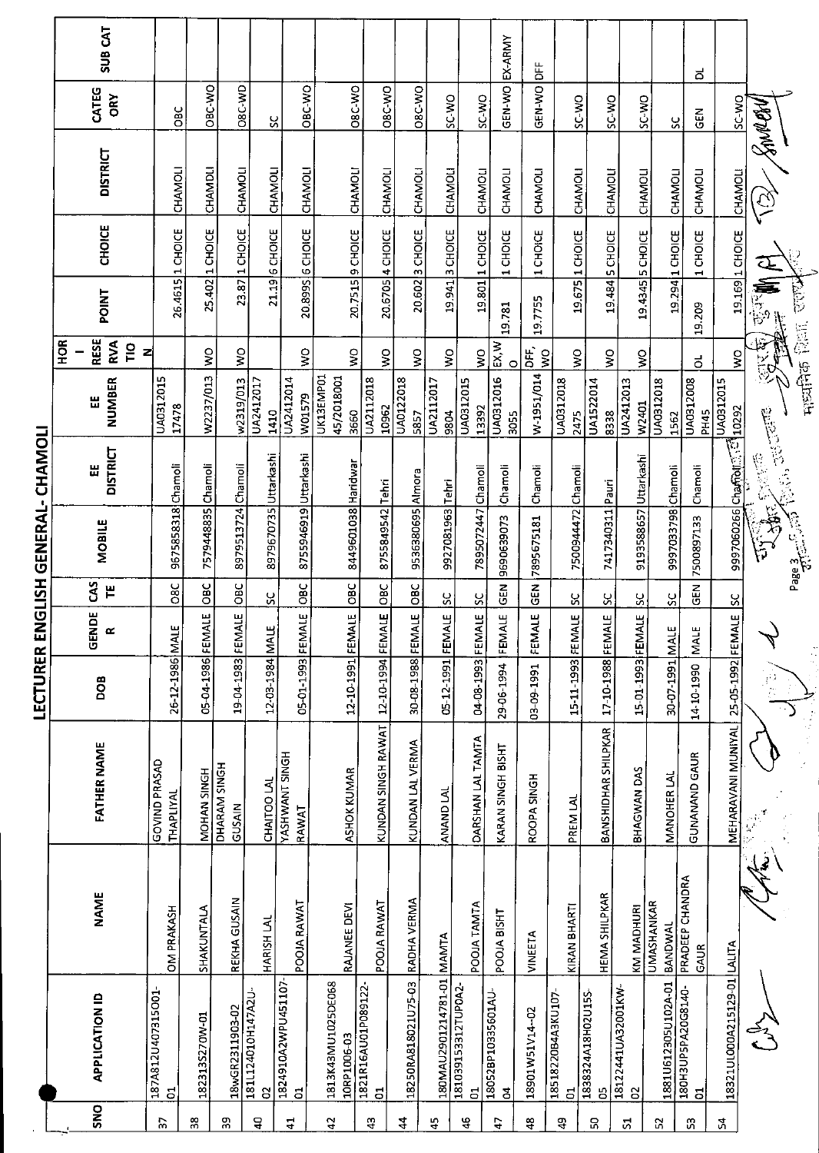|                        |                  | SUB <sub>CAT</sub>                   |                            |                    |                        |                         |                                 |                                   |                         |                     |                           |                          | EX-ARMY                              |                                 |                                      |                            |                               |                       |                                      |                             |                                                                                                                                                                                                                                                |                                        |
|------------------------|------------------|--------------------------------------|----------------------------|--------------------|------------------------|-------------------------|---------------------------------|-----------------------------------|-------------------------|---------------------|---------------------------|--------------------------|--------------------------------------|---------------------------------|--------------------------------------|----------------------------|-------------------------------|-----------------------|--------------------------------------|-----------------------------|------------------------------------------------------------------------------------------------------------------------------------------------------------------------------------------------------------------------------------------------|----------------------------------------|
|                        |                  | CATEG<br>ĞΚ                          | <b>OBC</b>                 | OBC-WO             | OBC-WD                 | ပ္တ                     | OBC-WO                          | ORC-WO                            | <b>OBC-WO</b>           | O8C-WO              | <b>OW 3S</b>              | SC-WO                    | GEN-WO                               | ,<br><br>GEN-WO                 | SC-WO                                | SC-WO                      | SC-WO                         |                       | ದ<br>$\tilde{e}$<br>ပ္ပ              | SC-WO                       |                                                                                                                                                                                                                                                |                                        |
|                        |                  | <b>DISTRICT</b>                      | CHAMOLI                    | CHAMDLI            | CHAMOLI                | CHAMOLI                 | CHAMOLI                         | CHAMOLI                           | CHAMOLI                 | <b>CHAMOLI</b>      | CHAMOLI                   | CHAMOLI                  | CHAMOLI                              | CHAMOLI                         | CHAMOLI                              | CHAMOLI                    | CHAMOLI                       |                       | CHAMOLI<br>CHAMOLI                   | CHAMOLI                     | SAMPAY<br>$\widetilde{\mathfrak{c}}$                                                                                                                                                                                                           |                                        |
|                        |                  | <b>CHOICE</b>                        | 1 CHOICE                   | 1 CHOICE           | 1 CHOICE               | <b>6 CHOICE</b>         | 20.899S GCHOICE                 | 20.7515 9 CHOICE                  | 20.6705 4 CHOICE        | 20.602 3 CHOICE     | 19.941 3 CHOICE           | 19.801 1 CHOICE          | 1 CHOICE                             | 1 CHOICE                        | 19.675 1 CHOICE                      | <b>SCHOICE</b>             | 19.4345 SCHOICE               |                       | 19.294 1 CHOICE<br>1 CHOICE          | 19.169 1 CHOICE             | ظ⊃                                                                                                                                                                                                                                             |                                        |
|                        |                  | <b>POINT</b>                         | 26.4615                    | 25.402             | 23.87                  | 21.19                   |                                 |                                   |                         |                     |                           |                          | 19.781                               | 19.7755                         |                                      | 19.484                     |                               |                       | 19.209                               |                             | 安全                                                                                                                                                                                                                                             | <b>Final Point</b> Court               |
|                        | H <sub>O</sub> R | <b>RESE</b><br>RVA<br><u>pr</u><br>z |                            | ş                  | ş                      |                         | $\mathsf{S}^{\mathsf{O}}$       | $\frac{1}{2}$                     | Š                       | $\frac{1}{2}$       | Ş                         | $\frac{1}{2}$            | EX, W<br>$\circ$                     | DFF.<br>$\overline{\mathsf{S}}$ | $\frac{1}{2}$                        | $\mathsf{S}^{\mathsf{O}}$  | Ş                             |                       | ಕ                                    | ş                           | 学生                                                                                                                                                                                                                                             |                                        |
|                        |                  | NUMBER<br>쁪                          | UA0312015<br>17478         | W2237/013          | w2319/013              | UA2412017<br>1410       | UA2412014<br>W01579             | UK13EMP01<br>45/2018001<br>3660   | UA2112018<br>10962      | UA0122018<br>5857   | UA2112017<br>9804         | UA0312015<br>13392       | UA0312016<br>3055                    | W-1951/014                      | UA0312018<br>2475                    | UA1522014<br>8338          | UA2412013<br>W2401            | UA0312018<br>1562     | UA0312008<br><b>PH45</b>             | UA0312015<br>10292          |                                                                                                                                                                                                                                                |                                        |
|                        |                  | <b>DISTRICT</b><br>щ                 | Chamoli                    |                    |                        |                         |                                 |                                   |                         |                     |                           |                          | Chamoli                              | Chamoli                         |                                      |                            |                               |                       | Chamoli                              | <b>9997060266</b> Chamotree | الكاراء تانان التي تما المجموعة التي تعليم التي تعليم التي تعليم التي تعليم التي تعليم التي تعليم ال<br>التي تعليم التي تعليم التي تعليم التي تعليم التي تعليم التي تعليم التي تعليم التي تعليم التي تعليم التي تعليم<br>التي تعلي<br>2002年10月 |                                        |
| NGLISH GENERAL-CHAMOLI |                  | MOBILE                               | 9675858318                 | 7579448835 Chamoli | 8979513724 Chamoli     | 8979670735 Uttarkashi   | 8755946919 Uttarkashi           | 8449601038 Haridwar               | 8755849542 Tehri        | 9536380695 Almora   | 9927081963 Tehri          | 7895072447 Chamoli       | 9690639073                           | 7895675181                      | 7500944472 Chamoli                   | 7417340311 Pauri           | 9193588657 Uttarkashi         | 9997033798 Chamoli    | 7500897133                           |                             | $\tilde{\mathfrak{p}}$                                                                                                                                                                                                                         | Page 3<br>पुरी करी करी<br>पुरी करी करी |
|                        |                  | CAS<br>$\mathbf{H}$                  | <b>D8C</b>                 | OBC                | OBC                    | ပ္တ                     | OBC                             | OBC                               | OBC                     | $rac{C}{C}$         | SC                        | X                        | <b>GEN</b>                           | $\frac{2}{9}$                   | ပ္တ                                  | SC                         | ပ္တ                           | ပ္တ                   | $\tilde{5}$                          |                             |                                                                                                                                                                                                                                                |                                        |
| ш                      |                  | <b>GENDE</b><br>œ                    |                            |                    |                        |                         | FEMALE                          | ΙAΙΕ                              | <b>ALE</b>              | <b>IALE</b>         | <br>로                     | <b>ALE</b>               | <b>ALE</b><br>ξÑ                     | <b>ALE</b><br>ξÑ                | <b>FEMALE</b>                        | FEMALE                     | FEMALE                        | ш<br><b>NAL</b>       | ш<br>ΝŃ                              | FEMALE SC                   | ٢                                                                                                                                                                                                                                              | ÷.                                     |
| LECTURER               |                  | <b>BOD</b>                           | 26-12-1986 MALE            | 05-04-1986 FEMALE  | 19-04-1983 FEMALE      | 12-03-1984 MALE         | 05-01-1993                      | 12-10-1991 FEM                    | 12-10-1994 FEM          | 30-08-1988 FEM      | 05-12-1991 FEM            | 04-08-1993 FEM           | 29-06-1994                           | 03-09-1991                      | 15-11-1993                           | 17-10-1988                 | 15-01-1993                    | 30-07-1991            | 14-10-1990                           | 25-05-1992                  |                                                                                                                                                                                                                                                |                                        |
|                        |                  | FATHER NAME                          | GOVIND PRASAD<br>THAPLIYAL | MOHAN SINGH        | DHARAM SINGH<br>GUSAIN | CHAITOO LAL             | <b>YASHWANT SINGH</b><br>RAWAT  | <b>ASHOK KUMAR</b>                | KUNDAN SINGH RAWAT      | KUNDAN LAL VERMA    | ANAND LAL                 | DARSHAN LAL TAMTA        | KARAN SINGH BISHT                    | ROOPA SINGH                     | PREM LAL                             | <b>BANSHIDHAR SHILPKAR</b> | BHAGWAN DAS                   | MANOHER LAL           | <b>GUNANAND GAUR</b>                 | MEHARAVANI MUNIYAL          |                                                                                                                                                                                                                                                |                                        |
|                        |                  | <b>NAME</b>                          | <b>OM PRAKASH</b>          | SHAKUNTALA         | REKHA GUSAIN           | HARISH LAL              | POOJA RAWAT                     | RAJANEE DEVI                      | POOJA RAWAT             | RADHA VERMA         |                           | POOJA TAMTA              | POOJA BISHT                          | VINEETA                         | KIRAN BHARTI                         | <b>HEMA SHILPKAR</b>       | KM MADHURI                    | UMASHANKAR<br>BANDWAL | PRADEEP CHANDRA<br><b>GAUR</b>       |                             |                                                                                                                                                                                                                                                |                                        |
|                        |                  | <b>APPLICATION ID</b>                | 187A812U407315O01-<br>5    | 1823135270W-01     | 18wGR2311903-02        | 1811124010H147A2U-<br>g | 1824910A2WPU451107<br>$\vec{a}$ | 1813K43MU1025DE068<br>10RP1006-03 | 1821R16AU01P089122<br>đ | 18250RA818021U75-03 | 180MAU2901214781-01 MAMTA | 181039153312TUP0A2-<br>5 | 18052BP10335601AU-<br>$\overline{a}$ | 18901W51V14-02                  | 18518220B4A3KU107-<br>$\overline{5}$ | 1838324A18H02U15S-<br>5    | 18122441UA32001KW<br>$\Omega$ | 1881U612305U102A-01   | 180H3UP5PA20G8140-<br>$\overline{5}$ | 18321UL000A215129-01 LALITA |                                                                                                                                                                                                                                                |                                        |
|                        |                  | SNO                                  | 55                         | 38                 | 90                     | å                       | $\mathbf{1}$                    | $\mathfrak{a}$                    | ą                       | 4                   | 45                        | ٩                        | t,                                   | $\frac{8}{4}$                   | Ġ,                                   | χ                          | 2                             | X                     | SS.                                  | ų                           |                                                                                                                                                                                                                                                |                                        |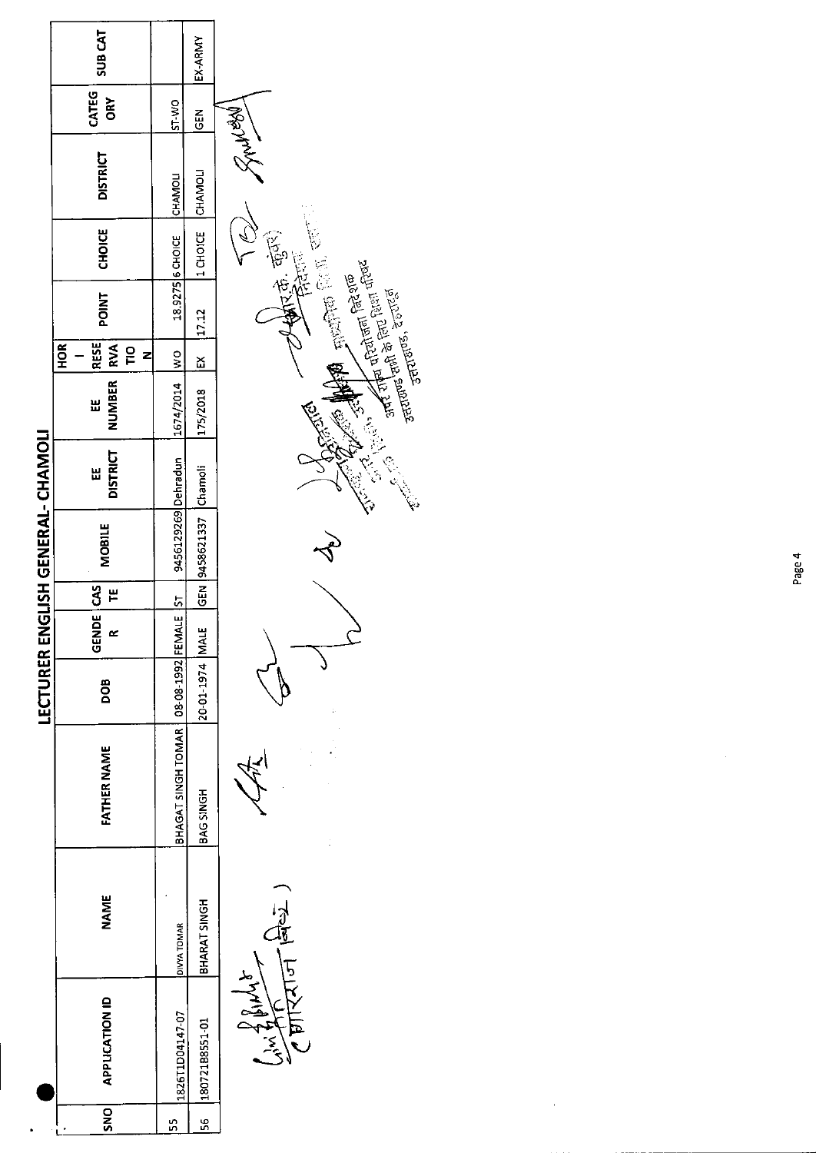|                                   | <b>SUB CAT</b>                                                |                      | EX-ARMY        |                                                                                                                                                                                                                                      |
|-----------------------------------|---------------------------------------------------------------|----------------------|----------------|--------------------------------------------------------------------------------------------------------------------------------------------------------------------------------------------------------------------------------------|
|                                   | CATEG<br><b>ORY</b>                                           | ST-WO                | <b>SEN</b>     |                                                                                                                                                                                                                                      |
|                                   | <b>DISTRICT</b>                                               | CHAMOLI              | <b>CHAMOLI</b> | Leony R                                                                                                                                                                                                                              |
|                                   | <b>CHOICE</b>                                                 | 18.9275 6 CHOICE     | 1 CHOICE       |                                                                                                                                                                                                                                      |
|                                   | <b>POINT</b>                                                  |                      | 17.12          | 大麦花根                                                                                                                                                                                                                                 |
|                                   | <b>RESE</b><br><b>RVA</b><br><b>HOR</b><br>$\frac{1}{2}$<br>z |                      | ă              |                                                                                                                                                                                                                                      |
|                                   | <b>NUMBER</b><br>出                                            | 1674/2014   WO       | 175/2018       | अपरी चीन परियोजना सिरेशक<br>अपरी चीनी के सिरा परिषद<br>उत्तराख्य है, रेहराईडी                                                                                                                                                        |
|                                   | <b>DISTRICT</b><br>Ш                                          |                      | Chamoli        | <b>CONTROLLER SERVEROR COMPANY SERVEROR SERVEROR SERVEROR SERVEROR SERVEROR SERVEROR SERVEROR SERVEROR SERVEROR SERVEROR SERVEROR SERVEROR SERVEROR SERVEROR SERVEROR SERVEROR SERVEROR SERVEROR SERVEROR SERVEROR SERVEROR SERV</b> |
| LECTURER ENGLISH GENERAL- CHAMOLI | <b>MOBILE</b>                                                 | 9456129269 Dehradun  | 9458621337     |                                                                                                                                                                                                                                      |
|                                   | S<br>巴                                                        |                      | $\frac{1}{65}$ |                                                                                                                                                                                                                                      |
|                                   | <b>GENDE</b><br>≃                                             |                      |                |                                                                                                                                                                                                                                      |
|                                   | DOB                                                           | 08-08-1992 FEMALE ST | 20-01-1974 MAL |                                                                                                                                                                                                                                      |
|                                   | <b>FATHER NAME</b>                                            | BHAGAT SINGH TOMAR   | BAG SINGH      |                                                                                                                                                                                                                                      |
|                                   | <b>NAME</b>                                                   | DIVYA TOMAR          | BHARAT SINGH   | ग्रीरियान बिर्ध                                                                                                                                                                                                                      |
|                                   | <b>APPLICATION ID</b>                                         | 1826T1D04147-07      | 18072188551-01 |                                                                                                                                                                                                                                      |
|                                   | SNO                                                           | S                    | 56             |                                                                                                                                                                                                                                      |

.

 $\bar{\bar{z}}$ 

 $\hat{\boldsymbol{\beta}}$ 

Page 4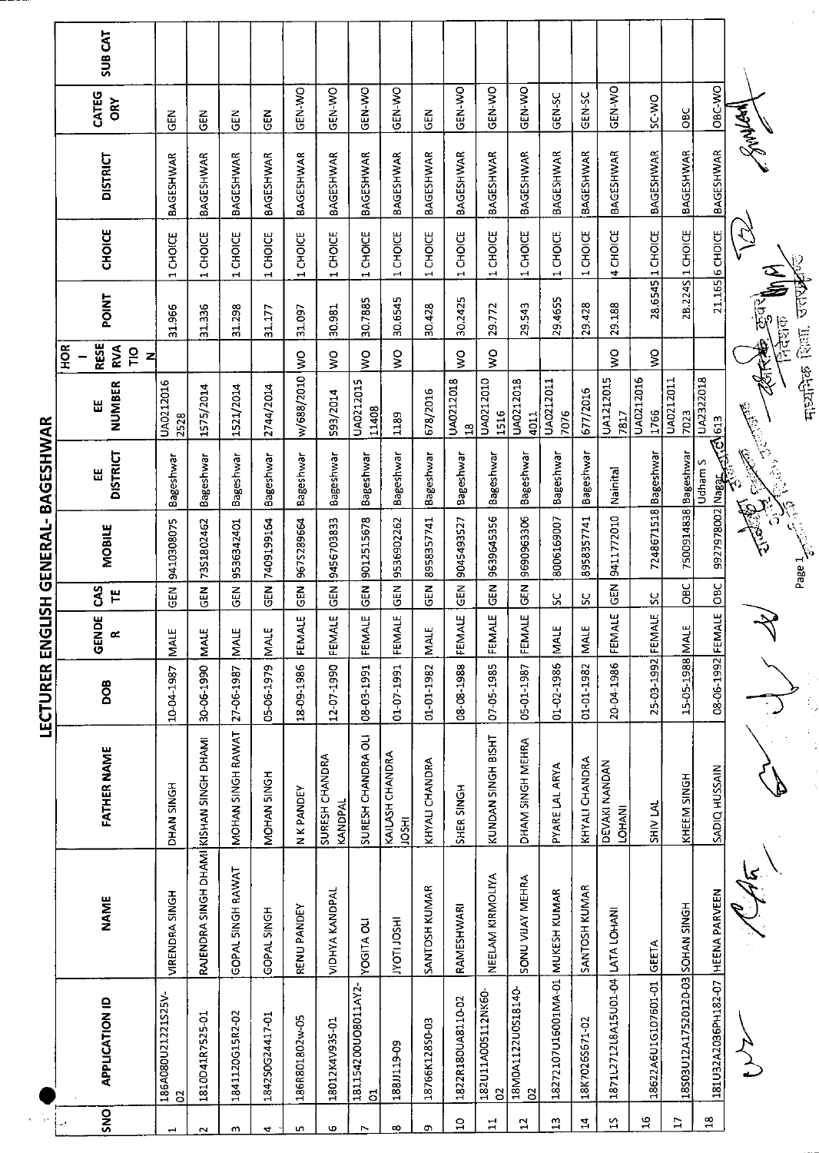|                |                                   |                                         |                                | í                 | 5<br>]<br>ã        |                                | こうこう          | =<br> <br> <br> <br>                                                                                  |                           |                                             |         |                                    |                  |                     |                |
|----------------|-----------------------------------|-----------------------------------------|--------------------------------|-------------------|--------------------|--------------------------------|---------------|-------------------------------------------------------------------------------------------------------|---------------------------|---------------------------------------------|---------|------------------------------------|------------------|---------------------|----------------|
|                | APPLICATION ID                    | <b>NAME</b>                             | <b>FATHER NAME</b>             | <b>BOO</b>        | GENDE<br>$\propto$ | S <sub>1</sub><br>$\mathbf{r}$ | <b>MOBILE</b> | <b>DISTRICT</b><br>Ш                                                                                  | NUMBER<br>出               | <b>RESE</b><br>ЯОН<br><b>RVA</b><br>ΓO<br>Z | POINT   | <b>CHOICE</b>                      | <b>DISTRICT</b>  | CATEG<br><b>GRY</b> | <b>SUB CAT</b> |
| $\overline{O}$ | 186A080U21221S25V-                | VIRENDRA SINGH                          | DHAN SINGH                     | 10-04-1987        | <b>MALE</b>        | IR<br>5                        | 9410308075    | Bageshwar                                                                                             | UA0212016<br>2528         |                                             | 31.966  | 1 CHOICE                           | <b>BAGESHWAR</b> | 집<br>5              |                |
|                | 1810D41R7525-01                   | RAJENDRA SINGH DHAMI KISHAN SINGH DHAMI |                                | 30-06-1990        | <b>MALE</b>        | GEN                            | 7351802462    | Bageshwar                                                                                             | 1575/2014                 |                                             | 31.336  | 1 CHOICE                           | BAGESHWAR        | GEN                 |                |
|                | 1841120G15R2-02                   | GOPAL SINGH RAWAT                       | MOHAN SINGH RAWAT              | 27-06-1987        | MALE               | 35                             | 9536342401    | Bageshwar                                                                                             | 1521/2014                 |                                             | 31.298  | 1 CHOICE                           | <b>BAGESHWAR</b> | 준<br>영              |                |
|                | 184250G24417-01                   | GOPAL SINGH                             | MOHAN 5INGH                    | 05-06-1979        | <b>MALE</b>        | $rac{1}{2}$                    | 7409199164    | Bageshwar                                                                                             | 2744/2014                 |                                             | 31.177  | 1 CHOICE                           | BAGESHWAR        | $\frac{2}{3}$       |                |
|                | 186R801802w-05                    | RENU PANDEY                             | N K PANDEY                     | 18-09-1986        | 백<br>FEMAL         | $\frac{2}{9}$                  | 9675289664    | Bageshwar                                                                                             | w/688/2010 WO             |                                             | 31.097  | 1 CHOICE                           | BAGESHWAR        | ON-N-D              |                |
|                | 18012K4V935-01                    | <b>VIDHYA KANDPAL</b>                   | SURESH CHANDRA<br>KANDPAL      | 12-07-1990        | щ<br>FEMAL         | in<br>19                       | 9456703833    | Bageshwar                                                                                             | 593/2014                  | ş                                           | 30.981  | 1 CHOICE                           | <b>BAGESHWAR</b> | GEN-WO              |                |
| $\overline{5}$ | 181154200UO8011AY2-               | <b>YOGITA OLI</b>                       | SURESH CHANDRA OLI             | 08-03-1991        | FEMALE             | <b>R</b>                       | 9012515678    | Bageshwar                                                                                             | UA0212015<br>11408        | ş                                           | 30.7885 | CHOICE                             | BAGESHWAR        | GEN-WO              |                |
| 188J119-09     |                                   | <b>HSOLIDAT</b>                         | KAILASH CHANDRA<br><b>HSOT</b> | 01-07-1991        | щ<br>FEMAL         | $\frac{2}{5}$                  | 9536902262    | Bageshwar                                                                                             | 1189                      | $\frac{1}{2}$                               | 30.6545 | CHOICE<br>$\overline{\phantom{0}}$ | BAGESHWAR        | <b>GEN-WO</b>       |                |
|                | 18766K128S0-03                    | SANTOSH KUMAR                           | KHYALI CHANDRA                 | 01-01-1982        | <b>MALE</b>        | <b>SEN</b>                     | 8958357741    | Bageshwar                                                                                             | 678/2016                  |                                             | 30.428  | 1 CHOICE                           | BAGESHWAR        | <b>GEN</b>          |                |
|                | 1822R180UA8110-02                 | RAMESHWARI                              | SHER SINGH                     | 08-08-1988        | FEMALE             | $rac{2}{9}$                    | 9045493527    | Bageshwar                                                                                             | UA0212018<br>$\mathbf{a}$ | ş                                           | 30.2425 | 1 CHOICE                           | BAGESHWAR        | GEN-WO              |                |
| G <sub>2</sub> | 182U11A005112NK60-                | NEELAM KIRMOLIYA                        | KUNDAN SINGH BISHT             | 07-05-1985        | FEMALE             | GEN                            | 9639645356    | Bageshwar                                                                                             | UA0212010<br>1516         | ş                                           | 29772   | 1 CHOICE                           | BAGESHWAR        | GEN-WO              |                |
| $\mathbf{S}$   | 18M0A1122U0S18140-                | SONU VUAY MEHRA                         | DHAM SINGH MEHRA               | 05-01-1987        | FEMALE             | 군<br>5                         | 9690963306    | Bageshwar                                                                                             | UA0212018<br>4011         |                                             | 29.543  | 1 CHOICE                           | BAGESHWAR        | GEN-WO              |                |
|                |                                   | 18272107U16001MA-01 MUKESH KUMAR        | PYARE LAL ARYA                 | 01-02-1986        | <b>MALE</b>        | ပ္တ                            | 8006169007    | Bageshwar                                                                                             | UA0212011<br>7076         |                                             | 29.4655 | 1 CHOICE                           | BAGESHWAR        | GEN-SC              |                |
|                | 18K70265671-02                    | SANTOSH KUMAR                           | KHYALI CHANDRA                 | 01-01-1982        | <b>NALE</b>        | ჯ                              | 8958357741    | Bageshwar                                                                                             | 677/2016                  |                                             | 29.428  | 1 CHOICE                           | BAGESHWAR        | GEN-SC              |                |
|                | 1871L2712L8A15U01-04 LATA LOHANI  |                                         | DEVAKI NANDAN<br><b>LOHANI</b> | 20-04-1986        | FEMALE             | 집<br>5                         | 9411772010    | Nainital                                                                                              | UA1212015<br>7817         | ş                                           | 29.188  | 4 CHOICE                           | BAGESHWAR        | GEN-WO              |                |
|                | 18622A6U1G107601-01               | GEETA                                   | <b>THIN LAL</b>                | 25-03-1992 FEMALE |                    | ပ္ပ                            | 7248671518    | <b>Bageshwar</b>                                                                                      | UA0212016<br>1766         | Š                                           | 28.6545 | 1 CHOICE                           | BAGESHWAR        | SC-WO               |                |
|                | 18503U12A17520120-03 SOHAN SINGH  |                                         | KHEEM SINGH                    | 15-05-1988 MALE   |                    | а<br>Э                         | 7500914838    | <b>Bageshwar</b>                                                                                      | UA0212011<br>7023         |                                             | 2B.2245 | 1 CHOICE                           | BAGESHWAR        | OBC                 |                |
|                | 181U32A2036PH182-07 HEENA PARVEEN |                                         | SADIQ HUSSAIN                  | 08-06-1992 FEMA   | تبا                | $rac{c}{c}$                    |               | 9977978002 Magac (2013<br>Udham S                                                                     | UA2322018                 |                                             |         | 21.165 6 CHOICE                    | BAGESHWAR        | OBC-WO              |                |
|                |                                   |                                         |                                |                   | ∻                  |                                | <b>RIVERS</b> | en alle Santa Barcalla.<br>Version de la Santa Barcalla.<br>Version de la Santa Barcalla.<br>C. S. C. |                           | 世紀四                                         | 经质量零售   |                                    |                  | <b>ANDERS</b>       |                |
|                |                                   |                                         |                                |                   |                    |                                | Page 1        |                                                                                                       | माञ्चमिक शिला, उत्तर्फ    |                                             |         |                                    |                  |                     |                |

 $\frac{1}{\sqrt{2}}$ 

**IFCTURER ENGLISH GENERAI - BAGESHWAR** 

 $\ddot{\phantom{0}}$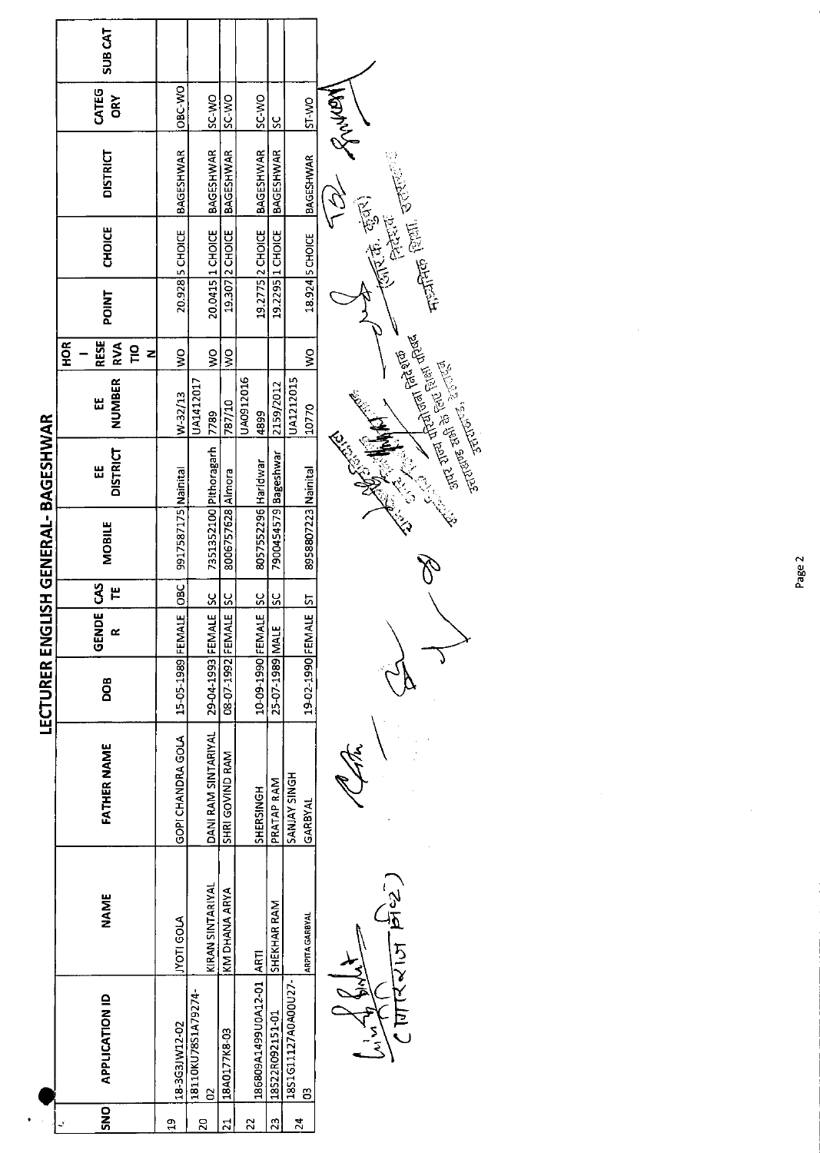|                         | <b>SUB CAT</b>                                                |                       |                                      |                   |                          |                      |                          |                                                                                                                                                                                                                                           |
|-------------------------|---------------------------------------------------------------|-----------------------|--------------------------------------|-------------------|--------------------------|----------------------|--------------------------|-------------------------------------------------------------------------------------------------------------------------------------------------------------------------------------------------------------------------------------------|
|                         | CATEG<br><b>ORY</b>                                           | OBC-WO                | SC WO                                | <b>ON-CS</b>      | SC WO                    | <u>ss</u>            |                          |                                                                                                                                                                                                                                           |
|                         | <b>DISTRICT</b>                                               | BAGESHWAR             | <b>BAGESHWAR</b>                     | <b>BAGESHWAR</b>  | <b>BAGESHWAR</b>         | <b>BAGESHWAR</b>     |                          | Entreprise Antal<br>$\frac{1}{2}$ and $\frac{1}{2}$ and $\frac{1}{2}$ and $\frac{1}{2}$                                                                                                                                                   |
|                         | <b>CHOICE</b>                                                 | 20.928 S CHOICE       | 20.0415 1 CHOICE                     | 19.307 2 CHOICE   | 19.2775 2 CHOICE         | 19.2295 1 CHOICE     | 18.924 5 CHOICE          |                                                                                                                                                                                                                                           |
|                         | <b>POINT</b>                                                  |                       |                                      |                   |                          |                      |                          |                                                                                                                                                                                                                                           |
|                         | <b>RESE</b><br><b>HOR</b><br><b>RVA</b><br>$\frac{1}{2}$<br>z | Ş                     | ş                                    | $\geq$            |                          |                      | ş                        |                                                                                                                                                                                                                                           |
|                         | NUMBER<br>٣                                                   | W-32/13               | UA1412017<br>7789                    | 787/10            | UA0912016<br>4899        | 2159/2012            | UA1212015<br> 10770      | <b>Example 1999 Property Control</b><br>The Property Property Property Property Property Property Property Property Property Property Property Property<br>Surveyor Property Property Property Property Property Property Property Proper |
| GLISH GENERAL-BAGESHWAR | <b>DISTRICT</b><br>٣                                          |                       | 7351352100 Pithoragarh               |                   |                          | 7900454579 Bageshwar |                          | CITES CONTROL<br>ARANT                                                                                                                                                                                                                    |
|                         | MOBILE                                                        | 9917587175 Nainital   |                                      | 8006757628 Almora | 8057552296 Haridwar      |                      | 8958807223 Nainital      |                                                                                                                                                                                                                                           |
|                         | NDE CAS<br>٣                                                  |                       |                                      |                   | <u>ss</u>                | ں<br>م               | <u>ե</u>                 |                                                                                                                                                                                                                                           |
|                         | ចូ                                                            |                       | <b>IALE</b> SC                       | IALE SC           | <b>ALE</b>               |                      | $\frac{14E}{1}$          |                                                                                                                                                                                                                                           |
| <b>LECTURER EN</b>      | DOB                                                           | 15-05-1989 FEMALE OBC | 29-04-1993 FEM                       | 08-07-1992 FEM    | 10-09-1990 FEM           | 25-07-1989 MALE      | 19-02-1990 FEM           |                                                                                                                                                                                                                                           |
|                         | <b>FATHER NAME</b>                                            | GOPI CHANDRA GOLA     | DANI RAM SINTARIYAL                  | SHRI GOVIND RAM   | SHERSINGH                | PRATAP RAM           | SANJAY SINGH<br>GARBYAL  |                                                                                                                                                                                                                                           |
|                         | <b>NAME</b>                                                   | <b>NOTI GOLA</b>      | KIRAN SINTARIYAL                     | KM DHANA ARYA     |                          | SHEKHAR RAM          | <b>ARPITA GARBYAL</b>    | पारिराज क्रिडे                                                                                                                                                                                                                            |
|                         | <b>APPLICATION ID</b>                                         | 18-3G3JW12-02         | 18110KU78S1A79274-<br>$\overline{c}$ | 18A0177K8-03      | 186809A1499U0A12-01 ARTI | 18522R092151-01      | 18S1G11127A0A00U27-<br>S |                                                                                                                                                                                                                                           |
|                         | SNO                                                           | Ö                     | $\overline{20}$                      | $\overline{z}$    | 22                       | 23                   | $\mathbf{z}$             |                                                                                                                                                                                                                                           |

 $\hat{\mathcal{A}}$ 

Page 2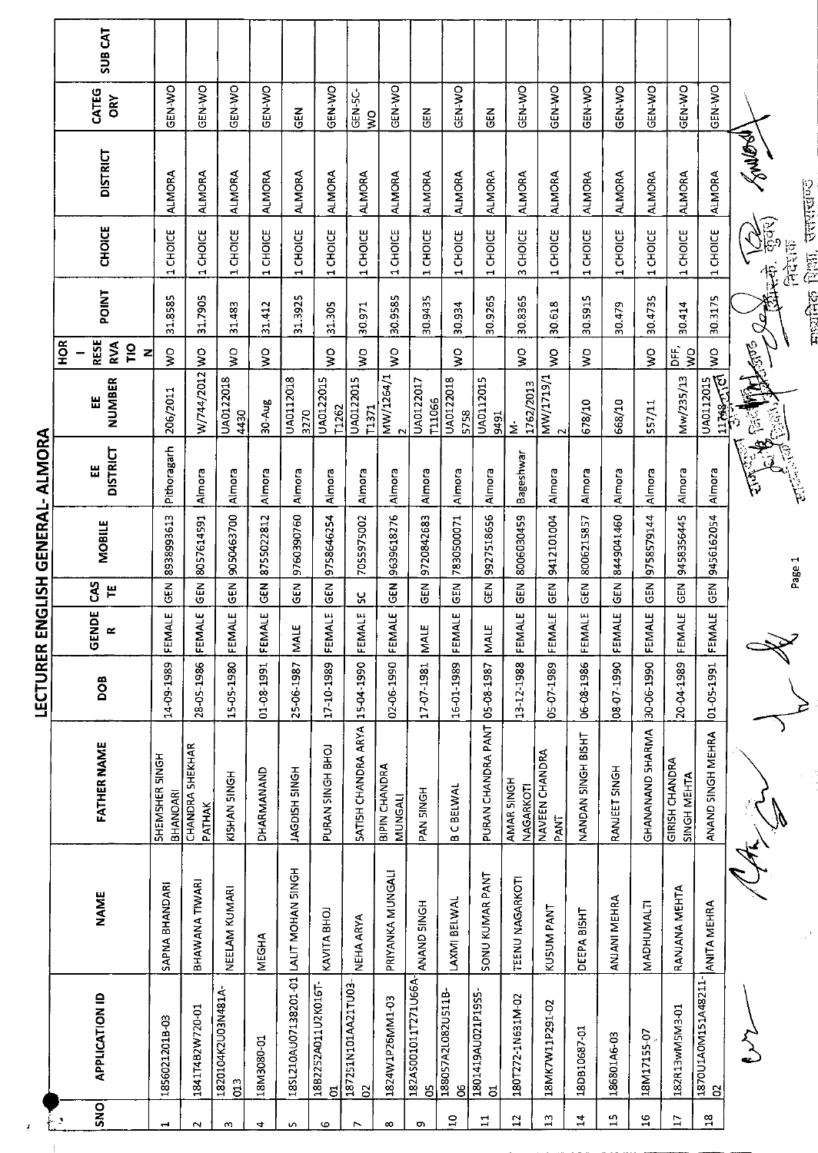|                  | <b>SUB CAT</b>                                      |                            |                                  |                                     |                                |                        |                          |                                 |                          |                              |                         |                        |                                |                                   |                           |               |                  |                                  |                          |                                                                        |               |
|------------------|-----------------------------------------------------|----------------------------|----------------------------------|-------------------------------------|--------------------------------|------------------------|--------------------------|---------------------------------|--------------------------|------------------------------|-------------------------|------------------------|--------------------------------|-----------------------------------|---------------------------|---------------|------------------|----------------------------------|--------------------------|------------------------------------------------------------------------|---------------|
|                  | CATEG<br>ORY                                        | GEN-WO                     | GEN-WO                           | GEN-WO                              | GEN-WO                         | <b>GEN</b>             | <b>GEN-WO</b>            | GEN-5C-<br>$\frac{1}{2}$        | GEN-VO                   | <b>GEN</b>                   | <b>CEN-WO</b>           | <b>GEN</b>             | GEN-WO                         | GEN-WO                            | GEN-WO                    | <b>OK-N20</b> | GEN-WO           | <b>ON-NPO</b>                    | GEN-WO                   |                                                                        |               |
|                  | <b>DISTRICT</b>                                     | <b>ALMORA</b>              | <b>ALMORA</b>                    | <b>ALMORA</b>                       | <b>ALMORA</b>                  | <b>ALMORA</b>          | <b>ALMORA</b>            | <b>ALMORA</b>                   | <b>ALMORA</b>            | <b>ALMORA</b>                | <b>ALMORA</b>           | <b>ALMORA</b>          | <b>ALMORA</b>                  | <b>ALMORA</b>                     | <b>ALMORA</b>             | <b>ALMORA</b> | <b>ALMORA</b>    | <b>ALMORA</b>                    | <b>ALMORA</b>            | <b>RANGEST</b>                                                         | drugio        |
|                  | <b>CHOICE</b>                                       | CHOICE<br>$\blacksquare$   | 1 CHOICE                         | CHOICE<br>$\overline{\phantom{0}}$  | CHOICE<br>$\blacktriangleleft$ | CHOICE<br>$\mathbf{r}$ | 1 CHOICE                 | 1 CHOICE                        | 1CHOICE                  | 1 CHOICE                     | 1 CHOICE                | CHOICE<br>$\mathbf{r}$ | CHOICE<br>$\sim$               | CHOICE<br>$\blacktriangleleft$    | CHOICE<br>$\mathbf{r}$    | 1 CHOICE      | 1 CHOICE         | 1 CHOICE                         | 1 CHOICE                 | $\widetilde{\mathcal{G}}_{\mathbb{R}}^{\mathbb{B}}$<br>$\ddot{\theta}$ | 医花色           |
|                  | POINT                                               | 31.8585                    | 31.7905                          | 31,483                              | 31.412                         | 31.3925                | 31.305                   | 30.971                          | 30.9585                  | 30.9435                      | 30.934                  | 30.9265                | 30.8365                        | 30.618                            | 30.5915                   | 30.479        | 30.4735          | 30.414                           | 30.3175                  |                                                                        | कामिक शिक्षा. |
|                  | <b>RESE</b><br>HOR<br><b>RVA</b><br><b>PIO</b><br>z | Ş                          |                                  | Ş                                   | $\frac{1}{2}$                  |                        | ş                        | Ş                               | $\frac{1}{2}$            |                              | $\frac{1}{2}$           |                        | $\frac{1}{2}$                  | ş                                 | $\mathsf{S}^{\mathsf{O}}$ |               | ş                | ЪË,<br>$\mathsf{S}^{\mathsf{O}}$ | $\frac{1}{2}$            | <b>ASS</b>                                                             |               |
|                  | NUMBER<br>Ш                                         | 206/2011                   | W/744/2012 WO                    | UA0122018<br>4430                   | 30-Aug                         | UA0112018<br>3270      | UA0122015<br>[1262       | <b>UA0122015</b><br>T1371       | MW/1264/1                | UA0122017<br><b>T11066</b>   | UA0122018<br>5758       | UA0112015<br>9491      | 1762/2013<br>έ                 | MW/1719/1<br>$\mathbf{\tilde{c}}$ | 678/10                    | 668/10        | 557/11           | Mw/235/13                        | 11799-170<br>UA0112015   | a<br>B                                                                 |               |
| ALMORA           | <b>DISTRICT</b><br>뜺                                | Pithoragarh                | Almora                           | Almora                              | Almora                         | Almora                 | Almora                   | Almora                          | Almora                   | Almora                       | Almora                  | Almora                 | Bageshwar                      | Almora                            | Almora                    | Almora        | Almora           | Almora                           | Almora                   | 旨                                                                      | 电自动线          |
| ENGLISH GENERAL- | <b>MOBILE</b>                                       | 8938993613                 | 8057614591                       | 9050463700                          | 8755022812                     | 9760390760             | 9758646254               | 7055975002                      | 9639618276               | 9720842683                   | 7830500071              | 9927518656             | 8006030459                     | 9412101004                        | 8006215857                | 8449041460    | 9758579144       | 9458356445                       | 9456162054               |                                                                        | Page 1        |
|                  | <b>CAS</b><br>F                                     | <b>GEN</b>                 | <b>GEN</b>                       | GEN                                 | GEN                            | $\frac{2}{3}$          | <b>GEN</b>               | ပ္တ                             | GEN                      | GEN                          | $\frac{2}{9}$           | <b>GEN</b>             | <b>GEN</b>                     | GEN                               | GEN                       | GEN           | <b>GEN</b>       | <b>GEN</b>                       | <b>AB</b>                |                                                                        |               |
|                  | <b>NDE</b><br>$\sim$<br>ٿ                           | FEMALE                     | FEMALE                           | FEMALE                              | FEMALE                         | <b>MALE</b>            | FEMALE                   | FEMALE                          | FEMALE                   | щ<br>$\overline{\mathsf{M}}$ | FEMALE                  | <b>MALE</b>            | FEMALE                         | FEMALE                            | FEMALE                    | FEMALE        | FEMALE           | FEMALE                           | FEMALE                   |                                                                        |               |
| LECTURER         | BOO                                                 | 14-09-1989                 | 28-05-1986                       | 15-05-1980                          | 01-08-1991                     | 25-06-1987             | 17-10-1989               | 15-04-1990                      | 02-06-1990               | 17-07-1981                   | 16-01-1989              | 05-08-1987             | 13-12-1988                     | 05-07-1989                        | 06-08-1986                | 08-07-1990    | 30-06-1990       | 20-04-1989                       | 01-05-1991               |                                                                        |               |
|                  | <b>FATHER NAME</b>                                  | SHEMSHER SINGH<br>BHANOARI | <b>CHANDRA SHEKHAR</b><br>PATHAK | KISHAN SINGH                        | DHARMANAND                     | HONIS HSDOPY           | PURAN SINGH BHOJ         | SATISH CHANDRA ARYA             | BIPIN CHANDRA<br>MUNGALI | PAN SINGH                    | <b>BC BELWAL</b>        | PURAN CHANDRA PANT     | AMAR SINGH<br><b>NAGARKOTI</b> | NAVEEN CHANDRA<br>PANT            | NANDAN SINGH BISHT        | RANJEET SINGH | GHANANAND SHARMA | GIRISH CHANDRA<br>SINGH MEHTA    | ANAND SINGH MEHRA        |                                                                        |               |
|                  | <b>NAME</b>                                         | SAPNA BHANDARI             | BHAWANA TIWARI                   | NEELAM KUMARI                       | <b>MEGHA</b>                   | LALIT MOHAN SINGH      | KAVITA BHOJ              | NEHA ARYA                       | PRIYANKA MUNGALI         | ANAND SINGH                  | LAXMI BELWAL            | SONU KUMAR PANT        | TEENU NAGARKOTI                | KUSUM PANT                        | DEEPA BISHT               | ANJANI MEHRA  | MADHUMALTI       | RANJANA MEHTA                    | ANITA MEHRA              |                                                                        |               |
|                  | <b>APPLICATION ID</b>                               | 1856021201B-03             | 1841T4B2W720-01                  | 1820104K2U03N481A-<br>$\frac{3}{2}$ | 18M3080-01                     | 185L210AU07138201-01   | 18B2252A011U2K016T-<br>ರ | 187251N101AA21TU03-<br>$\Omega$ | 1824W1P26MM1-03          | 182A5001011T271U66A-<br>පි   | 188057A2L082U511B-<br>g | 1801419AU021P19S5<br>5 | 180T272-1N631M-02              | 18MK7W11P291-02                   | 18DB10687-01              | 186801A6-03   | 18M17155-07      | 182R13wM5M3-01                   | 1870U1A0M151A48211-<br>S |                                                                        |               |
|                  | SNO<br>د مبکو                                       | $\overline{\phantom{0}}$   | $\sim$                           | w                                   | 4                              | S                      | G                        | $\overline{ }$                  | $\infty$                 | c                            | $\overline{a}$          | $\mathbf{1}$           | $\overline{12}$                | 믜                                 | $\mathbf{r}$              | 15            | $\frac{6}{1}$    | $\overline{17}$                  | $\mathbf{a}$             |                                                                        |               |

 $\frac{1}{2}$  $\pm$  माधानिक शिक्षा, उत्तराखण्ड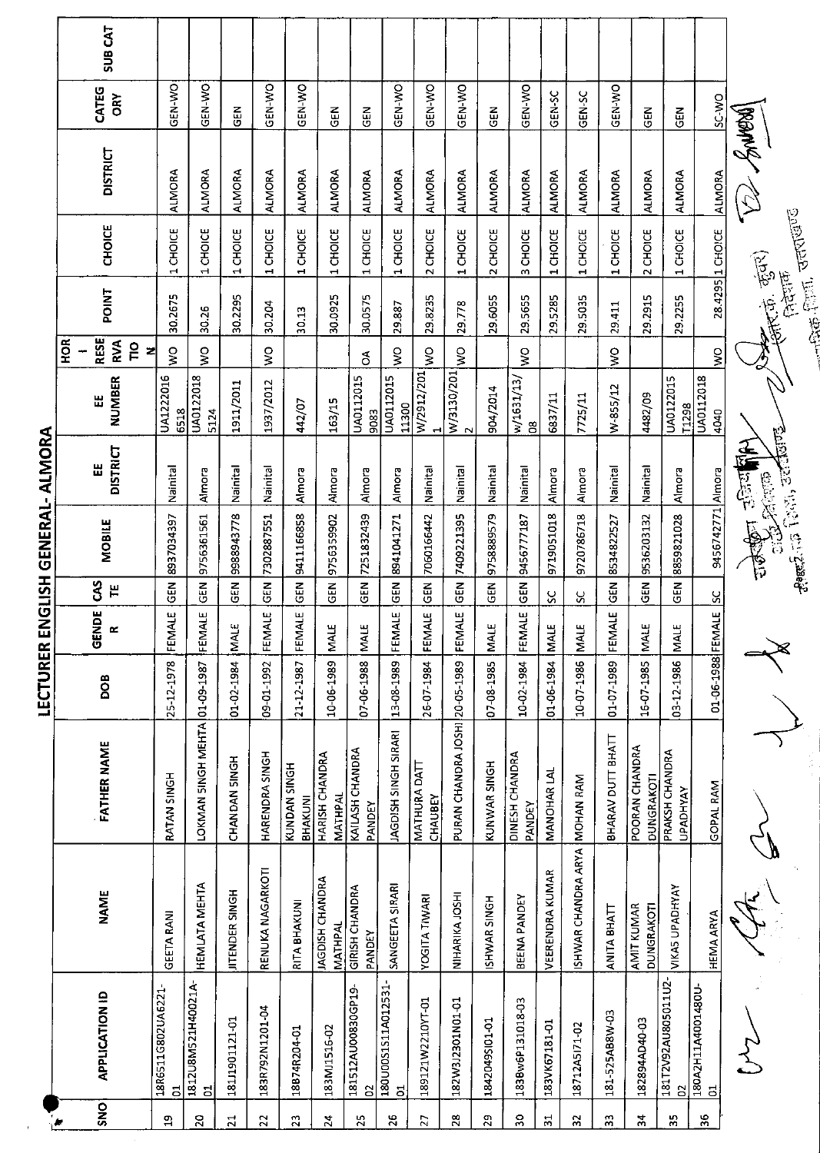|                                                                                                                                                                                                                                                                                                                                                                                                              |                                                                                                           |                                                                        |                                                                                                                                                                                                                        | GENERAL-   | ALMORA                   |                                                              |                                        |                      |                                            |                                              |                 |                                                                                                                                                                                                       |
|--------------------------------------------------------------------------------------------------------------------------------------------------------------------------------------------------------------------------------------------------------------------------------------------------------------------------------------------------------------------------------------------------------------|-----------------------------------------------------------------------------------------------------------|------------------------------------------------------------------------|------------------------------------------------------------------------------------------------------------------------------------------------------------------------------------------------------------------------|------------|--------------------------|--------------------------------------------------------------|----------------------------------------|----------------------|--------------------------------------------|----------------------------------------------|-----------------|-------------------------------------------------------------------------------------------------------------------------------------------------------------------------------------------------------|
|                                                                                                                                                                                                                                                                                                                                                                                                              |                                                                                                           | ENDE <sup>1</sup><br>ō                                                 | š                                                                                                                                                                                                                      |            | 出                        | 띲                                                            |                                        |                      |                                            |                                              |                 |                                                                                                                                                                                                       |
|                                                                                                                                                                                                                                                                                                                                                                                                              |                                                                                                           | œ                                                                      | Н                                                                                                                                                                                                                      |            | <b>DISTRICT</b>          | <b>NUMBER</b>                                                | RVA<br>$\frac{1}{2}$                   |                      |                                            |                                              | òκ              | <b>SUB CAT</b>                                                                                                                                                                                        |
| RATAN SINGH                                                                                                                                                                                                                                                                                                                                                                                                  | 25-12-1978                                                                                                |                                                                        | ទី<br>ច                                                                                                                                                                                                                | 8937034397 | Nainital                 | UA1222016                                                    | Ş                                      | 30.2675              | CHOICE<br>$\overline{\phantom{0}}$         | <b>ALMORA</b>                                | <b>GEN-WO</b>   |                                                                                                                                                                                                       |
|                                                                                                                                                                                                                                                                                                                                                                                                              |                                                                                                           |                                                                        | GEN                                                                                                                                                                                                                    | 9756361561 | Almora                   | UA0122018                                                    | $\frac{1}{2}$                          | 30.26                | 1 CHOICE                                   | <b>ALMORA</b>                                | GEN-WO          |                                                                                                                                                                                                       |
| CHANDAN SINGH                                                                                                                                                                                                                                                                                                                                                                                                |                                                                                                           |                                                                        | $\frac{2}{9}$                                                                                                                                                                                                          | 9988943778 | Nainital                 | 1911/2011                                                    |                                        | 30.2295              | 1 CHOICE                                   | <b>ALMORA</b>                                |                 |                                                                                                                                                                                                       |
| HARENDRA SINGH                                                                                                                                                                                                                                                                                                                                                                                               | 09-01-1992                                                                                                | MALE                                                                   | <b>GEN</b>                                                                                                                                                                                                             | 7302887551 | Nainital                 | 1937/2012                                                    | Ş                                      | 30.204               | 1 CHOICE                                   | <b>ALMORA</b>                                | GEN-WO          |                                                                                                                                                                                                       |
| KUNDAN SINGH                                                                                                                                                                                                                                                                                                                                                                                                 | 21-12-1987                                                                                                | <b>MALE</b>                                                            | $\overline{5}$                                                                                                                                                                                                         | 9411166858 | Almora                   | 442/07                                                       |                                        | 30.13                | 1 CHOICE                                   | <b>ALMORA</b>                                | GEN-WO          |                                                                                                                                                                                                       |
| HARISH CHANDRA<br>MATHPAL                                                                                                                                                                                                                                                                                                                                                                                    | 10-06-1989                                                                                                |                                                                        | <b>GEN</b>                                                                                                                                                                                                             | 9756359902 | Almora                   | 163/15                                                       |                                        | 30.0925              | 1 CHOICE                                   | <b>ALMORA</b>                                |                 |                                                                                                                                                                                                       |
| KAILASH CHANDRA                                                                                                                                                                                                                                                                                                                                                                                              | 07-06-1988                                                                                                |                                                                        | <b>GEN</b>                                                                                                                                                                                                             | 7251832439 | Almora                   | UA0112015                                                    | $\delta$                               | 30.0575              | 1 CHOICE                                   | <b>ALMORA</b>                                |                 |                                                                                                                                                                                                       |
| JAGDISH SINGH SIRARI                                                                                                                                                                                                                                                                                                                                                                                         | 13-08-1989                                                                                                |                                                                        | $\overline{5}$                                                                                                                                                                                                         | 8941041271 | Almora                   | <b>UA0112015</b>                                             | $\frac{8}{5}$                          | 29.887               | 1 CHOICE                                   | <b>ALMORA</b>                                |                 |                                                                                                                                                                                                       |
| MATHURA DATT<br>CHAUBEY                                                                                                                                                                                                                                                                                                                                                                                      | 26-07-1984                                                                                                |                                                                        | GEN                                                                                                                                                                                                                    | 7060166442 | Nainital                 | W/2912/201<br>⊣                                              | Ş                                      | 29.8235              | 2 CHOICE                                   | <b>ALMORA</b>                                | GEN-WO          |                                                                                                                                                                                                       |
|                                                                                                                                                                                                                                                                                                                                                                                                              |                                                                                                           |                                                                        | $\overline{5}$                                                                                                                                                                                                         | 7409221395 | Nainital                 |                                                              | Ş                                      | 29.778               | 1 CHOICE                                   | <b>ALMORA</b>                                |                 |                                                                                                                                                                                                       |
| KUNWAR SINGH                                                                                                                                                                                                                                                                                                                                                                                                 | 07-08-1985                                                                                                |                                                                        | $\overline{5}$                                                                                                                                                                                                         | 9758889579 | Nainital                 | 904/2014                                                     |                                        | 29.6055              | 2 CHOICE                                   | <b>ALMORA</b>                                |                 |                                                                                                                                                                                                       |
| DINESH CHANDRA                                                                                                                                                                                                                                                                                                                                                                                               | 10-02-1984                                                                                                | <b>MALE</b>                                                            | <b>GEN</b>                                                                                                                                                                                                             | 9456777187 | Nainital                 | w/1631/13/<br>$\mathbf{g}$                                   | Ş                                      | 29.5655              | 3 CHOICE                                   | <b>ALMORA</b>                                |                 |                                                                                                                                                                                                       |
| MANOHAR LAL                                                                                                                                                                                                                                                                                                                                                                                                  | 01-06-1984                                                                                                |                                                                        | S                                                                                                                                                                                                                      | 9719051018 | Almora                   | 6837/11                                                      |                                        | 29.5285              | 1 CHOICE                                   | <b>ALMORA</b>                                |                 |                                                                                                                                                                                                       |
| MOHAN RAM                                                                                                                                                                                                                                                                                                                                                                                                    | 10-07-1986                                                                                                |                                                                        | S                                                                                                                                                                                                                      | 9720786718 | Almora                   | 7725/11                                                      |                                        | 29.5035              | 1 CHOICE                                   | <b>ALMORA</b>                                |                 |                                                                                                                                                                                                       |
| BHARAV DUTT BHATT                                                                                                                                                                                                                                                                                                                                                                                            | 01-07-1989                                                                                                |                                                                        | <b>GEN</b>                                                                                                                                                                                                             | 8534822527 | Nainital                 | W-855/12                                                     | Ş                                      | 29.411               | <b>CHOICE</b><br>÷                         | <b>ALMORA</b>                                |                 |                                                                                                                                                                                                       |
| POORAN CHANDRA                                                                                                                                                                                                                                                                                                                                                                                               | 16 07 1985                                                                                                |                                                                        | $\tilde{5}$                                                                                                                                                                                                            | 9536203132 | Nainital                 | 4482/09                                                      |                                        | 29.2915              | 2 CHOICE                                   | <b>ALMORA</b>                                |                 |                                                                                                                                                                                                       |
| PRAKSH CHANDRA                                                                                                                                                                                                                                                                                                                                                                                               | 03-12-1986                                                                                                |                                                                        | <b>GEN</b>                                                                                                                                                                                                             | 8859821028 | Almora                   | UA0122015                                                    |                                        | 29,2255              | CHOICE<br>$\overline{\phantom{0}}$         | <b>ALMORA</b>                                |                 |                                                                                                                                                                                                       |
| GOPAL RAM                                                                                                                                                                                                                                                                                                                                                                                                    |                                                                                                           |                                                                        | $\overline{\text{sc}}$                                                                                                                                                                                                 |            |                          | <b>UA0112018</b><br>4040                                     | Ş                                      |                      |                                            | <b>ALMORA</b>                                |                 |                                                                                                                                                                                                       |
|                                                                                                                                                                                                                                                                                                                                                                                                              |                                                                                                           |                                                                        |                                                                                                                                                                                                                        |            |                          |                                                              |                                        | <b>CONTENT</b>       |                                            |                                              |                 |                                                                                                                                                                                                       |
| RENUKA NAGARKOTI<br><b>VEERENDRA KUMAR</b><br>JAGDISH CHANDRA<br><b>HEMLATA MEHTA</b><br>SANGEETA SIRARI<br>GIRISH CHANDRA<br><b>VIKAS UPADHYAY</b><br><b>JITENDER SINGH</b><br><b>NAME</b><br>NIHARIKA JOSHI<br><b>YOGITA TIWARI</b><br>BEENA PANDEY<br>ISHWAR SINGH<br>RITA BHAKUNI<br><b>AMIT KUMAR</b><br>DUNGRAKOTI<br>ANITA BHATT<br><b>HEMA ARYA</b><br><b>GEETA RANI</b><br>MATHPAL<br><b>PANDEY</b> | <b>FATHER NAME</b><br>DUNGRAKOTI<br><b>UPADHYAY</b><br>BHAKUNI<br>PANDEY<br>PANDEY<br>ISHWAR CHANDRA ARYA | PURAN CHANDRA JOSHI 20-05-1989<br>LOKMAN SINGH MEHTA 01-09-1987<br>BOO | 01-06-1988 FEMALE<br>FEMALE<br>FEMALE<br>FEMALE<br>FEMALE<br>FEMALE<br>FEMALE<br>01-02-1984 MALE<br><b>NALE</b><br>MAIE<br><b>MALE</b><br><b>MALE</b><br><b>MALE</b><br>MALE<br><b>MALE</b><br>문<br>푼<br>푼<br>LECTURER |            | <b>MOBILE</b><br>ENGLISH | Control of the Control<br>9456742771 Almora<br><b>Divide</b> | 11300<br>11298<br>6518<br>5124<br>9083 | z<br>$\frac{ W }{2}$ | <b>POINT</b><br><b>RESE</b><br>$rac{6}{2}$ | <b>CHOICE</b><br>28.4295 1 CHOICE<br>रहूँदर) | <b>DISTRICT</b> | <b>OKI-NEC</b><br>GEN-WO<br>GEN-WO<br>ON-N-O<br>CATEG<br>GEN-SC<br>GEN <sub>SC</sub><br>SC WO<br>$\frac{2}{9}$<br>$\frac{2}{9}$<br><b>GEN</b><br>$\tilde{e}$<br>$\frac{2}{3}$<br>GEN<br><b>POULON</b> |

**IFCTIJRER ENGLISH GENERAL, ALMORA** 

 $\bar{\beta}$ 

**CONTROLLER STRINGER** Charles Bar) **ELECTED** STRINGS

 $\frac{1}{\sqrt{2}}$  $\begin{array}{c}\n\downarrow \\
\downarrow\n\end{array}$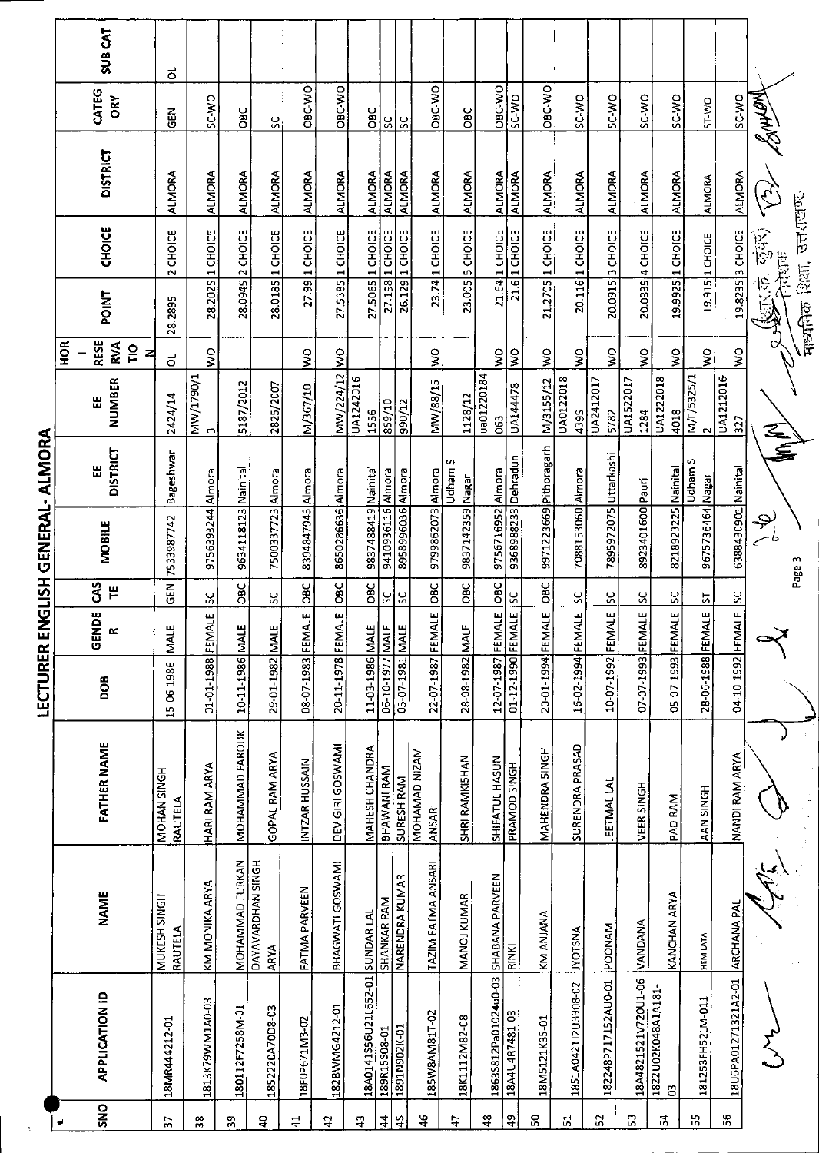|                |                                 |                                  |                         | <b>SEPINING · JENINING CIPNI KIKO I JIJI</b> |                    |                         |                        |                      |                                                                                |                                                           |                             |                   |                 |                 |                |
|----------------|---------------------------------|----------------------------------|-------------------------|----------------------------------------------|--------------------|-------------------------|------------------------|----------------------|--------------------------------------------------------------------------------|-----------------------------------------------------------|-----------------------------|-------------------|-----------------|-----------------|----------------|
| SNO            | <b>APPLICATION ID</b>           | <b>NAME</b>                      | <b>FATHER NAME</b>      | DOB                                          | GENDE<br>$\approx$ | <b>GAS</b><br>۳         | <b>MOBILE</b>          | <b>DISTRICT</b><br>Ш | <b>NUMBER</b><br>쁪                                                             | <b>RESE</b><br>$\frac{8}{2}$<br>RVA<br>$\frac{1}{2}$<br>z | POINT                       | <b>CHOICE</b>     | <b>DISTRICT</b> | CATEG<br>ORY    | <b>SUB CAT</b> |
| 57             | 18MR444212-01                   | MUKESH SINGH<br>RAUTELA          | MOHAN SINGH<br>RAUTELA  | 15-06-1986                                   | <b>MALE</b>        | $\overline{\mathsf{H}}$ | 7533987742             | Bageshwar            | 2424/14                                                                        | $\overline{\circ}$                                        | 28.2895                     | 2 CHOICE          | <b>ALMORA</b>   | $\overline{5}$  | ಕ              |
| 38             | 1813K79WM1A0-03                 | KM MONIKA ARYA                   | HARI RAM ARYA           | 01-01-1988 FEMALE                            |                    | χ                       | 9756393244 Almora      |                      | $\begin{array}{ l } \hline \text{MW/1790/1} \\ \hline 3 \\ \hline \end{array}$ | $\frac{1}{2}$                                             | 28.2025                     | 1 CHOICE          | <b>ALMORA</b>   | SC-WO           |                |
| 39             | 180112F7258M-01                 | MOHAMMAD FURKAN                  | MOHAMMAD FAROUK         | 10-11-1986 MALE                              |                    | <b>DBC</b>              | 9634118123 Nainital    |                      | 5187/2012                                                                      |                                                           | 28.0945 2 CHOICE            |                   | <b>ALMORA</b>   | <b>OBC</b>      |                |
| $\overline{a}$ | 1852220A70D8-03                 | DAYAVARDHAN SINGH<br><b>ARYA</b> | GOPAL RAM ARYA          | 29-01-1982 MALE                              |                    | ပ္တ                     | 7500337723 Almora      |                      | 2825/2007                                                                      |                                                           | 28.0185 1 CHOICE            |                   | <b>ALMORA</b>   | ပ္တ             |                |
| $\ddot{4}$     | 18F0P671M3-02                   | FATMA PARVEEN                    | INTZAR HUSSAIN          | 08-07-1983 FEMALE                            |                    | DBC                     | 8394847945 Almora      |                      | M/367/10                                                                       | $\frac{1}{2}$                                             |                             | 27.99 1 CHOICE    | <b>ALMORA</b>   | OBC-WO          |                |
| 42             | 182BWMG4212-01                  | BHAGWATI GOSWAMI                 | DEV GIRI GOSWAMI        | 20-11-1978 FEMALE                            |                    | <b>DBC</b>              | 8650286636 Almora      |                      | MW/224/12 WO                                                                   |                                                           | 27.5385 1 CHOICE            |                   | <b>ALMORA</b>   | OBC-WO          |                |
| 43             | 18A0141S56U21L652-01 SUNDAR LAL |                                  | MAHESH CHANDRA          | 11-03-1986 MALE                              |                    | <b>OBC</b>              | 9837488419 Nainital    |                      | UA1242016<br>1556                                                              |                                                           | 27.5065 1 CHOICE            |                   | <b>ALMORA</b>   | <b>OBC</b>      |                |
| 44             | 189R15S08-01                    | SHANKAR RAM                      | <b>BHAWANI RAM</b>      |                                              |                    | S                       | 9410936116 Almora      |                      |                                                                                |                                                           |                             | 27.198 1 CHOICE   | <b>ALMORA</b>   | ပ္တ             |                |
| $\frac{45}{3}$ | 1891N902K-01                    | <b>NARENDRA KUMAR</b>            | SURESH RAM              | 06-10-1977 MALE<br>05-07-1981 MALE           |                    | ၂၂                      | 8958996036 Almora      |                      | $\frac{859/10}{990/12}$                                                        |                                                           |                             | 26.129 1 CHOICE   | <b>ALMORA</b>   | 3S              |                |
| 46             | 185W8AM81T-02                   | TAZIM FATMA ANSARI               | MOHAMAD NIZAM<br>ANSARI | 22-07-1987 FEMALE                            |                    | OBC                     | 9799862073 Almora      |                      | MW/88/15                                                                       | $\frac{1}{2}$                                             | 23.74                       | 1 CHOICE          | <b>ALMORA</b>   | OBC-WO          |                |
| $\mathbf{f}$   | 18K1112M82-08                   | MANOJ KUMAR                      | SHRI RAMKISHAN          | 28-08-1982 MALE                              |                    | OBC                     | 9837142359 Nagar       | w<br>udham           | 1128/12                                                                        |                                                           | 23.005                      | 5 CHOICE          | <b>ALMORA</b>   | OBC             |                |
| $\frac{8}{4}$  | 1863S812Pa01024u0-03            | SHABANA PARVEEN                  | SHIFATUL HASUN          | 12-07-1987 FEMALE                            |                    | $rac{6}{280}$           | 9756716952 Almora      |                      | ua01220184<br>3                                                                | ş                                                         |                             | 21.64 1 CHOICE    | <b>ALMORA</b>   | OBC-VVO         |                |
| $\frac{6}{4}$  | 18A4U4R7481-03                  | <b>RINKI</b>                     | PRAMOD SINGH            | 01-12-1990 FEMALE                            |                    | $rac{c}{s}$             | 9368988233 Dehradun    |                      | UA144478                                                                       | $\mathsf{S}$                                              |                             | $21.6$ $1$ CHOICE | <b>ALMORA</b>   | OM-35           |                |
| S              | 18M5121K35-01                   | KM ANJANA                        | <b>MAHENDRA 5INGH</b>   | 20-01-1994 FEMALE                            |                    | DBC                     | 9971223669 Pithoragarh |                      | M/3155/12                                                                      | $\geq$                                                    | 21.2705 1 CHOICE            |                   | <b>ALMORA</b>   | OBC-WO          |                |
| 51             | 1851A0421J2U3908-02             | <b>NOTSINA</b>                   | SURENDRA PRASAD         | 16-02-1994 FEMALE                            |                    | $\infty$                | 7088153060 Almora      |                      | UA0122018<br>4395                                                              | $\frac{1}{2}$                                             |                             | 20.116 1 CHOICE   | <b>ALMORA</b>   | SC-WO           |                |
| 52             | 182248P717152AU0-01 POONAM      |                                  | JEETMAL LAL             | 10-07-1992 FEMALE                            |                    | $\frac{8}{5}$           | 7895972075 Uttarkashi  |                      | UA2412017<br>5782                                                              | $\frac{1}{2}$                                             | 20.0915                     | 3 CHOICE          | <b>ALMORA</b>   | SC-WO           |                |
| $\mathbbm{S}$  | 18A4821521V720U1-06 VANDANA     |                                  | VEER SINGH              | 07-07-1993 FEMALE                            |                    | X                       | 8923401600 Pauri       |                      | UA1522017<br>1284                                                              | ş                                                         | 20.0335                     | 4 CHOICE          | <b>ALMORA</b>   | SC-WO           |                |
| Y              | 1822U02K048A1A181-<br>g         | KANCHAN ARYA                     | PAD RAM                 | 05-07-1993 FEMALE                            |                    | $\frac{8}{5}$           | 8218923225 Nainital    |                      | <b>UA1222018</b><br>4018                                                       | $\frac{1}{2}$                                             | 19.9925                     | 1 CHOICE          | <b>ALMORA</b>   | SC-WO           |                |
| S.             | 181253FH52LM-011                | <b>HEM LATA</b>                  | AAN SINGH               | 28-06-1988 FEMALE                            |                    | 능                       | 9675736464 Nagar       | Udham S              | M/F/5325/1<br>$\sim$                                                           | ş                                                         |                             | 19.915 1 CHOICE   | <b>ALMORA</b>   | ST-WO           |                |
| 56             | 18U6PA01271321A2-01             | ARCHANA PA                       | NANDI RAM ARYA          | 04-10-1992                                   | FEMALE             | <u>S</u>                | 6388430901 Nainital    |                      | UA1212016<br>327                                                               | $\frac{1}{2}$                                             | 19.8235 3 CHOICE            |                   | <b>ALMORA</b>   | SC-WO           |                |
|                |                                 |                                  |                         |                                              | у                  |                         | $\varphi$              |                      |                                                                                |                                                           | OSSET TOTAL<br>世存在          |                   | $\zeta_{\chi}$  | <b>Kothy St</b> |                |
|                |                                 |                                  |                         |                                              |                    | Page 3                  |                        |                      |                                                                                |                                                           | नाट्यनिक शिक्षा, उत्तराखण्ड |                   |                 |                 |                |

**IFCTURER ENGLISH GENERAL, ALMORA** 

 $\frac{1}{2}$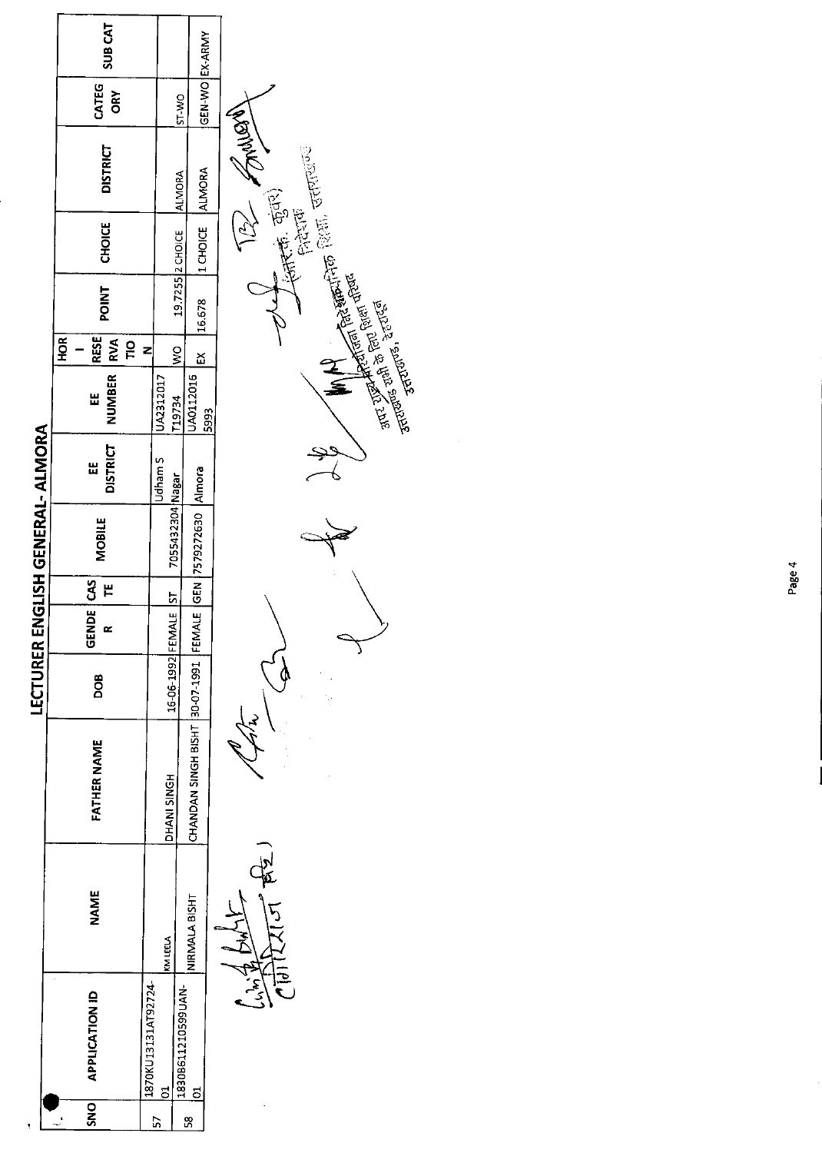|                                  | <b>SUBCAT</b>                                           |                                                                                       |      |                                                                                                                                                                                                                                             |
|----------------------------------|---------------------------------------------------------|---------------------------------------------------------------------------------------|------|---------------------------------------------------------------------------------------------------------------------------------------------------------------------------------------------------------------------------------------------|
|                                  | CATEG<br>ORY                                            | GEN-WO EX-ARMY<br>ST-WO                                                               |      |                                                                                                                                                                                                                                             |
|                                  | <b>DISTRICT</b>                                         | ALMORA<br><b>ALMORA</b>                                                               |      | Walking -<br>A PERCENTIFICAL CRIMINAL CONTROL CONTROL CONTROL CONTROL CONTROL CONTROL CONTROL CONTROL CONTROL CONTROL CONTROL CONTROL CONTROL CONTROL CONTROL CONTROL CONTROL CONTROL CONTROL CONTROL CONTROL CONTROL CONTROL CONTROL CONTR |
|                                  | CHOICE                                                  | 1 CHOICE<br>19.7255 2 CHOICE                                                          |      | - 1945. कुंतर)<br>- शिराण<br>- .                                                                                                                                                                                                            |
|                                  | <b>POINT</b>                                            | 16.678                                                                                |      |                                                                                                                                                                                                                                             |
|                                  | HOR <sup>I</sup><br><b>RESE</b><br>RVA<br>$\frac{1}{2}$ | z<br>$\frac{1}{2}$<br>$\mathbf{\underline{x}}$                                        |      |                                                                                                                                                                                                                                             |
|                                  | NUMBER<br>Ш                                             | JA0112016<br>UA2312017<br>T19734                                                      | 5993 |                                                                                                                                                                                                                                             |
| LECTURER ENGLISH GENERAL- ALMORA | <b>DISTRICT</b><br>Н                                    | Udham S                                                                               |      |                                                                                                                                                                                                                                             |
|                                  | <b>MOBILE</b>                                           | 7055432304 Nagar                                                                      |      |                                                                                                                                                                                                                                             |
|                                  | CAS<br>٣                                                |                                                                                       |      |                                                                                                                                                                                                                                             |
|                                  | <b>GENDE</b><br>œ                                       |                                                                                       |      |                                                                                                                                                                                                                                             |
|                                  | DOB                                                     | 16-06-1992 FEMALE ST                                                                  |      |                                                                                                                                                                                                                                             |
|                                  | <b>FATHER NAME</b>                                      | CHANDAN SINGH BISHT  30-07-1991  FEMALE  GEN  7579272630  Almora<br><b>PHANISINGH</b> |      |                                                                                                                                                                                                                                             |
|                                  | <b>NAME</b>                                             | NIRMALA BISHT<br>KMIEELA                                                              |      | र्वे<br>स                                                                                                                                                                                                                                   |
|                                  | <b>APPLICATION ID</b>                                   | 1870KU13131AT92724-<br>1830B611210599UAN-<br><u>ទ</u><br><u>៩</u>                     |      |                                                                                                                                                                                                                                             |
|                                  | SNO                                                     | 57<br>SS,                                                                             |      |                                                                                                                                                                                                                                             |

ï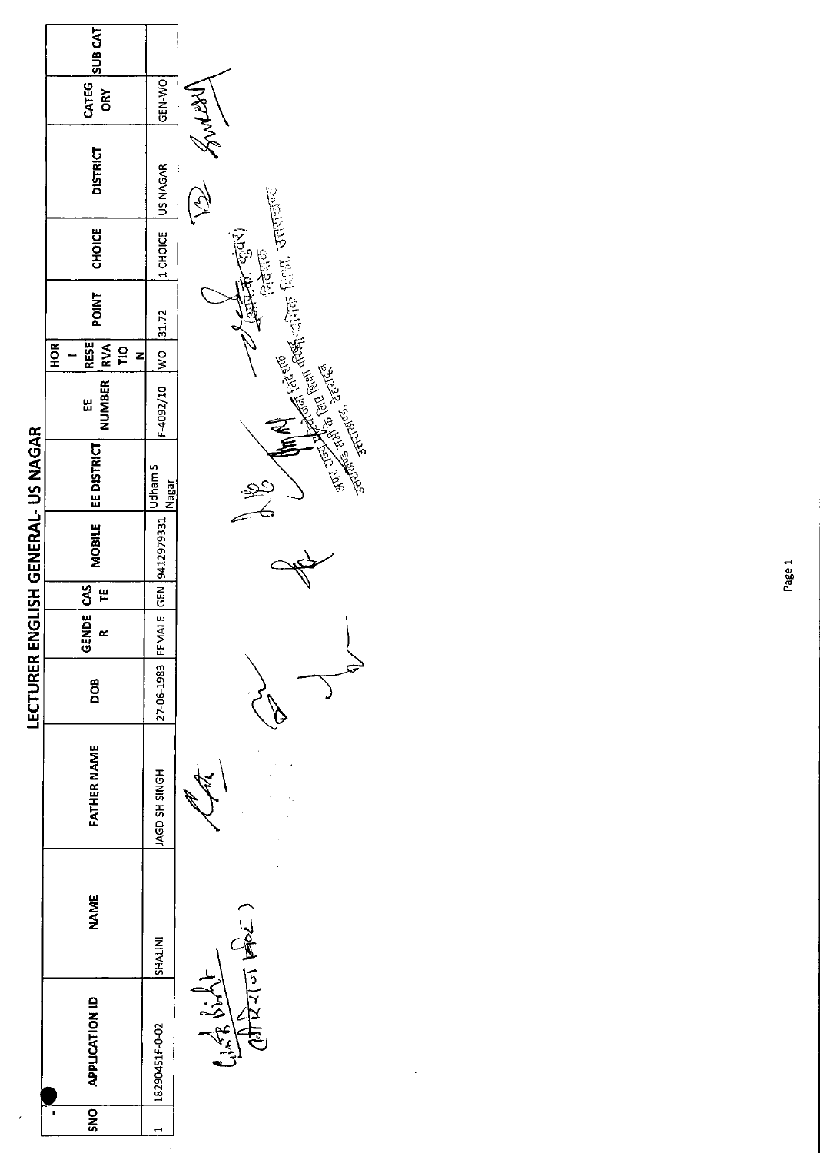|                                    | SUB <sub>CAT</sub>                                    |                                  |                                                                                                                                                                                                                                |
|------------------------------------|-------------------------------------------------------|----------------------------------|--------------------------------------------------------------------------------------------------------------------------------------------------------------------------------------------------------------------------------|
|                                    | CATEG<br>ORY                                          | GEN-WO                           |                                                                                                                                                                                                                                |
|                                    | <b>DISTRICT</b>                                       | US NAGAR                         | Many -                                                                                                                                                                                                                         |
|                                    | <b>CHOICE</b>                                         | 1 CHOICE                         |                                                                                                                                                                                                                                |
|                                    | <b>POINT</b>                                          | 31.72                            |                                                                                                                                                                                                                                |
|                                    | <b>RESE</b><br>HOR <sup>I</sup><br>$\frac{1}{2}$<br>z | $\frac{8}{5}$                    |                                                                                                                                                                                                                                |
|                                    | NUMBER   RVA<br>Ш                                     | F-4092/10                        |                                                                                                                                                                                                                                |
| LECTURER ENGLISH GENERAL- US NAGAR | EE DISTRICT                                           | Udham 5<br>Nagar                 | and the second research (and finding continued and the second of the final second continued and the second continued and the second continued and continued and continued and continued and continued and continued and contin |
|                                    | MOBILE                                                | 27-06-1983 FEMALE GEN 9412979331 |                                                                                                                                                                                                                                |
|                                    | ٣                                                     |                                  |                                                                                                                                                                                                                                |
|                                    | GENDE CAS<br>$\alpha$                                 |                                  |                                                                                                                                                                                                                                |
|                                    | DOB                                                   |                                  |                                                                                                                                                                                                                                |
|                                    | <b>FATHER NAME</b>                                    | HONIS HSIDAN                     |                                                                                                                                                                                                                                |
|                                    | <b>NAME</b>                                           | SHALINI                          | पेराज फोट.                                                                                                                                                                                                                     |
|                                    | <b>APPLICATION ID</b>                                 | 18290451F-0-02                   | 2662                                                                                                                                                                                                                           |
|                                    | SNO                                                   |                                  |                                                                                                                                                                                                                                |

 $\cdot$ 

 $($  $\frac{1}{2}$  $\frac{1}{2}$  $\frac{1}{2}$  $\frac{1}{2}$  $\frac{1}{2}$  $\frac{1}{2}$  $\frac{1}{2}$  $\frac{1}{2}$ 

1  $\subset$ 

Page 1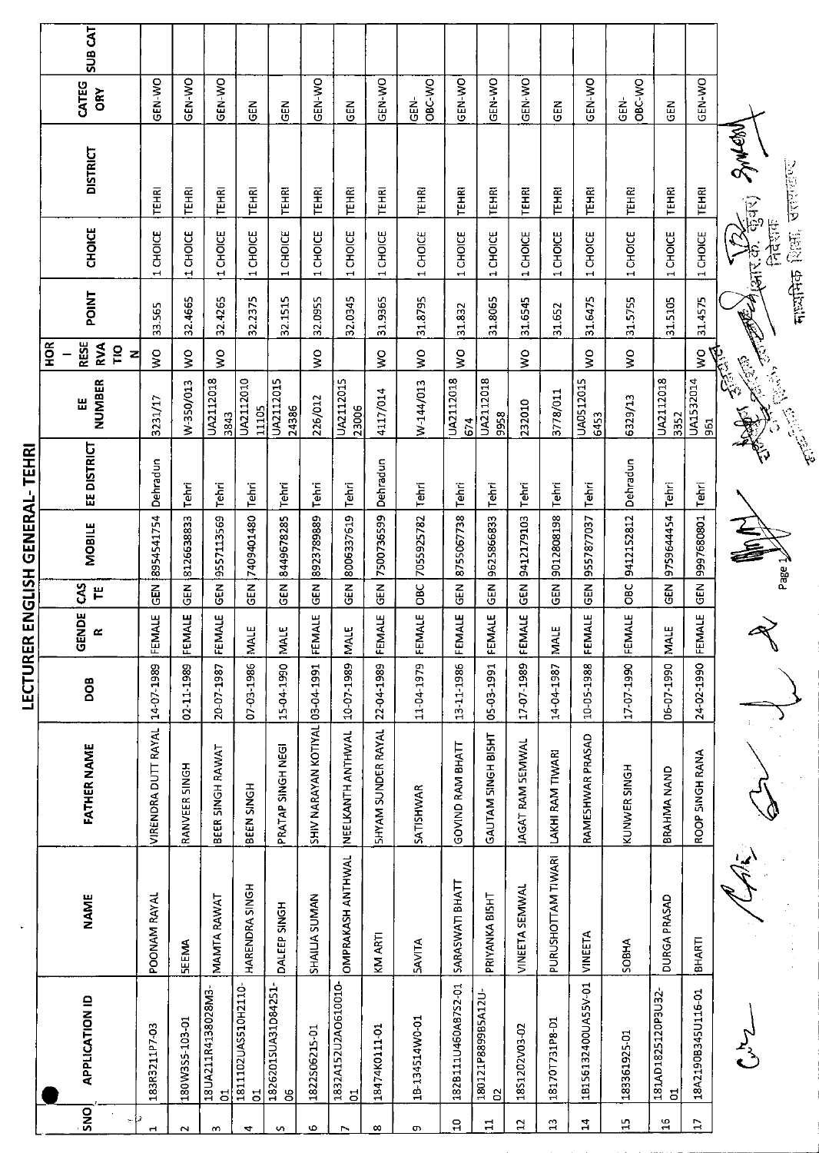|                       | <b>SUB CAT</b>                                  |                     |                |                                      |                          |                          |                                 |                          |                    |                           |                     |                        |                  |                      |                     |                    |                         |                    |                                   |
|-----------------------|-------------------------------------------------|---------------------|----------------|--------------------------------------|--------------------------|--------------------------|---------------------------------|--------------------------|--------------------|---------------------------|---------------------|------------------------|------------------|----------------------|---------------------|--------------------|-------------------------|--------------------|-----------------------------------|
|                       | CATEG<br>ORY                                    | <b>GEN-WO</b>       | GEN-WO         | GEN-WO                               | M<br>じ                   | る                        | GEN-WO                          | <b>GEN</b>               | GEN-WO             | OBC-WO<br>소<br>동          | GEN-WO              | GEN-WO                 | GEN-WO           | N<br>19              | GEN-WO              | OBC-WO<br>ទី<br>មិ | 집<br>명                  | GEN-WO             |                                   |
|                       | <b>DISTRICT</b>                                 | <b>TÊHRI</b>        | TEHRI          | TEHRI                                | TÊHRI                    | TEHRI                    | TEHRI                           | <b>TEHRI</b>             | TEHRI              | <b>TEHRI</b>              | TEHRI               | <b>TEHRI</b>           | TEHRI            | TEHRI                | TEHRI               | <b>TEHRI</b>       | <b>TEHRI</b>            | <b>TEHRI</b>       | AME CARS SMEAN<br><b>Beinging</b> |
|                       | <b>CHOICE</b>                                   | $1$ CHOICE          | 1 CHOICE       | 1 CHOICE                             | 1 CHOICE                 | 1 CHOICE                 | 1 CHOICE                        | 1 CHOICE                 | 1 CHOICE           | 1 CHOICE                  | 1 CHOICE            | 1 CHOICE               | 1 CHOICE         | 1 CHOICE             | 1 CHOICE            | 1 CHOICE           | 1 CHOICE                | 1 CHOICE           | टेर्नुहोस<br>नाध्यमिक शिक्षा.     |
|                       | <b>POINT</b>                                    | 33.565              | 32.4665        | 324265                               | 32.2375                  | 32.1515                  | 32.0955                         | 32.0345                  | 319365             | 31.8795                   | 31.832              | 31.8065                | 31.6545          | 31.652               | 316475              | 31 5755            | 31.5105                 | 31.4575            | <b>RESERVED</b>                   |
|                       | RESE<br>$\frac{8}{2}$<br><b>RVA</b><br>ΓlΟ<br>z | ş                   | ş              | Š                                    |                          |                          | Ş                               |                          | ş                  | $\mathsf{S}^{\mathsf{O}}$ | $\frac{1}{2}$       |                        | $\frac{1}{2}$    |                      | $\frac{1}{2}$       | ş                  |                         | $\boldsymbol{\xi}$ |                                   |
|                       | NUMBER<br>Ш                                     | 3231/17             | W-350/013      | UA2112018<br>3843                    | UA2112010<br>11105       | UA2112015<br>24386       | 226/012                         | UA2112015<br>23006       | 4117/014           | W-144/013                 | UA2112018<br>674    | UA2112018<br>9958      | 232010           | 3778/011             | UA0512015<br>6453   | 6329/13            | UA2112018<br>3352       | UA1532014<br>961   | Chicago<br><b>Children</b>        |
|                       | <b>EE DISTRICT</b>                              | Dehradun            | Tehri          | Tehri                                | Tehri                    | Tehri                    | Tehri                           | Tehri                    | Dehradun           | Tehri                     | Tehri               | Tehri                  | Tehri            | Tehri                | Tehri               | Dehradun           | Tehri                   | Tehri              |                                   |
| ENGLISH GENERAL-TEHRI | <b>MOBILE</b>                                   | 8954541754          | 8126638833     | 9557113569                           | 7409401480               | 8449678285               | 8923789889                      | 8006337619               | 7500736599         | 7055925782                | 8755067738          | 9625866833             | 9412179103       | 9012808198           | 9557877037          | 9412152812         | 975964454               | 9997680801         | Page 7                            |
|                       | 3<br>巴                                          | GEN                 | 즈<br>이         | <b>GEN</b>                           | <b>GEN</b>               | <b>GEN</b>               | <b>GEN</b>                      | N30                      | GEN                | OBC                       | $rac{1}{9}$         | GEN                    | $\tilde{c}$      | $\tilde{\mathbb{E}}$ | 도<br>5              | OBC                | GEN                     | GEN                |                                   |
|                       | GENDE<br>$\sim$                                 | <b>ALE</b><br>ILEM  | FEMALE         | FEMALE                               | ш<br>MAL                 | بى<br>NAL                | <b>ALE</b><br>EM                | <b>MALE</b>              | IALE<br>ξÑ         | FEMALE                    | <b>ALE</b><br>ΕQ    | FEMALE                 | FEMALE           | <b>MALE</b>          | <b>ALE</b><br>FEM   | FEMALE             | MALE                    | FEMALE             |                                   |
| LECTURER              | BOQ                                             | 14-07-1989          | 02-11-1989     | 20-07-1987                           | 07-03-1986               | 15-04-1990               |                                 | 10-07-1989               | 22-04-1989         | 11-04-1979                | 13-11-1986          | 05-03-1991             | 17-07-1989       | 14-04-1987           | 10-05-1988          | 17-07-1990         | 06-07-1990              | 24-02-1990         |                                   |
|                       | <b>FATHER NAME</b>                              | VIRENDRA DUTT RAYAL | RANVEER SINGH  | BEER SINGH RAWAT                     | BEEN SINGH               | PRATAP SINGH NEGI        | SHIV NARAYAN KOTIYAL 03-04-1991 | NEELKANTH ANTHWAL        | SHYAM SUNDER RAYAL | <b>SATISHWAR</b>          | GOVIND RAM BHATT    | GAUTAM SINGH BISHT     | JAGAT RAM SEMWAL | LAKHI RAM TIWARI     | RAMESHWAR PRASAD    | KUNWER SINGH       | BRAHMA NAND             | ROOP SINGH RANA    |                                   |
|                       | <b>NAME</b>                                     | POONAM RAYAL        | <b>SEEMA</b>   | MAMTA RAWAT                          | HARENDRA SINGH           | DALEEP SINGH             | SHAILLA SUMAN                   | <b>OMPRAKASH ANTHWAL</b> | KM ARTI            | <b>SAVITA</b>             | SARASWATI BHATT     | PRIYANKA BISHT         | VINEETA SEMWAL   | PURUSHOTTAM TIWARI   | VINEETA             | SOBHA              | DURGA PRASAD            | BHARTI             |                                   |
|                       | <b>APPLICATION ID</b>                           | 183R3211P7-03       | 180W3S5-103-01 | 18UA211R4138028M3-<br>$\overline{5}$ | 1811102UAS510H2110-<br>5 | 1826201SUA31D84251-<br>8 | 1822506215-01                   | 1832A152U2AO610010-<br>5 | 18474K0111-01      | 18-134514W0-01            | 182B111U460AB7S2-01 | 180121P8899B5A12U<br>S | 1851202\03-02    | 18170T731P8-D1       | 18156132400UA55V-01 | 183361925-01       | 181AD1825120P3U32-<br>đ | 18A2190B345U116-01 |                                   |
|                       | $\overline{\text{SNO}}$                         | Н                   | $\sim$         | m                                    | 4                        | S                        | Ф                               | $\triangleright$         | $\infty$           | c                         | $\mathbf{a}$        | Ξ                      | 5                | $\mathbbm{2}$        | 4                   | $\mathbb{H}$       | $\frac{16}{1}$          | $\Xi$              |                                   |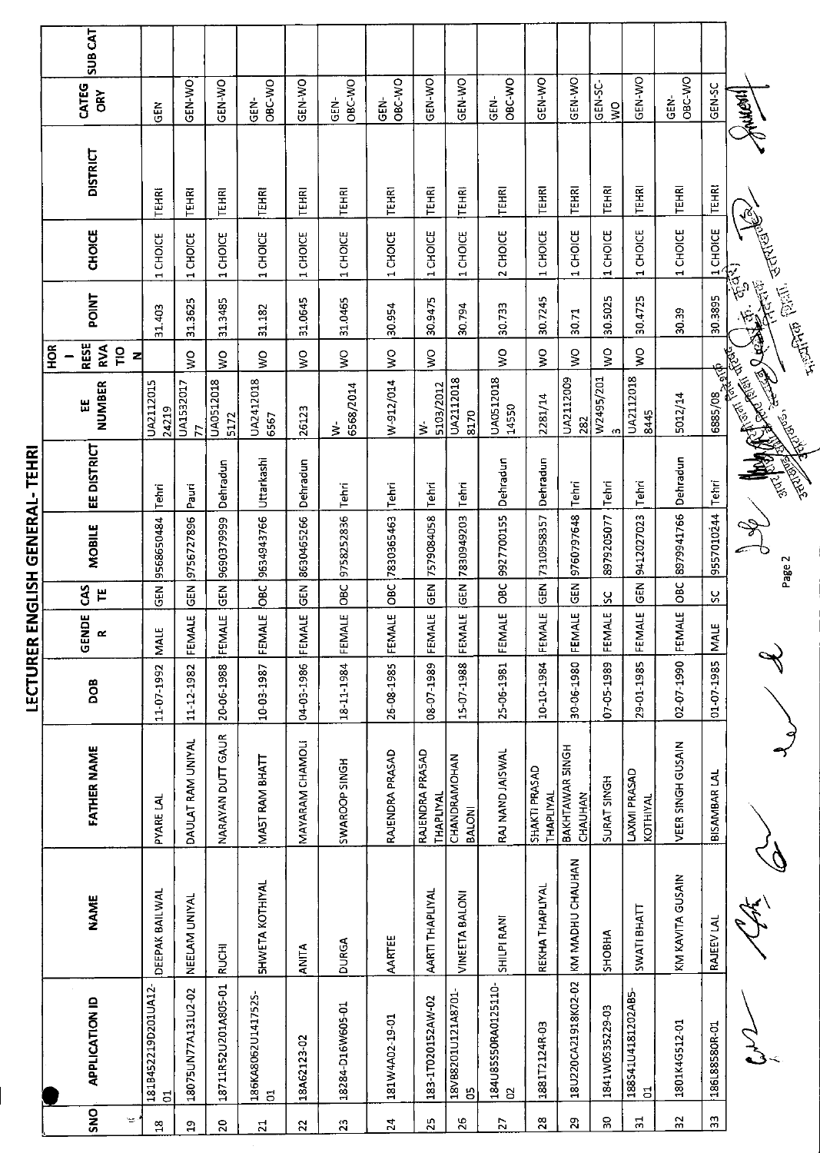|                 |                                     |                  |                                   | יי <u>ייען נידן</u> |                    |               | といこいつ こっこりこい  |             |                                                                                                                                                                                                                                      |                                                               |         |                                    |                 |                                  |                |  |
|-----------------|-------------------------------------|------------------|-----------------------------------|---------------------|--------------------|---------------|---------------|-------------|--------------------------------------------------------------------------------------------------------------------------------------------------------------------------------------------------------------------------------------|---------------------------------------------------------------|---------|------------------------------------|-----------------|----------------------------------|----------------|--|
| SNO<br>Ŧ.       | <b>APPLICATION ID</b>               | <b>NAME</b>      | <b>FATHER NAME</b>                | BOQ                 | GENDE<br>$\approx$ | S<br>٣        | <b>MOBILE</b> | EE DISTRICT | <b>NUMBER</b><br>出                                                                                                                                                                                                                   | <b>RESE</b><br><b>RVA</b><br><b>FOR</b><br>$\frac{1}{2}$<br>즤 | POINT   | CHOICE                             | <b>DISTRICT</b> | CATEG<br>ORY                     | <b>SUB CAT</b> |  |
| $\frac{8}{1}$   | 181B452219D201UA12-<br>5            | DEEPAK BAILWAL   | <b>PYARE LAL</b>                  | 11-07-1992          | بيا<br>⋚           | $\tilde{e}$   | 9568650484    | Tehri       | UA2112015<br>24219                                                                                                                                                                                                                   |                                                               | 31.403  | 1 CHOICE                           | TEHRI           | <b>GEN</b>                       |                |  |
| 임               | 18075UN77A131U2-02                  | NEELAM UNIYAL    | DAULAT RAM UNIYAL                 | 11-12-1982          | FEMALE             | <b>GEN</b>    | 9756727896    | Pauri       | UA1532017<br>F                                                                                                                                                                                                                       | Š                                                             | 31.3625 | CHOICE<br>$\overline{\phantom{0}}$ | TEHRI           | GEN-WO                           |                |  |
| $\mathbf{S}$    | 18711R52U201A805-01                 | <b>RUCHI</b>     | NARAYAN DUTT GAUR                 | 20-06-1988          | FEMALE             | <b>GEN</b>    | 9690379999    | Dehradun    | UA0512018<br>5172                                                                                                                                                                                                                    | Š                                                             | 31.3485 | CHOICE<br>4                        | TEHRI           | GEN-WO                           |                |  |
| $\overline{z}$  | 186KA8062U141752S-<br>ី             | SHWETA KOTHIYAL  | MAST RAM BHATT                    | 10-03-1987          | FEMALE             | <b>DBC</b>    | 9634943766    | Uttarkashi  | UA2412018<br>6567                                                                                                                                                                                                                    | $\frac{1}{2}$                                                 | 31.182  | 1 CHOICE                           | TEHRI           | OBC-WO<br>GEN-                   |                |  |
| 22              | 18A62123-02                         | <b>ANITA</b>     | MAYARAM CHAMOLI                   | 04-03-1986          | FEMALE             | <b>GEN</b>    | 8630465266    | Dehradun    | 26123                                                                                                                                                                                                                                | $\frac{1}{2}$                                                 | 31.0645 | 1 CHOICE                           | TEHRI           | GEN-WO                           |                |  |
| 23              | 18284-D16W605-01                    | <b>DURGA</b>     | SWAROOP SINGH                     | 18-11-1984          | FEMALE             | OBC           | 9758252836    | Tehri       | 6568/2014<br>₹                                                                                                                                                                                                                       | Š                                                             | 31.0465 | 1 CHOICE                           | TEHRI           | OBC-WO<br>GEN                    |                |  |
| $\overline{24}$ | 181W4A02-19-01                      | AARTEE           | RAJENDRA PRASAD                   | 26-08-1985          | FEMALE             | OBC           | 7830365463    | Tehri       | W-912/014                                                                                                                                                                                                                            | $\overline{\mathbf{S}}$                                       | 30.954  | 1 CHOICE                           | TEHRI           | OBC-WO<br>GEN-                   |                |  |
| 25              | 183-1T020152AW-02                   | AARTI THAPLIYAL  | RAJENDRA PRASAD<br>THAPLIYAL      | 08-07-1989          | FEMALE             | <b>GEN</b>    | 7579084058    | Tehri       | 5103/2012<br>₹                                                                                                                                                                                                                       | δ,                                                            | 30.9475 | CHOICE<br>H                        | TEHRI           | GEN-WO                           |                |  |
| 26              | 18VB8201U121A8701-<br>မြ            | VINEETA BALONI   | CHANDRAMOHAN<br>BALONI            | 15-07-1988          | FEMALE             | $rac{2}{5}$   | 7830949203    | Tehn        | UA2112018<br>8170                                                                                                                                                                                                                    |                                                               | 30.794  | CHOICE<br>еH,                      | TEHRI           | GEN-WO                           |                |  |
| 27              | 184U85550RA0125110-<br>g            | SHILPI RANI      | RAJ NAND JAISWAL                  | 25-06-1981          | FEMALE             | OBC           | 9927700155    | Dehradun    | UA0512018<br>14550                                                                                                                                                                                                                   | $\mathsf{S}^{\mathsf{O}}$                                     | 30.733  | 2 CHOICE                           | TEHRI           | OBC-WO<br>GEN-                   |                |  |
| 28              | 1881T2124R-03                       | REKHA THAPLIYAL  | SHAKTI PRASAD<br><b>THAPLIYAL</b> | 10-10-1984          | FEMALE             | GEN           | 7310958357    | Dehradun    | 2281/14                                                                                                                                                                                                                              | $\frac{1}{2}$                                                 | 30.7245 | 1 CHOICE                           | TEHRI           | GEN-WO                           |                |  |
| $\mathbf{z}$    | 18U220CA21918K02-02                 | KM MADHU CHAUHAN | BAKHTAWAR SINGH<br>CHAUHAN        | 30-06-1980          | FEMALE             | 군<br>영        | 9760797648    | Tehri       | UA2112009<br>282                                                                                                                                                                                                                     | Š                                                             | 30.71   | 1 CHOICE                           | TEHRI           | GEN-WO                           |                |  |
| S               | 1841W0S35229-03                     | <b>SHOBHA</b>    | SURAT SINGH                       | 07-05-1989          | FEMALE             | ပ္တ           | 8979205077    | Tehri       | W2495/201<br>$\Omega$                                                                                                                                                                                                                | $\frac{1}{2}$                                                 | 30.5025 | 1 CHOICE                           | TEHRI           | GEN-SC-<br>$\mathop{\mathsf{S}}$ |                |  |
| 21              | 188541U4181202AB5<br>$\overline{a}$ | SWATI BHATT      | LAXMI PRASAD<br>KOTHIYAL          | 29-01-1985          | MALE<br>푼          | <b>GEN</b>    | 9412027023    | Tehri       | UA2112018<br>8445                                                                                                                                                                                                                    | ş                                                             | 30.4725 | 1 CHOICE                           | TEHRI           | GEN-WO                           |                |  |
| 32              | 1801K4G512-01                       | KM KAVITA GUSAIN | VEER SINGH GUSAIN                 | 02-07-1990          | FEMALE             | OBC           | 8979941766    | Dehradun    | 5012/14                                                                                                                                                                                                                              |                                                               | 30.39   | 1 CHOICE                           | <b>TEHRI</b>    | OBC-WO<br>GEN                    |                |  |
| $33\,$          | 186L88580R-01                       | RAJEEV LAL       | BISAMBAR LAL                      | 01-07-1985          | MALE               | $\frac{5}{2}$ | 9557010244    |             |                                                                                                                                                                                                                                      |                                                               |         | 1 CHOICE                           | <b>TEHRI</b>    | GEN-SC                           |                |  |
|                 |                                     |                  |                                   |                     |                    |               | Ž<br>Page 2   |             | <b>CONTROLLER DESCRIPTION AND REPAIRING ASSASSING CONTROLLER CONTROLLER CONTROLLER CONTROLLER CONTROLLER CONTROLLER CONTROLLER CONTROLLER CONTROLLER CONTROLLER CONTROLLER CONTROLLER CONTROLLER CONTROLLER CONTROLLER CONTROLLE</b> |                                                               |         | Filipp Party of Contract Reserve   |                 | <b>Hyannyk</b>                   |                |  |

**IFCTURER FNGISH GENERAI-TEHRI**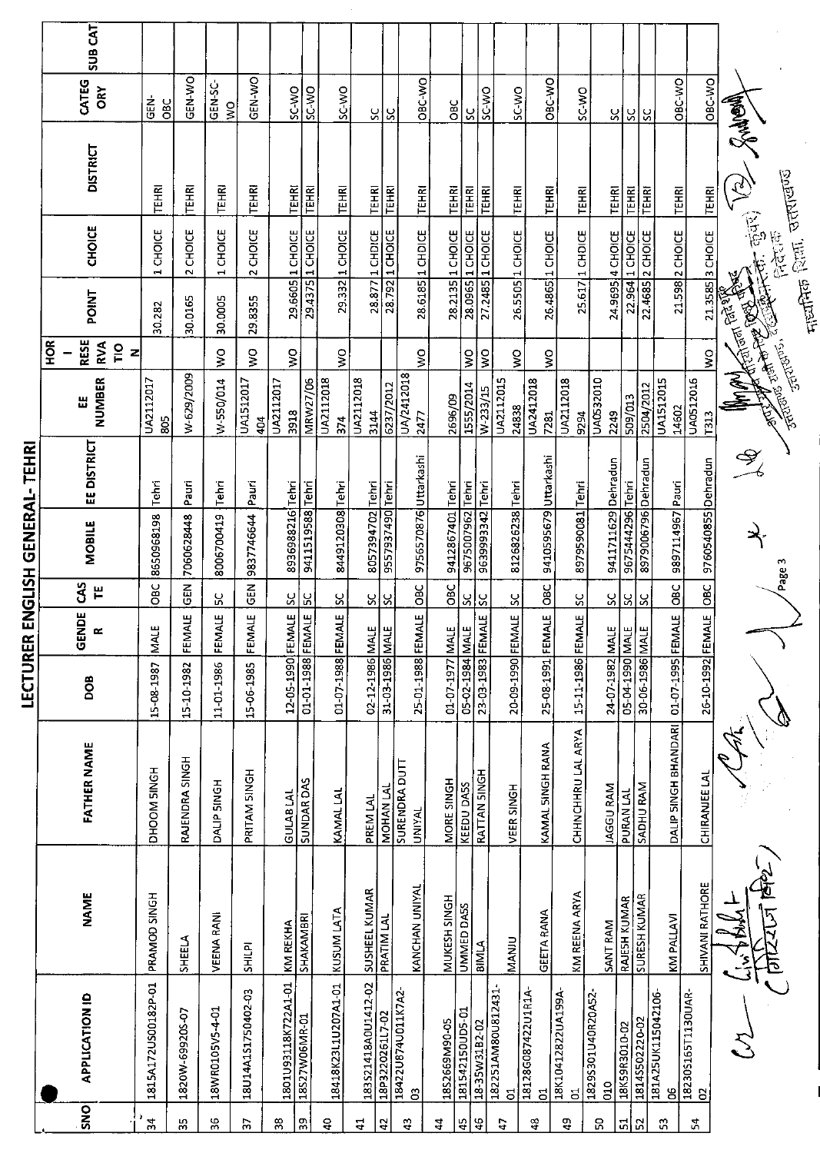|                      | <b>SUB CAT</b>                                         |                         |                 |                 |                    |                     |                   |                           |                     |                  |                                       |                  |                   |                   |                         |                         |                         |                                    |                     |                     |                         |                                     |                                                                                                               |                                               |
|----------------------|--------------------------------------------------------|-------------------------|-----------------|-----------------|--------------------|---------------------|-------------------|---------------------------|---------------------|------------------|---------------------------------------|------------------|-------------------|-------------------|-------------------------|-------------------------|-------------------------|------------------------------------|---------------------|---------------------|-------------------------|-------------------------------------|---------------------------------------------------------------------------------------------------------------|-----------------------------------------------|
|                      | CATEG<br>ORY                                           | der<br>G<br><b>OBC</b>  | GEN-WO          | GEN-SC-<br>Ş    | <b>CEN-WO</b>      | SC-WO               | SC-WO             | SC-WO                     |                     | ပ္တပ္တြ          | OBC WO                                | ÖБ               | ပ္ပ               | SC-WO             | SC-VVO                  | OBC-WO                  | <b>OW-CS</b>            | ပ္တု                               |                     | <u> ဗူဗ</u>         | OBC-WO                  | OBC WO                              |                                                                                                               |                                               |
|                      | <b>DISTRICT</b>                                        | TEHRI                   | TEHRI           | <b>TEHRI</b>    | <b>TEHRI</b>       | TEHRI               | <b>TEHRI</b>      | <b>TEHRI</b>              | <b>TEHRI</b>        | <b>TEHRI</b>     | TEHRI                                 | <b>TEHRI</b>     | TEHRI             | TEHRI             | <b>TEHRI</b>            | <b>TEHRI</b>            | <b>TEHRI</b>            | <b>TEHRI</b>                       | TEHRI               | <b>TEHRI</b>        | TEHRI                   | <b>TEHRI</b>                        | <b>Reader</b><br>で                                                                                            | उत्तराखण्ड                                    |
|                      | <b>CHOICE</b>                                          | <b>CHOICE</b><br>÷,     | 2 CHOICE        | 1 CHOICE        | 2 CHOICE           | 29.6605 1 CHOICE    | 29.4375 1 CHOICE  | 29.332 1 CHOICE           | 28.877 1 CHDICE     | 1 CHOICE         | 28.6185 1 CHDICE                      | 28.2135 1 CHOICE | 28.0965 1 CHOICE  | 27.2485 1 CHOICE  | 26.5505 1 CHOICE        | 26.4865 1 CHOICE        | 25.617 1 CHDICE         | 24.9695 4 CHOICE                   | 22.964 1 CHOICE     | 22.4685 2 CHOICE    | 21.598 2 CHOICE         | 21.3585 3 CHOICE                    | 第5                                                                                                            | 医花                                            |
|                      | POINT                                                  | 30.282                  | 30.0165         | 30.0005         | 29.8355            |                     |                   |                           |                     | 28.792           |                                       |                  |                   |                   |                         |                         |                         |                                    |                     |                     |                         |                                     |                                                                                                               | $\frac{1}{2}$ and $\frac{1}{2}$ $\frac{1}{2}$ |
|                      | <b>RESE</b><br><b>AOH</b><br>RVA<br>$\frac{1}{2}$<br>z |                         |                 | ş               | ş                  | $\frac{1}{2}$       |                   | $\mathsf{S}^{\mathsf{O}}$ |                     |                  | $\frac{1}{2}$                         |                  | $\sum_{i=1}^{n}$  | š                 | š                       | Š                       |                         |                                    |                     |                     |                         | Ş                                   |                                                                                                               |                                               |
|                      | <b>NUMBER</b><br>Ш                                     | UA2112017<br>805        | W-629/2009      | W-550/014       | UA1512017<br>404   | UA2112017<br>3918   | MRW27/06          | UA2112018<br>374          | UA2112018<br>3144   | 6237/2012        | UA/2412018<br>2477                    | 2696/09          | 1555/2014         | W-233/15          | UA2112015<br>24838      | UA2412018<br>7281       | UA2112018<br>9294       | UA0532010<br>2249                  | 509/013             | 2504/2012           | UA1512015<br>14602      | UA0512016<br><b>T313</b>            | And the Hill Bally Control of the Mary Control of the Mary Control of the Mary Control of the Mary Control of |                                               |
|                      | EE DISTRICT                                            | Tehri                   | Pauri           | Tehn            | Pauri              |                     |                   |                           |                     |                  |                                       |                  | Tehri             |                   |                         |                         |                         |                                    |                     |                     |                         |                                     | $\mathcal{P}_{i}$                                                                                             |                                               |
| ENGLISH GENERAL-TEHR | <b>MOBILE</b>                                          | 8650968198              | 7060628448      | 8006700419      | 9837746644         | 8936988216 Tehri    | 9411519588 Tehri  | 8449120308 Tehri          | 8057394702 Tehri    | 9557937490 Tehri | 9756570876 Uttarkashi                 | 9412867401 Tehri | 9675007962        | 9639993342 Tehri  | 8126826238 Tehri        | 9410595679 Uttarkashi   | 8979590081 Tehri        | 9411711629 Dehradun                | 9675444296 Tehri    | 8979006796 Dehradun | 9897114967 Pauri        | 9760540855 Dehradun                 | ≯                                                                                                             | Page 3                                        |
|                      | ຽ<br>Н                                                 | OBC                     | Ğβ              | $\mathbf{S}$    | $\frac{2}{9}$      | <u>ყ</u>            | <u>ა</u>          | <u>s</u>                  |                     | <u>ន ន</u>       | <b>OBC</b>                            | <b>OBC</b>       | S.                | ပ္ပ               | $\frac{6}{5}$           | <b>OBC</b>              | <u>sc</u>               | ပ္တ                                | ყ                   | ၂၄                  | OBC                     |                                     |                                                                                                               |                                               |
|                      | ğ<br>$\propto$<br>ច                                    | <b>MALE</b>             | FEMALE          | <b>FEMALE</b>   | FEMALE             |                     |                   |                           |                     |                  |                                       |                  |                   |                   |                         |                         |                         |                                    |                     |                     |                         |                                     |                                                                                                               |                                               |
| LECTURER             | DOB                                                    | 15-08-1987              | 15-10-1982      | 11-01-1986      | 15-06-1985         | 12-05-1990 FEMALE   | 01-01-1988 FEMALE | 01-07-1988 FEMALE         | 02-12-1986 MALE     | 31-03-1986 MALE  | 25-01-1988 FEMALE                     | 01-07-1977 MALE  | 05-02-1984 MALE   | 23-03-1983 FEMALE | 20-09-1990 FEMALE       | 25-08-1991 FEMALE       | 15-11-1986 FEMALE       | 24-07-1982 MALE                    | 3JAM 0661-40-50     | 30-06-1986 MALE     | 01-07-1995 FEMALE       | 26-10-1992 FEMALE OBC               |                                                                                                               |                                               |
|                      | <b>FATHER NAME</b>                                     | DHOOM SINGH             | RAJENDRA SINGH  | DALIP SINGH     | PRITAM SINGH       | <b>GULABLAL</b>     | <b>SUNDARDAS</b>  | KAMAL LAL                 | PREM LAL            | MOHAN LAL        | <b>SURENDRA DUTT</b><br><b>UNIYAL</b> | MORE SINGH       | KEEDU DASS        | RATTAN SINGH      | VEER SINGH              | KAMAL SINGH RANA        | CHHNCHHRU LAL ARYA      | JAGGU RAM                          | PURAN LAL           | SADHU RAM           | DALIP SINGH BHANDARI    | CHIRANJEE LA                        |                                                                                                               |                                               |
|                      | NAME                                                   | PRAMOD SINGH            | SHEELA          | VEENA RANI      | <b>SHILPI</b>      | KM REKHA            | SHAKAMBRI         | KUSUM LATA                | SUSHEEL KUMAR       | PRATIM LAL       | KANCHAN UNIYAL                        | MUKESH SINGH     | <b>UMMED DASS</b> | <b>BIMILA</b>     | <b>MANU</b>             | GEETA RANA              | KM REENA ARYA           | SANT RAM                           | <b>RAJESH KUMAR</b> | SURESH KUMAR        | KM PALLAVI              | SHIVANI RATHORE                     | ے<br>آ                                                                                                        |                                               |
|                      | <b>APPLICATION ID</b>                                  | 1815A172US00182P-01     | 1820W-69920S-07 | 18WR0105V5-4-01 | 18U14A1S1750402-03 | 1801093118K722A1-01 | 18527W06MR-01     | 18418K23L1U207A1-01       | 183S21418A0U1412-02 | 18P3220261L7-02  | 18422U874U011K7A2-<br>පි              | 18S2669M90-05    | 181542150UD5-01   | 18-35W31B2-02     | 182251AM80U812431.<br>5 | 18128G087422U1R1A-<br>ā | 18K10412822UA199A-<br>ă | 1829S301U40R20A52<br>$\frac{0}{2}$ | 18K59R3010-02       | 18145502220-02      | 181A25UK115042106-<br>S | 182305165T1130UAR<br>G <sub>2</sub> |                                                                                                               |                                               |
|                      | SNO                                                    | $\overline{\mathbf{z}}$ | 35              | 36              | Ľ                  | 38                  | $39$              | ទ                         | 5                   | $\ddot{a}$       | 43                                    | $\boldsymbol{z}$ | 45                | 46                | 47                      | $\frac{\infty}{4}$      | åł                      | S.                                 | $\overline{5}$      | $\frac{5}{2}$       | S                       | 54                                  |                                                                                                               |                                               |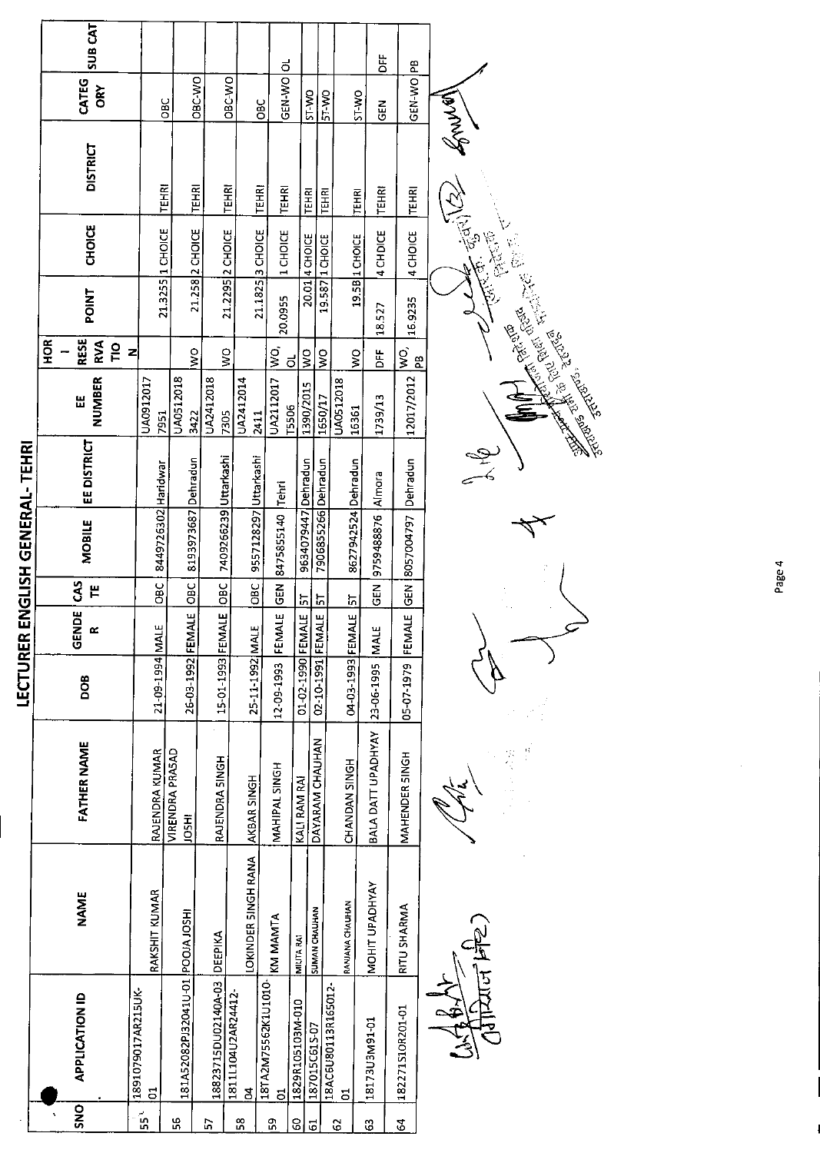|                       |                                                   | <b>SUB CAT</b>                       |                                  |                       |                    |                       |                                 |                  | $\vec{\circ}$       |                                                                         |                        |                                    |                         | 凒<br>۹B |
|-----------------------|---------------------------------------------------|--------------------------------------|----------------------------------|-----------------------|--------------------|-----------------------|---------------------------------|------------------|---------------------|-------------------------------------------------------------------------|------------------------|------------------------------------|-------------------------|---------|
|                       | CATEG<br>ăÓ                                       |                                      | <b>CIRC-VIO</b><br><b>OBC</b>    |                       | OBC-WO             |                       | OBC                             | GEN-WO           | ST WO               | <b>BI-WO</b>                                                            |                        | <b>ST WO</b><br>준<br>영             | GEN-WO                  |         |
|                       | <b>DISTRICT</b>                                   |                                      | TEHRI<br><b>TEHRI</b>            |                       | TEHRI              |                       | <b>TEHRI</b><br><b>TEHRI</b>    |                  | <b>TEHRI</b>        | <b>FEHRI</b>                                                            |                        | <b>TEHRI</b><br><b>TEHRI</b>       | <b>TEHRI</b>            |         |
|                       | <b>CHOICE</b>                                     | 21.3255 1 CHOICE                     | 21 258 2 CHOICE                  |                       | 21.2295 2 CHOICE   |                       | 21.1825 3 CHOICE<br>1 CHOICE    |                  | 20.01 4 CHOICE      | 19.587 1 CHOICE                                                         |                        | 4 CHDICE<br>19.5B 1 CHOICE         | 4 CHOICE                |         |
|                       | <b>POINT</b>                                      |                                      |                                  |                       |                    |                       | 20.0955                         |                  |                     |                                                                         |                        | 18.527                             | 16.9235                 |         |
|                       | <b>RESE</b><br><b>SCH</b><br>RVA<br>$\frac{1}{2}$ | z                                    | S                                |                       | $\geq$             |                       | $\frac{1}{2}$                   | ಠ                | $\frac{1}{2}$       | $\frac{1}{2}$                                                           | Ş                      | ă                                  | $\frac{1}{2}$<br>æ      |         |
|                       | NUMBER<br>띮                                       | UA0912017<br>7951                    | UA0512018<br>3422                | UA2412018             | 7305               | UA2412014<br>2411     | UA2112017                       | <b>T5506</b>     | 1390/2015           | 1650/17                                                                 | UA0512018<br>16361     | 1739/13                            | 12017/2012              |         |
|                       | EE DISTRICT                                       |                                      |                                  |                       |                    |                       |                                 |                  |                     |                                                                         |                        |                                    |                         |         |
| ENGLISH GENERAL-TEHRI | <b>MOBILE</b>                                     | 8449726302 Haridwar                  | 8193973687 Dehradun              | 7409266239 Uttarkashi |                    | 9557128297 Uttarkashi | 8475855140 Tehri                |                  | 9634079447 Dehradun | 7906855266 Dehradun                                                     | 8627942524 Dehradun    | 9759488876   Almora                | GEN 8057004797 Dehradun |         |
|                       | <b>CAS</b><br>٣                                   | OBC                                  | lo <sub>BC</sub>                 |                       |                    | OBC                   | <b>GEN</b>                      |                  | $\frac{5}{10}$      | ភ                                                                       | ភ្                     | <b>GEN</b>                         |                         |         |
|                       | <b>GENDE</b><br>œ                                 | ш                                    | $\frac{1}{4}$                    |                       |                    |                       | <b>FEMALE</b>                   |                  |                     | ЩE<br><i< td=""><td>当<br/>로</td><td>щ</td><td>FEMALE</td><td></td></i<> | 当<br>로                 | щ                                  | FEMALE                  |         |
| LECTURER              | <b>BOD</b>                                        | 21-09-1994 MAI                       | 26-03-1992 FEM                   | 15-01-1993 FEMALE OBC |                    | 25-11-1992 MALE       | 12-09-1993                      |                  | 01-02-1990 FEMALE   | 02-10-1991 FEM                                                          | 04-03-1993 FEM         |                                    | 05-07-1979              |         |
|                       | <b>FATHER NAME</b>                                | RAJENDRA KUMAR                       | VIRENDRA PRASAD<br><b>HISOI</b>  | RAJENDRA SINGH        |                    | AKBAR SINGH           | MAHIPAL SINGH                   | KALI RAM RAI     |                     | DAYARAM CHAUHAN                                                         | CHANDAN SINGH          | BALA DATT UPADHYAY 23-06-1995  MAL | MAHENDER SINGH          |         |
|                       | <b>NAME</b>                                       | RAKSHIT KUMAR                        |                                  | DEEPIKA               |                    | LOKINDER SINGH RANA   | KM MAMTA                        | MILITA RAI       | SUMAN CHAUHAN       |                                                                         | <b>RANJANA CHAUHAN</b> | <b>MOHIT UPADHYAY</b>              | RITU SHARMA             |         |
|                       | <b>APPLICATION ID</b>                             | 1891079017AR215UK-<br>$\overline{5}$ | 181A52082PJ32041U-01 POOJA JOSHI | 18823715DU02140A-03   | 1811L104U2AR24412- | $\overline{5}$        | 18TA2M75562K1U1010-<br><u>៩</u> | 1829R105103M-010 | 187015C615-07       | 18AC6U80113R165012-                                                     | ă                      | I8173U3M91-01                      | 182271S10R201-01        |         |
|                       | SNO                                               | ្ត្រី                                | ပ္က                              | 55                    |                    | <u>ვ</u>              | ግ                               | 8                | $\overline{5}$      |                                                                         | G                      | G                                  | $\mathcal{L}$           |         |

ार्ट्रेग्ज । 7

 $\frac{6}{1}$  $\frac{r}{\epsilon}$ 



CEN BOWLA The Pacity of State **Ellis Repair Strategy of British Repair**  $z$ 

Page 4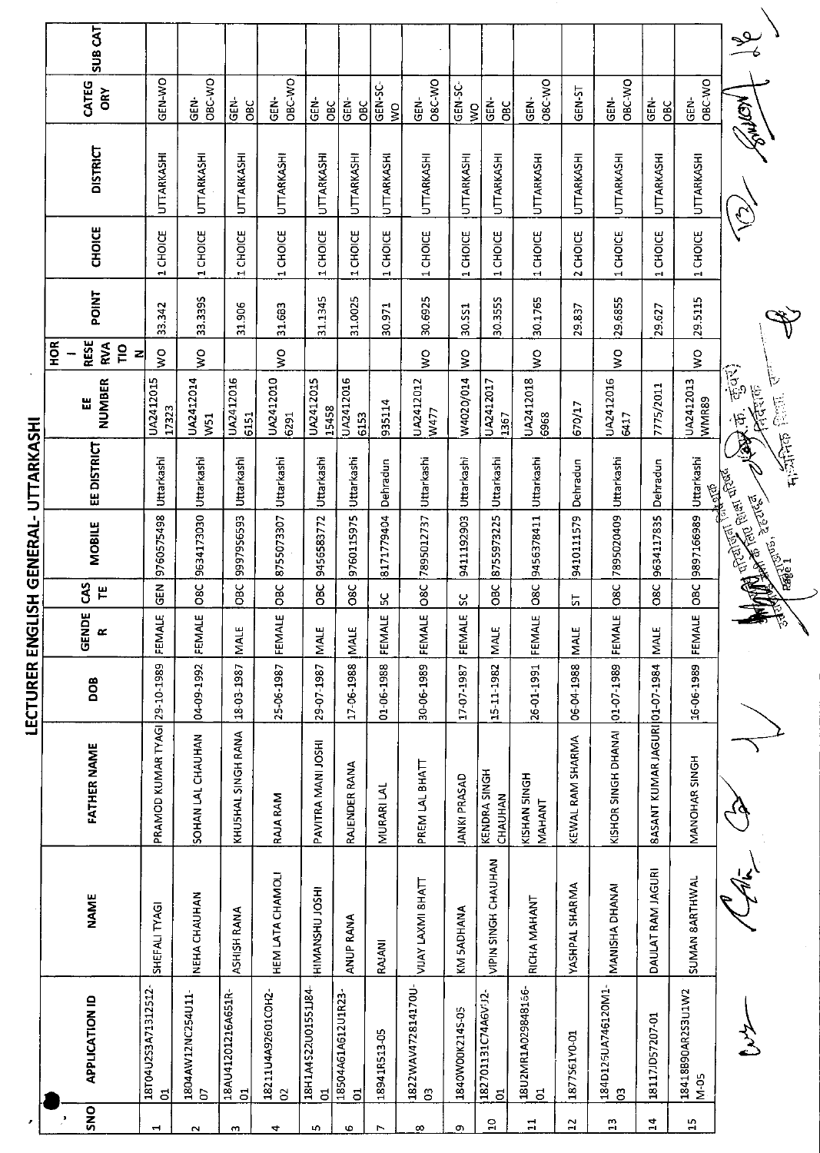|                       |                                       |                     |                                | LECTURER ENGL |                   |                           |                                                          | ISH GENERAL-UTTARKASHI |                                       |                                          |             |                                 |                   |                                    |                |
|-----------------------|---------------------------------------|---------------------|--------------------------------|---------------|-------------------|---------------------------|----------------------------------------------------------|------------------------|---------------------------------------|------------------------------------------|-------------|---------------------------------|-------------------|------------------------------------|----------------|
|                       |                                       |                     |                                |               |                   |                           |                                                          |                        |                                       | $\frac{8}{2}$                            |             |                                 |                   |                                    |                |
| SNO                   | <b>APPLICATION ID</b>                 | NAME                | <b>FATHER NAME</b>             | DOB           | <b>GENDE</b><br>œ | <b>SP</b><br>$\mathbf{H}$ | <b>MOBILE</b>                                            | EE DISTRICT            | <b>NUMBER</b><br>띮                    | <b>RESE</b><br>RVA<br>$\frac{1}{2}$<br>ᅬ | <b>TNIC</b> | <b>CHOICE</b>                   | <b>DISTRICT</b>   | CATEG<br><b>ORY</b>                | <b>SUB CAT</b> |
| $\blacktriangleright$ | 18T04U2S3A71312512-<br>$\overline{5}$ | SHEFALI TYAGI       | PRAMOD KUMAR TYAGI 29-10-1989  |               | Ш<br>FEMALE       | <b>GEN</b>                | 9760575498                                               | Uttarkashi             | UA2412015<br>17323                    | $\frac{0}{2}$                            | 33.342      | CHOICE<br>$\blacksquare$        | UTTARKASHI        | <b>GEN-WO</b>                      |                |
| $\sim$                | 1804AW12NC254U11-<br>b                | NEHA CHAUHAN        | SOHAN LAL CHAUHAN              | 04-09-1992    | ш<br>FEMAL        | <b>O8C</b>                | 9634173030                                               | Uttarkashi             | UA2412014<br>W <sub>51</sub>          | $\frac{1}{2}$                            | 33.3395     | <b>CHOICE</b><br>$\blacksquare$ | UTTARKASHI        | OBC WO<br>GEN-                     |                |
| $\mathbf{m}$          | 18AU41201216A651R-<br>đ               | ASHISH RANA         | KHUSHAL SINGH RANA             | 18-03-1987    | <b>MALE</b>       | OBC                       | 9997956593                                               | Uttarkashi             | UA2412016<br>6151                     |                                          | 31.906      | CHOICE<br>еH,                   | UTTARKASHI        | GEN-<br><b>DBC</b>                 |                |
| 4                     | 18211U4A92601COH2-<br>$\delta$        | HEM LATA CHAMOLI    | <b>RAJA RAM</b>                | 25-06-1987    | ш<br>FEMAL        | OBC                       | 8755073307                                               | Uttarkashi             | UA2412010<br>6291                     | $\frac{8}{2}$                            | 31.683      | 1 CHOICE                        | UTTARKASHI        | OBC-WO<br>GEN-                     |                |
| r.                    | 18H1A4S22U01551J84<br>F               | HIMANSHU JOSHI      | PAVITRA MANI JOSHI             | 29-07-1987    | MALE              | OBC                       | 9456583772                                               | Uttarkashi             | UA2412015<br>15458                    |                                          | 31.1345     | 1 CHOICE                        | UTTARKASHI        | ĠËN.<br><b>OBC</b>                 |                |
| Ф                     | 18504A61A612U1R23<br>$\overline{a}$   | <b>ANUP RANA</b>    | RAJENDER RANA                  | 17-06-1988    | <b>MALE</b>       | 38C                       | 9760115975                                               | Uttarkashi             | UA2412016<br>6153                     |                                          | 31.0025     | CHOICE<br>$\blacksquare$        | UTTARKASHI        | <b>GEN-</b><br><b>OBC</b>          |                |
| $\blacktriangleright$ | 18941R513-05                          | RAJANI              | <b>MURARILAL</b>               | 01-06-1988    | FEMALE            | ပ္က                       | 8171779404                                               | Dehradun               | 935114                                |                                          | 30.971      | CHOICE<br>еĤ,                   | UTTARKASHI        | <b>GEN-SC-</b><br>$\frac{1}{2}$    |                |
| $\infty$              | 1822WAV472814170U-<br>G <sub>3</sub>  | VIJAY LAXMI 8HATT   | PREM LAL BHATT                 | 30-06-1989    | FEMALE            | 08C                       | 7895012737                                               | Uttarkashi             | UA2412012<br>W477                     | $\frac{8}{5}$                            | 30.6925     | 1 CHOICE                        | UTTARKASHI        | <b>OSC WO</b><br>ĠËN-              |                |
| c                     | 1840W00K214S-05                       | KM 5ADHANA          | <b>JANKI PRASAD</b>            | 17-07-1987    | FEMALE            | ပ္ပ                       | 9411192903                                               | Uttarkashi             | W4020/014                             | $\frac{1}{2}$                            | 30.SS1      | <b>CHOICE</b><br>٣Ì,            | UTTARKASHI        | GEN <sub>SC</sub><br>$\frac{1}{2}$ |                |
| å                     | 182701131C74A6VJ2<br>đ                | VIPIN SINGH CHAUHAN | KENDRA SINGH<br>CHAUHAN        | 15-11-1982    | MALE              | OBC                       | 8755973225                                               | Uttarkashi             | UA2412017<br>1367                     |                                          | 30.3555     | CHOICE<br>m                     | UTTARKASHI        | GEN-<br><b>OBC</b>                 |                |
| $\Xi$                 | 18U2MR1A029848156-<br>5               | RICHA MAHANT        | KISHAN 5INGH<br>MAHANT         | 26-01-1991    | FEMALE            | <b>O8C</b>                | 9456378411                                               | Uttarkashi             | UA2412018<br>6968                     | $\frac{1}{2}$                            | 30.1765     | CHOICE<br>M                     | UTTARKASHI        | <b>O8C WO</b><br>GEN-              |                |
| $\mathbf{5}$          | 1877S61Y0-01                          | YASHPAL SHARMA      | KEWAL RAM SHARMA               | 06-04-1988    | <b>MALE</b>       | 뉴                         | 9410111579                                               | Dehradun               | 670/17                                |                                          | 29.837      | <b>CHOICE</b><br>$\sim$         | UTTARKASHI        | GEN-ST                             |                |
| $\mathbb{C}$          | 184D125UA746120M1-<br>$\overline{c}$  | MANISHA DHANAI      | KISHOR SINGH DHANAI            | 01-07-1989    | ш<br>FEMALE       | <b>O8C</b>                | 7895020409                                               | Uttarkashi             | UA2412016<br>6417                     | Ş                                        | 29.6855     | 1 CHOICE                        | UTTARKASHI        | OBC-WO<br>GEN-                     |                |
| $\overline{1}$        | 18117JD57207-01                       | DAULAT RAM JAGURI   | 8ASANT KUMAR JAGURI 01-07-1984 |               | MALE              | O8C                       | 9634117835                                               | Dehradun               | 7775/2011                             |                                          | 29.627      | CHOICE<br>еĤ,                   | UTTARKASHI        | GEN-<br>OBC                        |                |
| $\mathbf{1}$          | 18418B90AR2S3U1W2<br>N-05             | SUMAN 8ARTHWAL      | MANOHAR SINGH                  | 16-06-1989    | FEMALE            | <b>DBC</b>                | 9897166989 Uttarkashi                                    |                        | UA2412013<br>WMR89                    | $\frac{1}{2}$                            | 29.5115     | 1 CHOICE                        | <b>UTTARKASHI</b> | OBC-WO<br>ĠĖN.                     |                |
|                       |                                       |                     |                                |               |                   |                           | Entertainment of the Contraction<br><b>FEBELL</b> STEELS | $\frac{1}{2}$<br>海儿    | क्तूं<br>कु<br>MARIT<br>$\frac{1}{2}$ |                                          |             |                                 | <b>NOTHING</b>    |                                    | $\mathcal{S}$  |